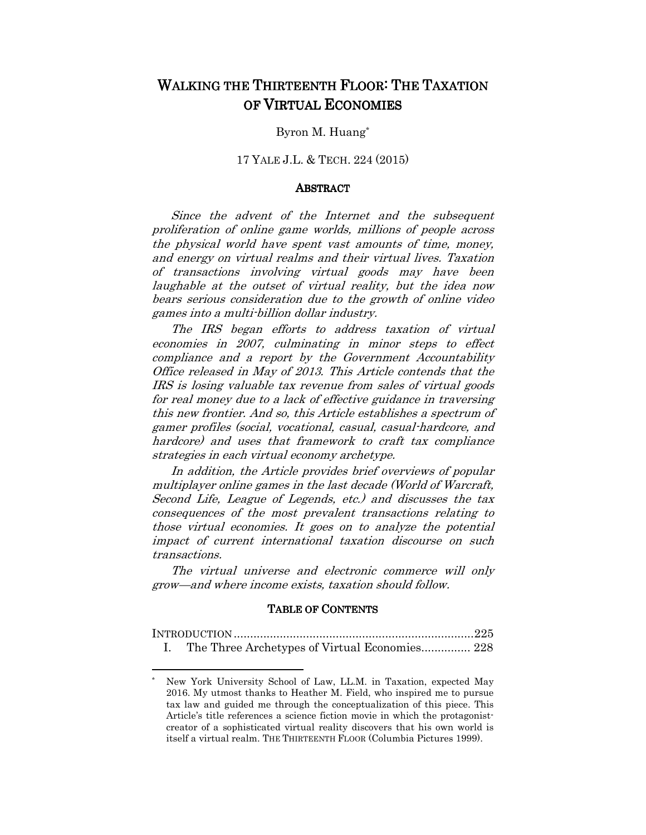# WALKING THE THIRTEENTH FLOOR: THE TAXATION OF VIRTUAL ECONOMIES

## Byron M. Huang\*

# 17 YALE J.L. & TECH. 224 (2015)

#### ABSTRACT

Since the advent of the Internet and the subsequent proliferation of online game worlds, millions of people across the physical world have spent vast amounts of time, money, and energy on virtual realms and their virtual lives. Taxation of transactions involving virtual goods may have been laughable at the outset of virtual reality, but the idea now bears serious consideration due to the growth of online video games into a multi-billion dollar industry.

The IRS began efforts to address taxation of virtual economies in 2007, culminating in minor steps to effect compliance and a report by the Government Accountability Office released in May of 2013. This Article contends that the IRS is losing valuable tax revenue from sales of virtual goods for real money due to a lack of effective guidance in traversing this new frontier. And so, this Article establishes a spectrum of gamer profiles (social, vocational, casual, casual-hardcore, and hardcore) and uses that framework to craft tax compliance strategies in each virtual economy archetype.

In addition, the Article provides brief overviews of popular multiplayer online games in the last decade (World of Warcraft, Second Life, League of Legends, etc.) and discusses the tax consequences of the most prevalent transactions relating to those virtual economies. It goes on to analyze the potential impact of current international taxation discourse on such transactions.

The virtual universe and electronic commerce will only grow—and where income exists, taxation should follow.

#### TABLE OF CONTENTS

| I. The Three Archetypes of Virtual Economies 228 |  |
|--------------------------------------------------|--|

<sup>\*</sup> New York University School of Law, LL.M. in Taxation, expected May 2016. My utmost thanks to Heather M. Field, who inspired me to pursue tax law and guided me through the conceptualization of this piece. This Article's title references a science fiction movie in which the protagonistcreator of a sophisticated virtual reality discovers that his own world is itself a virtual realm. THE THIRTEENTH FLOOR (Columbia Pictures 1999).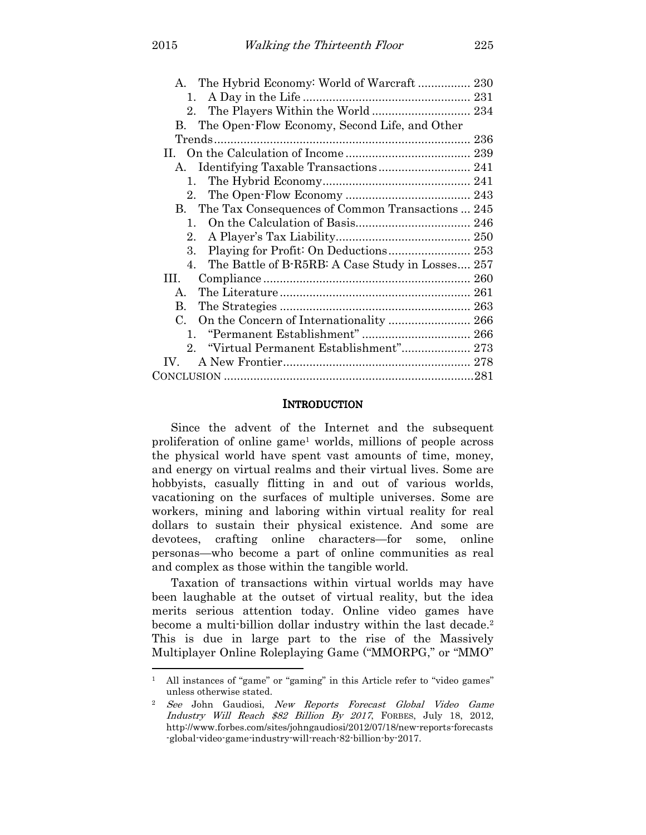| 1.                                                     |  |  |
|--------------------------------------------------------|--|--|
| 2.                                                     |  |  |
| B. The Open-Flow Economy, Second Life, and Other       |  |  |
|                                                        |  |  |
|                                                        |  |  |
| A. Identifying Taxable Transactions 241                |  |  |
| $1_{-}$                                                |  |  |
| $2_{-}$                                                |  |  |
| B. The Tax Consequences of Common Transactions  245    |  |  |
| 1.                                                     |  |  |
| 2.                                                     |  |  |
| 3.                                                     |  |  |
| The Battle of B-R5RB: A Case Study in Losses 257<br>4. |  |  |
| HL.                                                    |  |  |
| $\mathbf{A}$                                           |  |  |
| $\mathbf{B}$ .                                         |  |  |
| $C_{\cdot}$                                            |  |  |
|                                                        |  |  |
| 2. "Virtual Permanent Establishment" 273               |  |  |
| $IV_{-}$                                               |  |  |
|                                                        |  |  |
|                                                        |  |  |

#### **INTRODUCTION**

Since the advent of the Internet and the subsequent proliferation of online game<sup>1</sup> worlds, millions of people across the physical world have spent vast amounts of time, money, and energy on virtual realms and their virtual lives. Some are hobbyists, casually flitting in and out of various worlds, vacationing on the surfaces of multiple universes. Some are workers, mining and laboring within virtual reality for real dollars to sustain their physical existence. And some are devotees, crafting online characters—for some, online personas—who become a part of online communities as real and complex as those within the tangible world.

Taxation of transactions within virtual worlds may have been laughable at the outset of virtual reality, but the idea merits serious attention today. Online video games have become a multi-billion dollar industry within the last decade.<sup>2</sup> This is due in large part to the rise of the Massively Multiplayer Online Roleplaying Game ("MMORPG," or "MMO"

<sup>1</sup> All instances of "game" or "gaming" in this Article refer to "video games" unless otherwise stated.

<sup>2</sup> See John Gaudiosi, New Reports Forecast Global Video Game Industry Will Reach \$82 Billion By 2017, FORBES, July 18, 2012, http://www.forbes.com/sites/johngaudiosi/2012/07/18/new-reports-forecasts -global-video-game-industry-will-reach-82-billion-by-2017.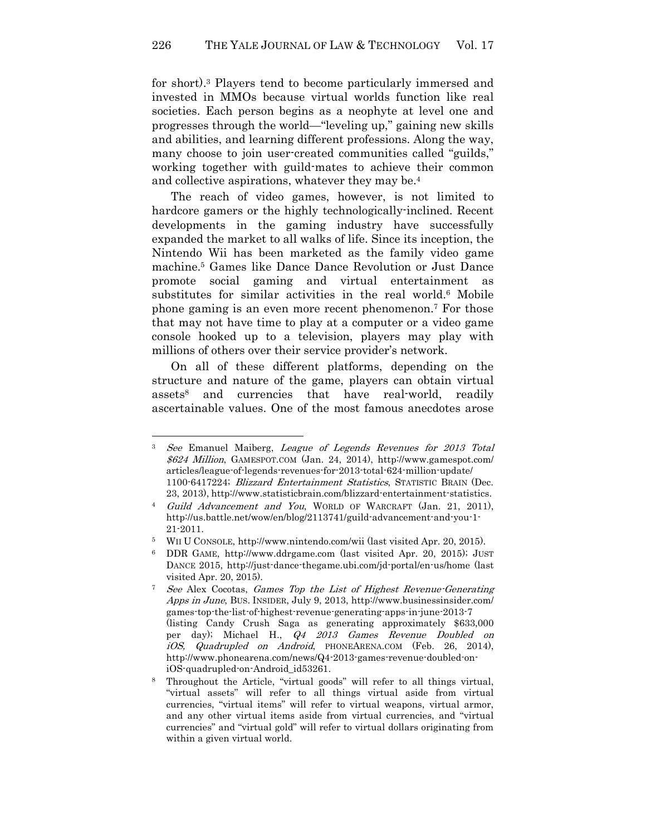for short).<sup>3</sup> Players tend to become particularly immersed and invested in MMOs because virtual worlds function like real societies. Each person begins as a neophyte at level one and progresses through the world—"leveling up," gaining new skills and abilities, and learning different professions. Along the way, many choose to join user-created communities called "guilds," working together with guild-mates to achieve their common and collective aspirations, whatever they may be.<sup>4</sup>

The reach of video games, however, is not limited to hardcore gamers or the highly technologically-inclined. Recent developments in the gaming industry have successfully expanded the market to all walks of life. Since its inception, the Nintendo Wii has been marketed as the family video game machine.<sup>5</sup> Games like Dance Dance Revolution or Just Dance promote social gaming and virtual entertainment as substitutes for similar activities in the real world.<sup>6</sup> Mobile phone gaming is an even more recent phenomenon.<sup>7</sup> For those that may not have time to play at a computer or a video game console hooked up to a television, players may play with millions of others over their service provider's network.

On all of these different platforms, depending on the structure and nature of the game, players can obtain virtual assets<sup>8</sup> and currencies that have real-world, readily ascertainable values. One of the most famous anecdotes arose

<sup>3</sup> See Emanuel Maiberg, League of Legends Revenues for 2013 Total \$624 Million, GAMESPOT.COM (Jan. 24, 2014), http://www.gamespot.com/ articles/league-of-legends-revenues-for-2013-total-624-million-update/ 1100-6417224; Blizzard Entertainment Statistics, STATISTIC BRAIN (Dec. 23, 2013), http://www.statisticbrain.com/blizzard-entertainment-statistics.

<sup>4</sup> Guild Advancement and You, WORLD OF WARCRAFT (Jan. 21, 2011), http://us.battle.net/wow/en/blog/2113741/guild-advancement-and-you-1- 21-2011.

<sup>5</sup> WII U CONSOLE, http://www.nintendo.com/wii (last visited Apr. 20, 2015).

<sup>6</sup> DDR GAME, http://www.ddrgame.com (last visited Apr. 20, 2015); JUST DANCE 2015, http://just-dance-thegame.ubi.com/jd-portal/en-us/home (last visited Apr. 20, 2015).

<sup>7</sup> See Alex Cocotas, Games Top the List of Highest Revenue-Generating Apps in June, BUS. INSIDER, July 9, 2013, http://www.businessinsider.com/ games-top-the-list-of-highest-revenue-generating-apps-in-june-2013-7 (listing Candy Crush Saga as generating approximately \$633,000 per day); Michael H., Q4 2013 Games Revenue Doubled on iOS, Quadrupled on Android, PHONEARENA.COM (Feb. 26, 2014), http://www.phonearena.com/news/Q4-2013-games-revenue-doubled-oniOS-quadrupled-on-Android\_id53261.

<sup>8</sup> Throughout the Article, "virtual goods" will refer to all things virtual, "virtual assets" will refer to all things virtual aside from virtual currencies, "virtual items" will refer to virtual weapons, virtual armor, and any other virtual items aside from virtual currencies, and "virtual currencies" and "virtual gold" will refer to virtual dollars originating from within a given virtual world.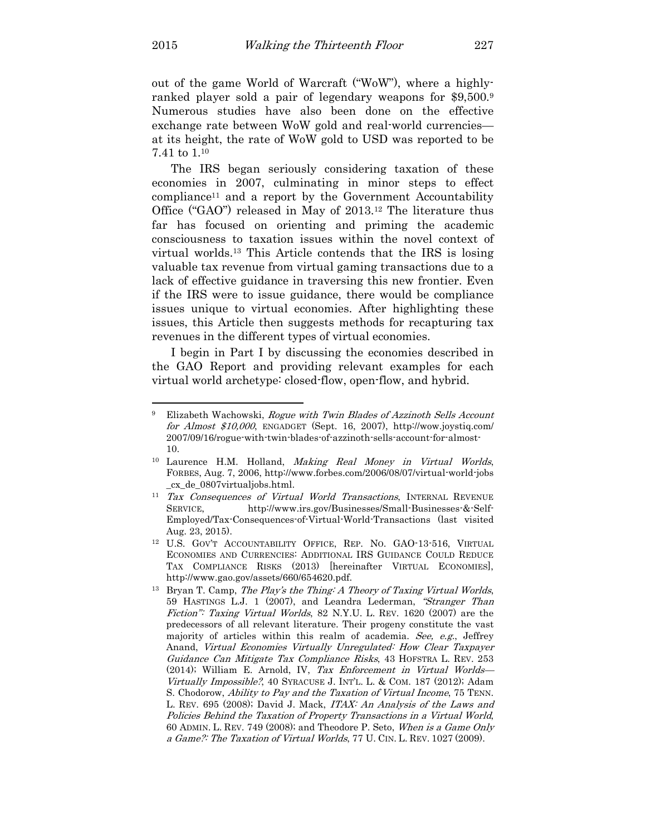l

out of the game World of Warcraft ("WoW"), where a highlyranked player sold a pair of legendary weapons for \$9,500.<sup>9</sup> Numerous studies have also been done on the effective exchange rate between WoW gold and real-world currencies at its height, the rate of WoW gold to USD was reported to be 7.41 to 1.<sup>10</sup>

The IRS began seriously considering taxation of these economies in 2007, culminating in minor steps to effect compliance11 and a report by the Government Accountability Office ("GAO") released in May of 2013.12 The literature thus far has focused on orienting and priming the academic consciousness to taxation issues within the novel context of virtual worlds.13 This Article contends that the IRS is losing valuable tax revenue from virtual gaming transactions due to a lack of effective guidance in traversing this new frontier. Even if the IRS were to issue guidance, there would be compliance issues unique to virtual economies. After highlighting these issues, this Article then suggests methods for recapturing tax revenues in the different types of virtual economies.

I begin in Part I by discussing the economies described in the GAO Report and providing relevant examples for each virtual world archetype: closed-flow, open-flow, and hybrid.

<sup>9</sup> Elizabeth Wachowski, Rogue with Twin Blades of Azzinoth Sells Account for Almost \$10,000, ENGADGET (Sept. 16, 2007), http://wow.joystiq.com/ 2007/09/16/rogue-with-twin-blades-of-azzinoth-sells-account-for-almost-10.

<sup>10</sup> Laurence H.M. Holland, Making Real Money in Virtual Worlds, FORBES, Aug. 7, 2006, http://www.forbes.com/2006/08/07/virtual-world-jobs \_cx\_de\_0807virtualjobs.html.

<sup>&</sup>lt;sup>11</sup> Tax Consequences of Virtual World Transactions, INTERNAL REVENUE SERVICE, http://www.irs.gov/Businesses/Small-Businesses-&-Self-Employed/Tax-Consequences-of-Virtual-World-Transactions (last visited Aug. 23, 2015).

<sup>12</sup> U.S. GOV'T ACCOUNTABILITY OFFICE, REP. NO. GAO-13-516, VIRTUAL ECONOMIES AND CURRENCIES: ADDITIONAL IRS GUIDANCE COULD REDUCE TAX COMPLIANCE RISKS (2013) [hereinafter VIRTUAL ECONOMIES], http://www.gao.gov/assets/660/654620.pdf.

<sup>&</sup>lt;sup>13</sup> Bryan T. Camp, *The Play's the Thing: A Theory of Taxing Virtual Worlds*, 59 HASTINGS L.J. 1 (2007), and Leandra Lederman, "Stranger Than Fiction": Taxing Virtual Worlds, 82 N.Y.U. L. REV. 1620 (2007) are the predecessors of all relevant literature. Their progeny constitute the vast majority of articles within this realm of academia. See, e.g., Jeffrey Anand, Virtual Economies Virtually Unregulated: How Clear Taxpayer Guidance Can Mitigate Tax Compliance Risks, 43 HOFSTRA L. REV. 253 (2014); William E. Arnold, IV, Tax Enforcement in Virtual Worlds— Virtually Impossible?, 40 SYRACUSE J. INT'L. L. & COM. 187 (2012); Adam S. Chodorow, Ability to Pay and the Taxation of Virtual Income, 75 TENN. L. REV. 695 (2008); David J. Mack, ITAX: An Analysis of the Laws and Policies Behind the Taxation of Property Transactions in a Virtual World, 60 ADMIN. L. REV. 749 (2008); and Theodore P. Seto, When is a Game Only a Game?: The Taxation of Virtual Worlds, 77 U. CIN. L. REV. 1027 (2009).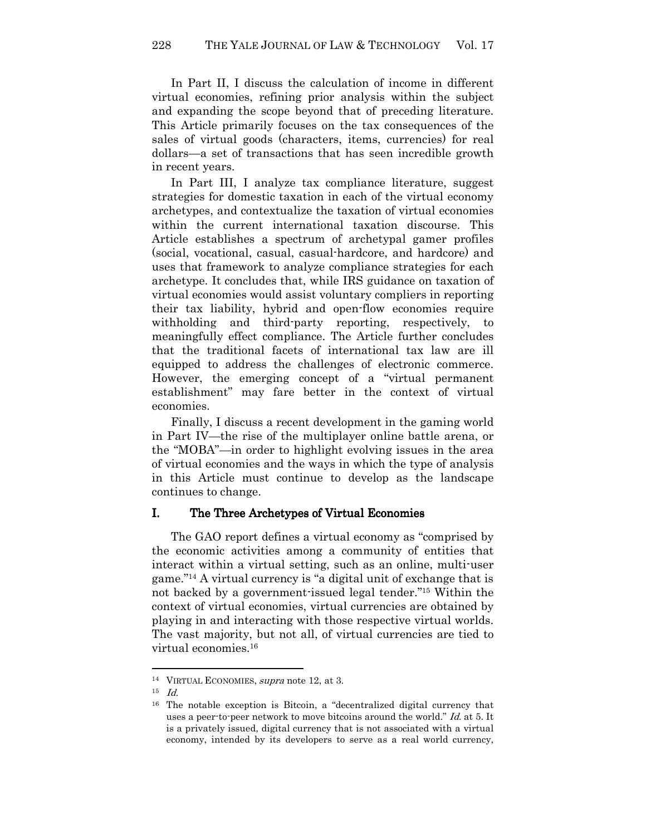In Part II, I discuss the calculation of income in different virtual economies, refining prior analysis within the subject and expanding the scope beyond that of preceding literature. This Article primarily focuses on the tax consequences of the sales of virtual goods (characters, items, currencies) for real dollars—a set of transactions that has seen incredible growth in recent years.

In Part III, I analyze tax compliance literature, suggest strategies for domestic taxation in each of the virtual economy archetypes, and contextualize the taxation of virtual economies within the current international taxation discourse. This Article establishes a spectrum of archetypal gamer profiles (social, vocational, casual, casual-hardcore, and hardcore) and uses that framework to analyze compliance strategies for each archetype. It concludes that, while IRS guidance on taxation of virtual economies would assist voluntary compliers in reporting their tax liability, hybrid and open-flow economies require withholding and third-party reporting, respectively, to meaningfully effect compliance. The Article further concludes that the traditional facets of international tax law are ill equipped to address the challenges of electronic commerce. However, the emerging concept of a "virtual permanent establishment" may fare better in the context of virtual economies.

Finally, I discuss a recent development in the gaming world in Part IV—the rise of the multiplayer online battle arena, or the "MOBA"—in order to highlight evolving issues in the area of virtual economies and the ways in which the type of analysis in this Article must continue to develop as the landscape continues to change.

## I. The Three Archetypes of Virtual Economies

The GAO report defines a virtual economy as "comprised by the economic activities among a community of entities that interact within a virtual setting, such as an online, multi-user game."14 A virtual currency is "a digital unit of exchange that is not backed by a government-issued legal tender."15 Within the context of virtual economies, virtual currencies are obtained by playing in and interacting with those respective virtual worlds. The vast majority, but not all, of virtual currencies are tied to virtual economies.<sup>16</sup>

<sup>&</sup>lt;sup>14</sup> VIRTUAL ECONOMIES, *supra* note 12, at 3.

 $15$  *Id.* 

<sup>16</sup> The notable exception is Bitcoin, a "decentralized digital currency that uses a peer-to-peer network to move bitcoins around the world." Id. at 5. It is a privately issued, digital currency that is not associated with a virtual economy, intended by its developers to serve as a real world currency,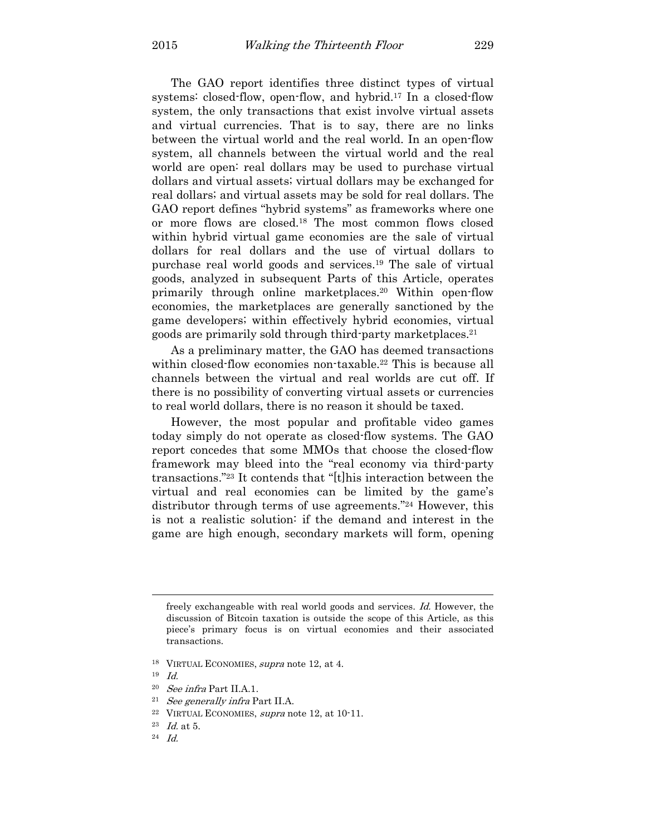The GAO report identifies three distinct types of virtual systems: closed-flow, open-flow, and hybrid.<sup>17</sup> In a closed-flow system, the only transactions that exist involve virtual assets and virtual currencies. That is to say, there are no links between the virtual world and the real world. In an open-flow system, all channels between the virtual world and the real world are open: real dollars may be used to purchase virtual dollars and virtual assets; virtual dollars may be exchanged for real dollars; and virtual assets may be sold for real dollars. The GAO report defines "hybrid systems" as frameworks where one or more flows are closed.18 The most common flows closed within hybrid virtual game economies are the sale of virtual dollars for real dollars and the use of virtual dollars to purchase real world goods and services.19 The sale of virtual goods, analyzed in subsequent Parts of this Article, operates primarily through online marketplaces.20 Within open-flow economies, the marketplaces are generally sanctioned by the game developers; within effectively hybrid economies, virtual goods are primarily sold through third-party marketplaces.<sup>21</sup>

As a preliminary matter, the GAO has deemed transactions within closed-flow economies non-taxable.<sup>22</sup> This is because all channels between the virtual and real worlds are cut off. If there is no possibility of converting virtual assets or currencies to real world dollars, there is no reason it should be taxed.

However, the most popular and profitable video games today simply do not operate as closed-flow systems. The GAO report concedes that some MMOs that choose the closed-flow framework may bleed into the "real economy via third-party transactions."23 It contends that "[t]his interaction between the virtual and real economies can be limited by the game's distributor through terms of use agreements."24 However, this is not a realistic solution: if the demand and interest in the game are high enough, secondary markets will form, opening

 $\overline{a}$ 

<sup>22</sup> VIRTUAL ECONOMIES, supra note 12, at 10-11.

freely exchangeable with real world goods and services. Id. However, the discussion of Bitcoin taxation is outside the scope of this Article, as this piece's primary focus is on virtual economies and their associated transactions.

<sup>&</sup>lt;sup>18</sup> VIRTUAL ECONOMIES, *supra* note 12, at 4.

 $19$  *Id.* 

<sup>20</sup> See infra Part II.A.1.

<sup>21</sup> See generally infra Part II.A.

 $^{23}$  *Id.* at 5.

<sup>24</sup> Id.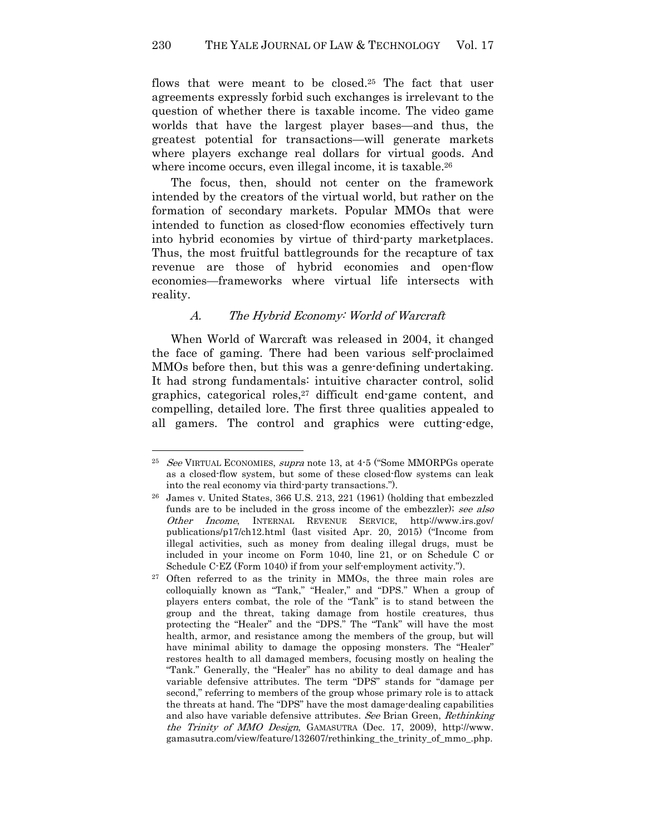flows that were meant to be closed.25 The fact that user agreements expressly forbid such exchanges is irrelevant to the question of whether there is taxable income. The video game worlds that have the largest player bases—and thus, the greatest potential for transactions—will generate markets where players exchange real dollars for virtual goods. And where income occurs, even illegal income, it is taxable.<sup>26</sup>

The focus, then, should not center on the framework intended by the creators of the virtual world, but rather on the formation of secondary markets. Popular MMOs that were intended to function as closed-flow economies effectively turn into hybrid economies by virtue of third-party marketplaces. Thus, the most fruitful battlegrounds for the recapture of tax revenue are those of hybrid economies and open-flow economies—frameworks where virtual life intersects with reality.

## A. The Hybrid Economy: World of Warcraft

When World of Warcraft was released in 2004, it changed the face of gaming. There had been various self-proclaimed MMOs before then, but this was a genre-defining undertaking. It had strong fundamentals: intuitive character control, solid graphics, categorical roles,<sup>27</sup> difficult end-game content, and compelling, detailed lore. The first three qualities appealed to all gamers. The control and graphics were cutting-edge,

<sup>&</sup>lt;sup>25</sup> See VIRTUAL ECONOMIES, supra note 13, at 4-5 ("Some MMORPGs operate as a closed-flow system, but some of these closed-flow systems can leak into the real economy via third-party transactions.").

<sup>26</sup> James v. United States, 366 U.S. 213, 221 (1961) (holding that embezzled funds are to be included in the gross income of the embezzler); see also Other Income, INTERNAL REVENUE SERVICE, http://www.irs.gov/ publications/p17/ch12.html (last visited Apr. 20, 2015) ("Income from illegal activities, such as money from dealing illegal drugs, must be included in your income on Form 1040, line 21, or on Schedule C or Schedule C-EZ (Form 1040) if from your self-employment activity.").

<sup>&</sup>lt;sup>27</sup> Often referred to as the trinity in MMOs, the three main roles are colloquially known as "Tank," "Healer," and "DPS." When a group of players enters combat, the role of the "Tank" is to stand between the group and the threat, taking damage from hostile creatures, thus protecting the "Healer" and the "DPS." The "Tank" will have the most health, armor, and resistance among the members of the group, but will have minimal ability to damage the opposing monsters. The "Healer" restores health to all damaged members, focusing mostly on healing the "Tank." Generally, the "Healer" has no ability to deal damage and has variable defensive attributes. The term "DPS" stands for "damage per second," referring to members of the group whose primary role is to attack the threats at hand. The "DPS" have the most damage-dealing capabilities and also have variable defensive attributes. See Brian Green, Rethinking the Trinity of MMO Design, GAMASUTRA (Dec. 17, 2009), http://www. gamasutra.com/view/feature/132607/rethinking\_the\_trinity\_of\_mmo\_.php.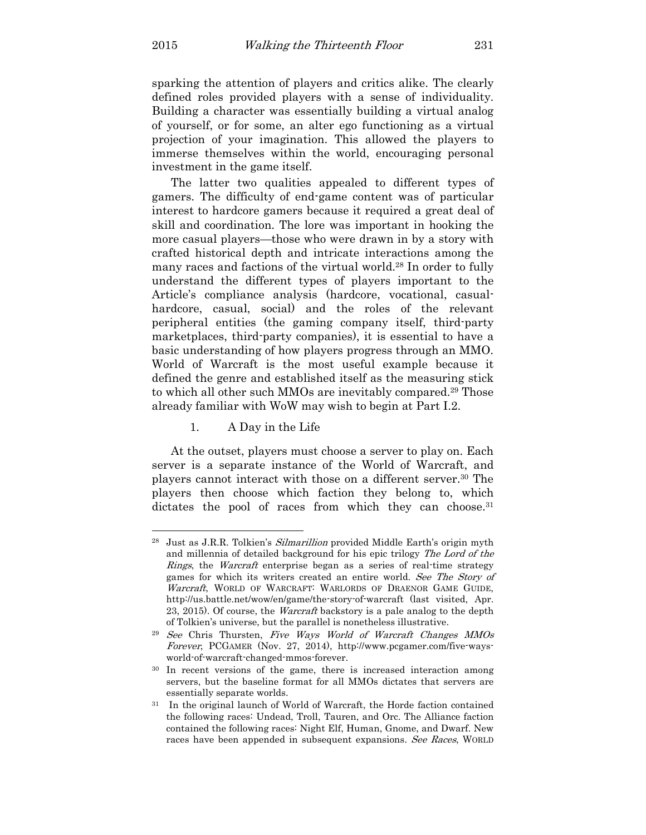$\overline{a}$ 

sparking the attention of players and critics alike. The clearly defined roles provided players with a sense of individuality. Building a character was essentially building a virtual analog of yourself, or for some, an alter ego functioning as a virtual projection of your imagination. This allowed the players to immerse themselves within the world, encouraging personal investment in the game itself.

The latter two qualities appealed to different types of gamers. The difficulty of end-game content was of particular interest to hardcore gamers because it required a great deal of skill and coordination. The lore was important in hooking the more casual players—those who were drawn in by a story with crafted historical depth and intricate interactions among the many races and factions of the virtual world.<sup>28</sup> In order to fully understand the different types of players important to the Article's compliance analysis (hardcore, vocational, casualhardcore, casual, social) and the roles of the relevant peripheral entities (the gaming company itself, third-party marketplaces, third-party companies), it is essential to have a basic understanding of how players progress through an MMO. World of Warcraft is the most useful example because it defined the genre and established itself as the measuring stick to which all other such MMOs are inevitably compared.29 Those already familiar with WoW may wish to begin at Part I.2.

1. A Day in the Life

At the outset, players must choose a server to play on. Each server is a separate instance of the World of Warcraft, and players cannot interact with those on a different server.30 The players then choose which faction they belong to, which dictates the pool of races from which they can choose.<sup>31</sup>

<sup>&</sup>lt;sup>28</sup> Just as J.R.R. Tolkien's *Silmarillion* provided Middle Earth's origin myth and millennia of detailed background for his epic trilogy The Lord of the Rings, the Warcraft enterprise began as a series of real-time strategy games for which its writers created an entire world. See The Story of Warcraft, WORLD OF WARCRAFT: WARLORDS OF DRAENOR GAME GUIDE, http://us.battle.net/wow/en/game/the-story-of-warcraft (last visited, Apr. 23, 2015). Of course, the Warcraft backstory is a pale analog to the depth of Tolkien's universe, but the parallel is nonetheless illustrative.

<sup>29</sup> See Chris Thursten, Five Ways World of Warcraft Changes MMOs Forever, PCGAMER (Nov. 27, 2014), http://www.pcgamer.com/five-waysworld-of-warcraft-changed-mmos-forever.

<sup>30</sup> In recent versions of the game, there is increased interaction among servers, but the baseline format for all MMOs dictates that servers are essentially separate worlds.

In the original launch of World of Warcraft, the Horde faction contained the following races: Undead, Troll, Tauren, and Orc. The Alliance faction contained the following races: Night Elf, Human, Gnome, and Dwarf. New races have been appended in subsequent expansions. See Races, WORLD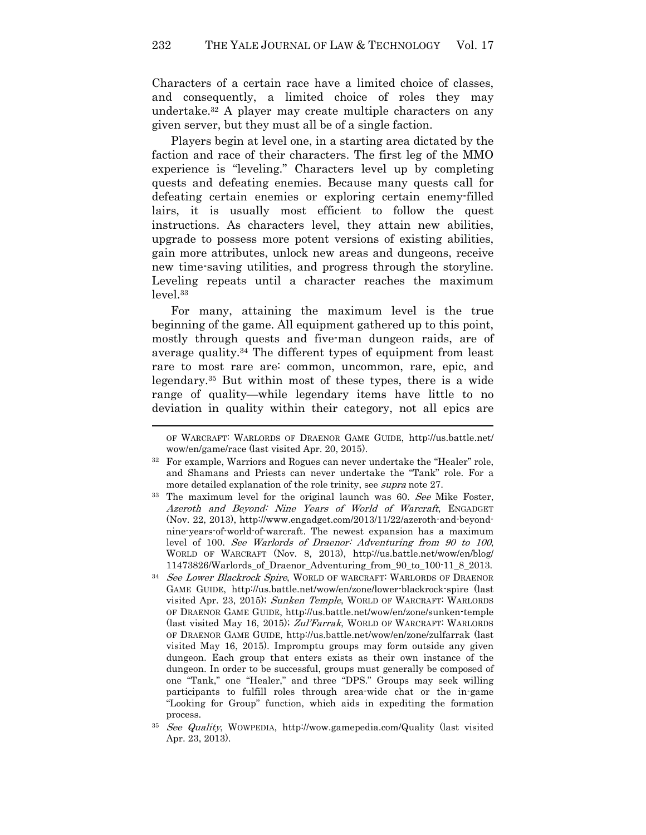Characters of a certain race have a limited choice of classes, and consequently, a limited choice of roles they may undertake.32 A player may create multiple characters on any given server, but they must all be of a single faction.

Players begin at level one, in a starting area dictated by the faction and race of their characters. The first leg of the MMO experience is "leveling." Characters level up by completing quests and defeating enemies. Because many quests call for defeating certain enemies or exploring certain enemy-filled lairs, it is usually most efficient to follow the quest instructions. As characters level, they attain new abilities, upgrade to possess more potent versions of existing abilities, gain more attributes, unlock new areas and dungeons, receive new time-saving utilities, and progress through the storyline. Leveling repeats until a character reaches the maximum level.<sup>33</sup>

For many, attaining the maximum level is the true beginning of the game. All equipment gathered up to this point, mostly through quests and five-man dungeon raids, are of average quality.34 The different types of equipment from least rare to most rare are: common, uncommon, rare, epic, and legendary.35 But within most of these types, there is a wide range of quality—while legendary items have little to no deviation in quality within their category, not all epics are

OF WARCRAFT: WARLORDS OF DRAENOR GAME GUIDE, http://us.battle.net/ wow/en/game/race (last visited Apr. 20, 2015).

<sup>&</sup>lt;sup>32</sup> For example, Warriors and Rogues can never undertake the "Healer" role, and Shamans and Priests can never undertake the "Tank" role. For a more detailed explanation of the role trinity, see *supra* note 27.

<sup>&</sup>lt;sup>33</sup> The maximum level for the original launch was 60. See Mike Foster, Azeroth and Beyond: Nine Years of World of Warcraft, ENGADGET (Nov. 22, 2013), http://www.engadget.com/2013/11/22/azeroth-and-beyondnine-years-of-world-of-warcraft. The newest expansion has a maximum level of 100. See Warlords of Draenor: Adventuring from 90 to 100, WORLD OF WARCRAFT (Nov. 8, 2013), http://us.battle.net/wow/en/blog/ 11473826/Warlords\_of\_Draenor\_Adventuring\_from\_90\_to\_100-11\_8\_2013.

<sup>&</sup>lt;sup>34</sup> See Lower Blackrock Spire, WORLD OF WARCRAFT: WARLORDS OF DRAENOR GAME GUIDE, http://us.battle.net/wow/en/zone/lower-blackrock-spire (last visited Apr. 23, 2015); Sunken Temple, WORLD OF WARCRAFT: WARLORDS OF DRAENOR GAME GUIDE, http://us.battle.net/wow/en/zone/sunken-temple (last visited May 16, 2015); Zul'Farrak, WORLD OF WARCRAFT: WARLORDS OF DRAENOR GAME GUIDE, http://us.battle.net/wow/en/zone/zulfarrak (last visited May 16, 2015). Impromptu groups may form outside any given dungeon. Each group that enters exists as their own instance of the dungeon. In order to be successful, groups must generally be composed of one "Tank," one "Healer," and three "DPS." Groups may seek willing participants to fulfill roles through area-wide chat or the in-game "Looking for Group" function, which aids in expediting the formation process.

<sup>35</sup> See Quality, WOWPEDIA, http://wow.gamepedia.com/Quality (last visited Apr. 23, 2013).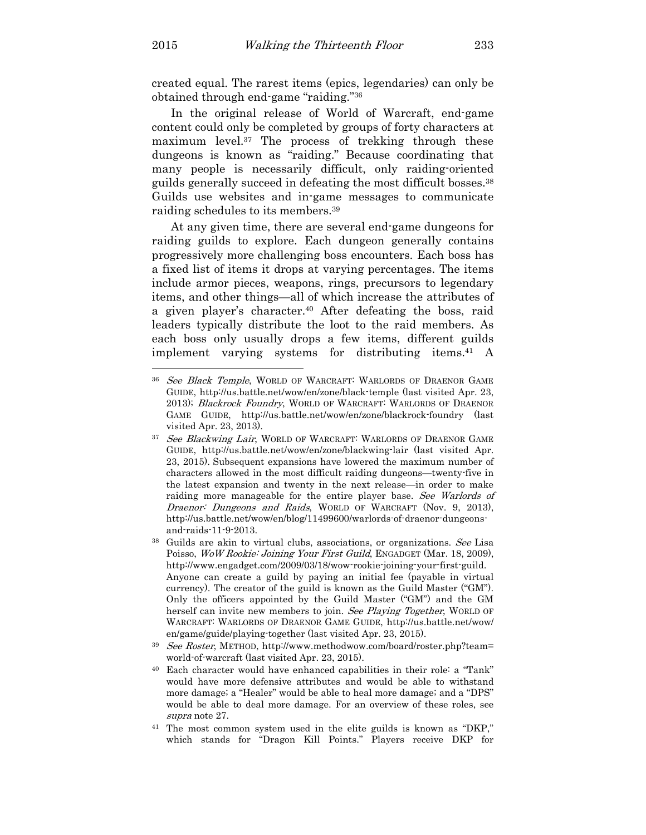created equal. The rarest items (epics, legendaries) can only be obtained through end-game "raiding."<sup>36</sup>

In the original release of World of Warcraft, end-game content could only be completed by groups of forty characters at maximum level.37 The process of trekking through these dungeons is known as "raiding." Because coordinating that many people is necessarily difficult, only raiding-oriented guilds generally succeed in defeating the most difficult bosses.<sup>38</sup> Guilds use websites and in-game messages to communicate raiding schedules to its members.<sup>39</sup>

At any given time, there are several end-game dungeons for raiding guilds to explore. Each dungeon generally contains progressively more challenging boss encounters. Each boss has a fixed list of items it drops at varying percentages. The items include armor pieces, weapons, rings, precursors to legendary items, and other things—all of which increase the attributes of a given player's character.40 After defeating the boss, raid leaders typically distribute the loot to the raid members. As each boss only usually drops a few items, different guilds implement varying systems for distributing items.41 A  $\overline{a}$ 

<sup>36</sup> See Black Temple, WORLD OF WARCRAFT: WARLORDS OF DRAENOR GAME GUIDE, http://us.battle.net/wow/en/zone/black-temple (last visited Apr. 23, 2013); Blackrock Foundry, WORLD OF WARCRAFT: WARLORDS OF DRAENOR GAME GUIDE, http://us.battle.net/wow/en/zone/blackrock-foundry (last visited Apr. 23, 2013).

<sup>&</sup>lt;sup>37</sup> See Blackwing Lair, WORLD OF WARCRAFT: WARLORDS OF DRAENOR GAME GUIDE, http://us.battle.net/wow/en/zone/blackwing-lair (last visited Apr. 23, 2015). Subsequent expansions have lowered the maximum number of characters allowed in the most difficult raiding dungeons—twenty-five in the latest expansion and twenty in the next release—in order to make raiding more manageable for the entire player base. See Warlords of Draenor: Dungeons and Raids, WORLD OF WARCRAFT (Nov. 9, 2013), http://us.battle.net/wow/en/blog/11499600/warlords-of-draenor-dungeonsand-raids-11-9-2013.

<sup>&</sup>lt;sup>38</sup> Guilds are akin to virtual clubs, associations, or organizations. See Lisa Poisso, WoW Rookie: Joining Your First Guild, ENGADGET (Mar. 18, 2009), http://www.engadget.com/2009/03/18/wow-rookie-joining-your-first-guild. Anyone can create a guild by paying an initial fee (payable in virtual currency). The creator of the guild is known as the Guild Master ("GM"). Only the officers appointed by the Guild Master ("GM") and the GM herself can invite new members to join. See Playing Together, WORLD OF WARCRAFT: WARLORDS OF DRAENOR GAME GUIDE, http://us.battle.net/wow/ en/game/guide/playing-together (last visited Apr. 23, 2015).

<sup>&</sup>lt;sup>39</sup> See Roster, METHOD, http://www.methodwow.com/board/roster.php?team= world-of-warcraft (last visited Apr. 23, 2015).

<sup>40</sup> Each character would have enhanced capabilities in their role: a "Tank" would have more defensive attributes and would be able to withstand more damage; a "Healer" would be able to heal more damage; and a "DPS" would be able to deal more damage. For an overview of these roles, see supra note 27.

<sup>41</sup> The most common system used in the elite guilds is known as "DKP," which stands for "Dragon Kill Points." Players receive DKP for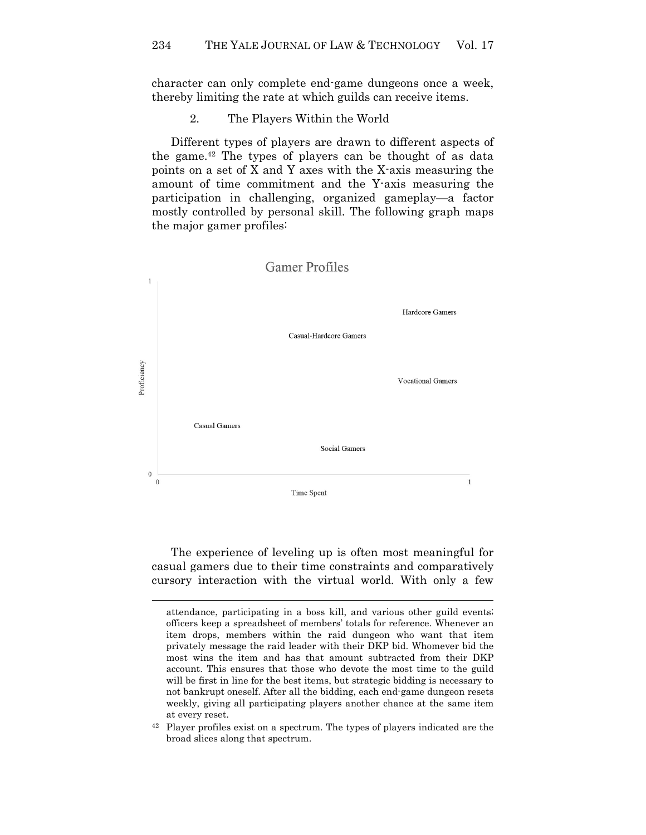character can only complete end-game dungeons once a week, thereby limiting the rate at which guilds can receive items.

2. The Players Within the World

Different types of players are drawn to different aspects of the game.42 The types of players can be thought of as data points on a set of X and Y axes with the X-axis measuring the amount of time commitment and the Y-axis measuring the participation in challenging, organized gameplay—a factor mostly controlled by personal skill. The following graph maps the major gamer profiles:



The experience of leveling up is often most meaningful for casual gamers due to their time constraints and comparatively cursory interaction with the virtual world. With only a few

attendance, participating in a boss kill, and various other guild events; officers keep a spreadsheet of members' totals for reference. Whenever an item drops, members within the raid dungeon who want that item privately message the raid leader with their DKP bid. Whomever bid the most wins the item and has that amount subtracted from their DKP account. This ensures that those who devote the most time to the guild will be first in line for the best items, but strategic bidding is necessary to not bankrupt oneself. After all the bidding, each end-game dungeon resets weekly, giving all participating players another chance at the same item at every reset.

<sup>42</sup> Player profiles exist on a spectrum. The types of players indicated are the broad slices along that spectrum.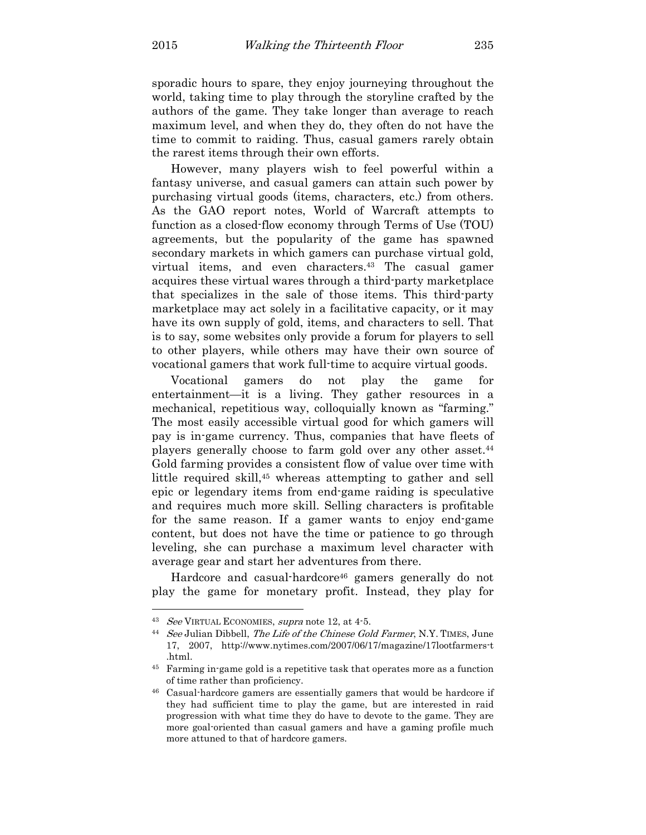sporadic hours to spare, they enjoy journeying throughout the world, taking time to play through the storyline crafted by the authors of the game. They take longer than average to reach maximum level, and when they do, they often do not have the time to commit to raiding. Thus, casual gamers rarely obtain the rarest items through their own efforts.

However, many players wish to feel powerful within a fantasy universe, and casual gamers can attain such power by purchasing virtual goods (items, characters, etc.) from others. As the GAO report notes, World of Warcraft attempts to function as a closed-flow economy through Terms of Use (TOU) agreements, but the popularity of the game has spawned secondary markets in which gamers can purchase virtual gold, virtual items, and even characters.43 The casual gamer acquires these virtual wares through a third-party marketplace that specializes in the sale of those items. This third-party marketplace may act solely in a facilitative capacity, or it may have its own supply of gold, items, and characters to sell. That is to say, some websites only provide a forum for players to sell to other players, while others may have their own source of vocational gamers that work full-time to acquire virtual goods.

Vocational gamers do not play the game for entertainment—it is a living. They gather resources in a mechanical, repetitious way, colloquially known as "farming." The most easily accessible virtual good for which gamers will pay is in-game currency. Thus, companies that have fleets of players generally choose to farm gold over any other asset.<sup>44</sup> Gold farming provides a consistent flow of value over time with little required skill,<sup>45</sup> whereas attempting to gather and sell epic or legendary items from end-game raiding is speculative and requires much more skill. Selling characters is profitable for the same reason. If a gamer wants to enjoy end-game content, but does not have the time or patience to go through leveling, she can purchase a maximum level character with average gear and start her adventures from there.

Hardcore and casual-hardcore<sup>46</sup> gamers generally do not play the game for monetary profit. Instead, they play for

<sup>&</sup>lt;sup>43</sup> See VIRTUAL ECONOMIES, supra note 12, at 4-5.

<sup>44</sup> See Julian Dibbell, The Life of the Chinese Gold Farmer, N.Y. TIMES, June 17, 2007, http://www.nytimes.com/2007/06/17/magazine/17lootfarmers-t .html.

<sup>45</sup> Farming in-game gold is a repetitive task that operates more as a function of time rather than proficiency.

<sup>46</sup> Casual-hardcore gamers are essentially gamers that would be hardcore if they had sufficient time to play the game, but are interested in raid progression with what time they do have to devote to the game. They are more goal-oriented than casual gamers and have a gaming profile much more attuned to that of hardcore gamers.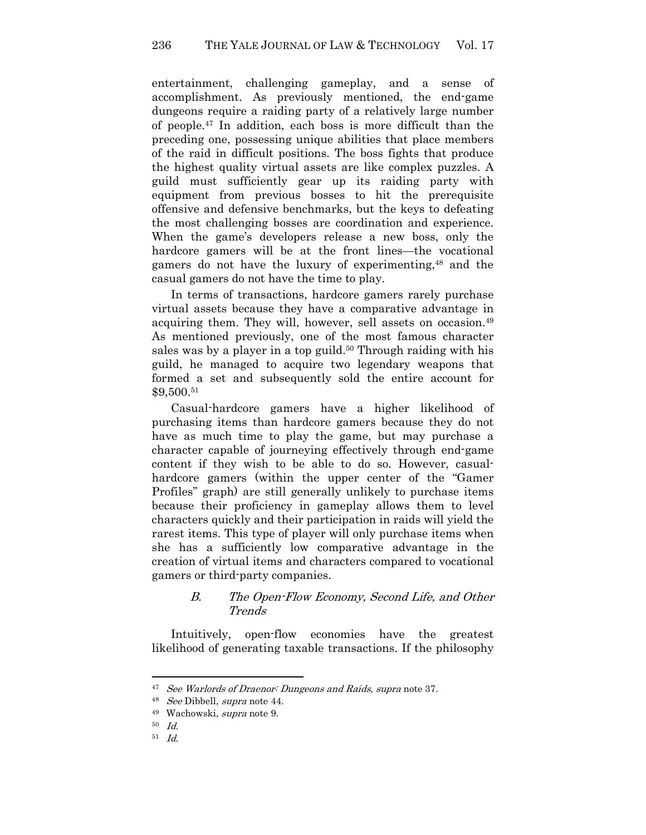entertainment, challenging gameplay, and a sense of accomplishment. As previously mentioned, the end-game dungeons require a raiding party of a relatively large number of people.47 In addition, each boss is more difficult than the preceding one, possessing unique abilities that place members of the raid in difficult positions. The boss fights that produce the highest quality virtual assets are like complex puzzles. A guild must sufficiently gear up its raiding party with equipment from previous bosses to hit the prerequisite offensive and defensive benchmarks, but the keys to defeating the most challenging bosses are coordination and experience. When the game's developers release a new boss, only the hardcore gamers will be at the front lines—the vocational gamers do not have the luxury of experimenting,<sup>48</sup> and the casual gamers do not have the time to play.

In terms of transactions, hardcore gamers rarely purchase virtual assets because they have a comparative advantage in acquiring them. They will, however, sell assets on occasion.<sup>49</sup> As mentioned previously, one of the most famous character sales was by a player in a top guild.<sup>50</sup> Through raiding with his guild, he managed to acquire two legendary weapons that formed a set and subsequently sold the entire account for \$9,500.<sup>51</sup>

Casual-hardcore gamers have a higher likelihood of purchasing items than hardcore gamers because they do not have as much time to play the game, but may purchase a character capable of journeying effectively through end-game content if they wish to be able to do so. However, casualhardcore gamers (within the upper center of the "Gamer Profiles" graph) are still generally unlikely to purchase items because their proficiency in gameplay allows them to level characters quickly and their participation in raids will yield the rarest items. This type of player will only purchase items when she has a sufficiently low comparative advantage in the creation of virtual items and characters compared to vocational gamers or third-party companies.

# B. The Open-Flow Economy, Second Life, and Other Trends

Intuitively, open-flow economies have the greatest likelihood of generating taxable transactions. If the philosophy

<sup>&</sup>lt;sup>47</sup> See Warlords of Draenor: Dungeons and Raids, supra note 37.

<sup>48</sup> See Dibbell, supra note 44.

<sup>49</sup> Wachowski, supra note 9.

<sup>50</sup> Id.

<sup>51</sup> Id.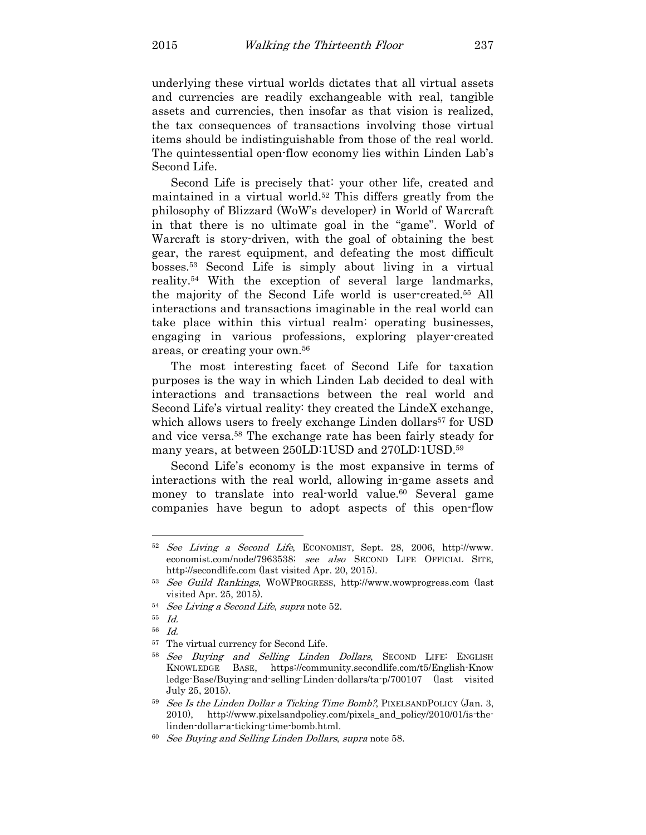underlying these virtual worlds dictates that all virtual assets and currencies are readily exchangeable with real, tangible assets and currencies, then insofar as that vision is realized, the tax consequences of transactions involving those virtual items should be indistinguishable from those of the real world. The quintessential open-flow economy lies within Linden Lab's Second Life.

Second Life is precisely that: your other life, created and maintained in a virtual world.52 This differs greatly from the philosophy of Blizzard (WoW's developer) in World of Warcraft in that there is no ultimate goal in the "game". World of Warcraft is story-driven, with the goal of obtaining the best gear, the rarest equipment, and defeating the most difficult bosses.53 Second Life is simply about living in a virtual reality.54 With the exception of several large landmarks, the majority of the Second Life world is user-created.55 All interactions and transactions imaginable in the real world can take place within this virtual realm: operating businesses, engaging in various professions, exploring player-created areas, or creating your own.<sup>56</sup>

The most interesting facet of Second Life for taxation purposes is the way in which Linden Lab decided to deal with interactions and transactions between the real world and Second Life's virtual reality: they created the LindeX exchange, which allows users to freely exchange Linden dollars <sup>57</sup> for USD and vice versa.58 The exchange rate has been fairly steady for many years, at between 250LD:1USD and 270LD:1USD.<sup>59</sup>

Second Life's economy is the most expansive in terms of interactions with the real world, allowing in-game assets and money to translate into real-world value.<sup>60</sup> Several game companies have begun to adopt aspects of this open-flow

<sup>52</sup> See Living a Second Life, ECONOMIST, Sept. 28, 2006, http://www. economist.com/node/7963538; see also SECOND LIFE OFFICIAL SITE, http://secondlife.com (last visited Apr. 20, 2015).

<sup>53</sup> See Guild Rankings, WOWPROGRESS, http://www.wowprogress.com (last visited Apr. 25, 2015).

<sup>54</sup> See Living a Second Life, supra note 52.

<sup>55</sup> Id.

<sup>56</sup> Id.

<sup>57</sup> The virtual currency for Second Life.

<sup>&</sup>lt;sup>58</sup> See Buying and Selling Linden Dollars, SECOND LIFE: ENGLISH KNOWLEDGE BASE, https://community.secondlife.com/t5/English-Know ledge-Base/Buying-and-selling-Linden-dollars/ta-p/700107 (last visited July 25, 2015).

 $59$  See Is the Linden Dollar a Ticking Time Bomb?, PIXELSANDPOLICY (Jan. 3, 2010), http://www.pixelsandpolicy.com/pixels\_and\_policy/2010/01/is-thelinden-dollar-a-ticking-time-bomb.html.

<sup>&</sup>lt;sup>60</sup> See Buying and Selling Linden Dollars, supra note 58.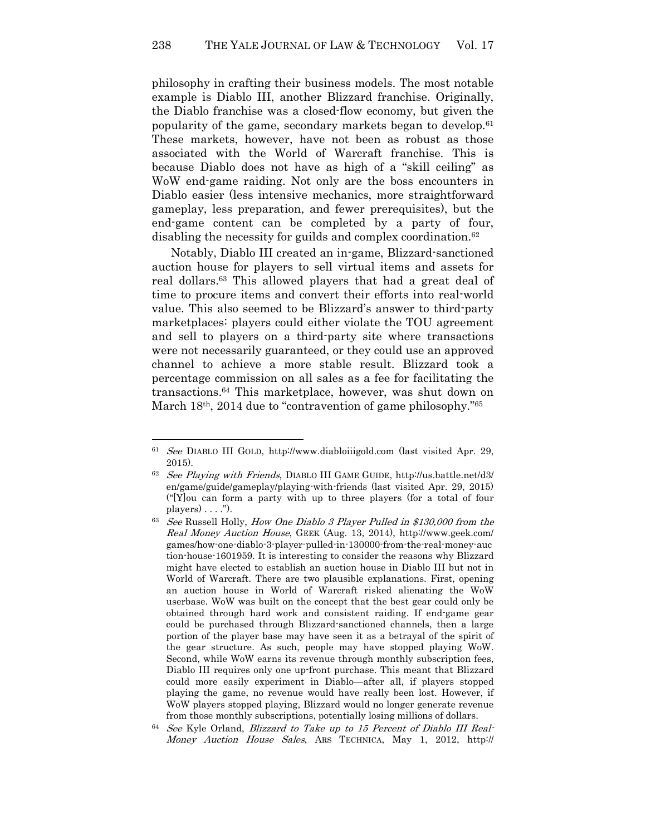philosophy in crafting their business models. The most notable example is Diablo III, another Blizzard franchise. Originally, the Diablo franchise was a closed-flow economy, but given the popularity of the game, secondary markets began to develop.<sup>61</sup> These markets, however, have not been as robust as those associated with the World of Warcraft franchise. This is because Diablo does not have as high of a "skill ceiling" as WoW end-game raiding. Not only are the boss encounters in Diablo easier (less intensive mechanics, more straightforward gameplay, less preparation, and fewer prerequisites), but the end-game content can be completed by a party of four, disabling the necessity for guilds and complex coordination.<sup>62</sup>

Notably, Diablo III created an in-game, Blizzard-sanctioned auction house for players to sell virtual items and assets for real dollars.63 This allowed players that had a great deal of time to procure items and convert their efforts into real-world value. This also seemed to be Blizzard's answer to third-party marketplaces: players could either violate the TOU agreement and sell to players on a third-party site where transactions were not necessarily guaranteed, or they could use an approved channel to achieve a more stable result. Blizzard took a percentage commission on all sales as a fee for facilitating the transactions.64 This marketplace, however, was shut down on March 18<sup>th</sup>, 2014 due to "contravention of game philosophy."<sup>65</sup>

<sup>61</sup> See DIABLO III GOLD, http://www.diabloiiigold.com (last visited Apr. 29, 2015).

<sup>62</sup> See Playing with Friends, DIABLO III GAME GUIDE, http://us.battle.net/d3/ en/game/guide/gameplay/playing-with-friends (last visited Apr. 29, 2015) ("[Y]ou can form a party with up to three players (for a total of four players $) \ldots$ .").

<sup>&</sup>lt;sup>63</sup> See Russell Holly, How One Diablo 3 Player Pulled in \$130,000 from the Real Money Auction House, GEEK (Aug. 13, 2014), http://www.geek.com/ games/how-one-diablo-3-player-pulled-in-130000-from-the-real-money-auc tion-house-1601959. It is interesting to consider the reasons why Blizzard might have elected to establish an auction house in Diablo III but not in World of Warcraft. There are two plausible explanations. First, opening an auction house in World of Warcraft risked alienating the WoW userbase. WoW was built on the concept that the best gear could only be obtained through hard work and consistent raiding. If end-game gear could be purchased through Blizzard-sanctioned channels, then a large portion of the player base may have seen it as a betrayal of the spirit of the gear structure. As such, people may have stopped playing WoW. Second, while WoW earns its revenue through monthly subscription fees, Diablo III requires only one up-front purchase. This meant that Blizzard could more easily experiment in Diablo—after all, if players stopped playing the game, no revenue would have really been lost. However, if WoW players stopped playing, Blizzard would no longer generate revenue from those monthly subscriptions, potentially losing millions of dollars.

<sup>&</sup>lt;sup>64</sup> See Kyle Orland, Blizzard to Take up to 15 Percent of Diablo III Real-Money Auction House Sales, ARS TECHNICA, May 1, 2012, http://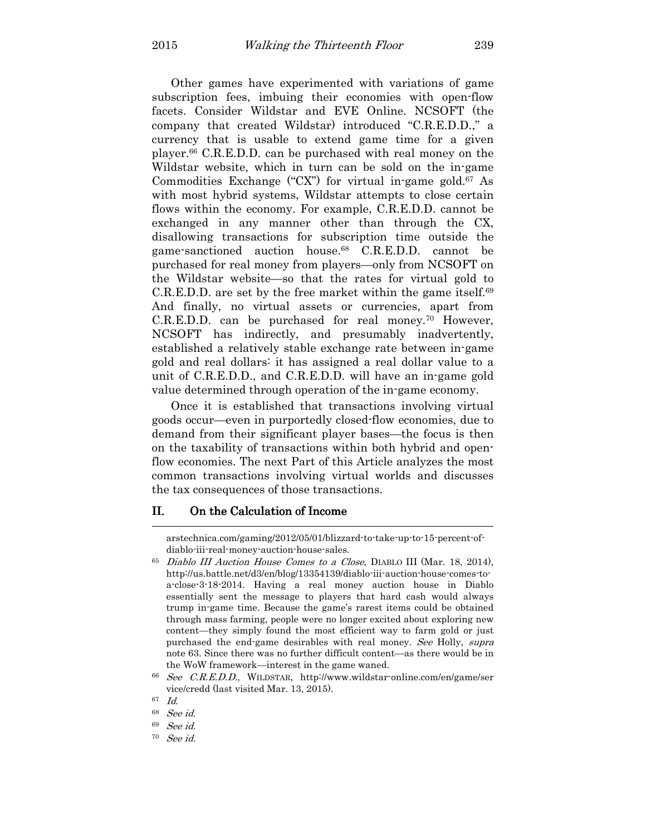Other games have experimented with variations of game subscription fees, imbuing their economies with open-flow facets. Consider Wildstar and EVE Online. NCSOFT (the company that created Wildstar) introduced "C.R.E.D.D.," a currency that is usable to extend game time for a given player.66 C.R.E.D.D. can be purchased with real money on the Wildstar website, which in turn can be sold on the in-game Commodities Exchange ("CX") for virtual in-game gold.67 As with most hybrid systems, Wildstar attempts to close certain flows within the economy. For example, C.R.E.D.D. cannot be exchanged in any manner other than through the CX, disallowing transactions for subscription time outside the game-sanctioned auction house.68 C.R.E.D.D. cannot be purchased for real money from players—only from NCSOFT on the Wildstar website—so that the rates for virtual gold to C.R.E.D.D. are set by the free market within the game itself.<sup>69</sup> And finally, no virtual assets or currencies, apart from C.R.E.D.D. can be purchased for real money.70 However, NCSOFT has indirectly, and presumably inadvertently, established a relatively stable exchange rate between in-game gold and real dollars: it has assigned a real dollar value to a unit of C.R.E.D.D., and C.R.E.D.D. will have an in-game gold value determined through operation of the in-game economy.

Once it is established that transactions involving virtual goods occur—even in purportedly closed-flow economies, due to demand from their significant player bases—the focus is then on the taxability of transactions within both hybrid and openflow economies. The next Part of this Article analyzes the most common transactions involving virtual worlds and discusses the tax consequences of those transactions.

#### II. On the Calculation of Income l

arstechnica.com/gaming/2012/05/01/blizzard-to-take-up-to-15-percent-ofdiablo-iii-real-money-auction-house-sales.

<sup>65</sup> Diablo III Auction House Comes to a Close, DIABLO III (Mar. 18, 2014), http://us.battle.net/d3/en/blog/13354139/diablo-iii-auction-house-comes-toa-close-3-18-2014. Having a real money auction house in Diablo essentially sent the message to players that hard cash would always trump in-game time. Because the game's rarest items could be obtained through mass farming, people were no longer excited about exploring new content—they simply found the most efficient way to farm gold or just purchased the end-game desirables with real money. See Holly, supra note 63. Since there was no further difficult content—as there would be in the WoW framework—interest in the game waned.

See C.R.E.D.D., WILDSTAR, http://www.wildstar-online.com/en/game/ser vice/credd (last visited Mar. 13, 2015).

<sup>67</sup> Id.

<sup>68</sup> See id.

<sup>69</sup> See id.

<sup>70</sup> See id.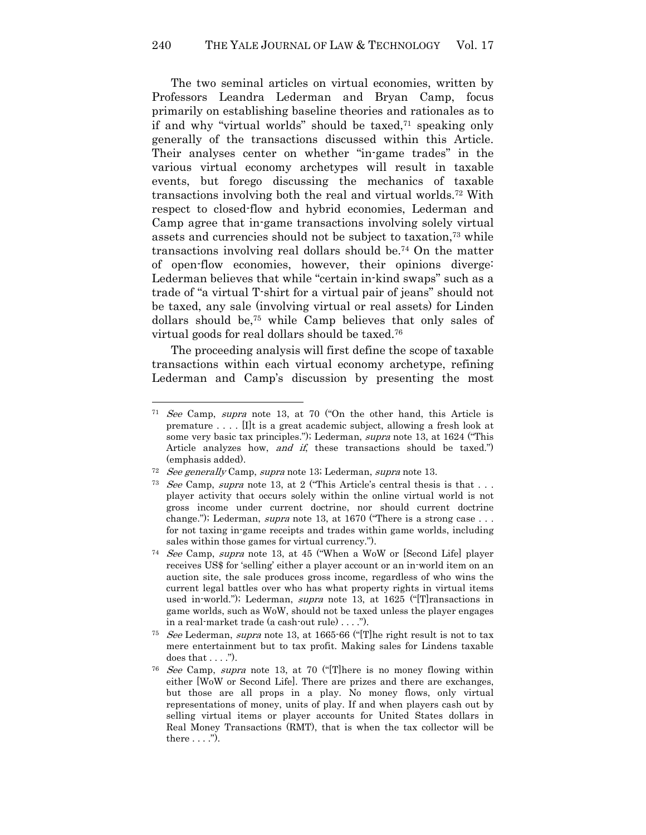The two seminal articles on virtual economies, written by Professors Leandra Lederman and Bryan Camp, focus primarily on establishing baseline theories and rationales as to if and why "virtual worlds" should be taxed, $71$  speaking only generally of the transactions discussed within this Article. Their analyses center on whether "in-game trades" in the various virtual economy archetypes will result in taxable events, but forego discussing the mechanics of taxable transactions involving both the real and virtual worlds.72 With respect to closed-flow and hybrid economies, Lederman and Camp agree that in-game transactions involving solely virtual assets and currencies should not be subject to taxation,73 while transactions involving real dollars should be.74 On the matter of open-flow economies, however, their opinions diverge: Lederman believes that while "certain in-kind swaps" such as a trade of "a virtual T-shirt for a virtual pair of jeans" should not be taxed, any sale (involving virtual or real assets) for Linden dollars should be,75 while Camp believes that only sales of virtual goods for real dollars should be taxed.<sup>76</sup>

The proceeding analysis will first define the scope of taxable transactions within each virtual economy archetype, refining Lederman and Camp's discussion by presenting the most

<sup>71</sup> See Camp, supra note 13, at 70 ("On the other hand, this Article is premature  $\dots$ . [I]t is a great academic subject, allowing a fresh look at some very basic tax principles."); Lederman, supra note 13, at 1624 ("This Article analyzes how, and if, these transactions should be taxed.") (emphasis added).

 $72$  See generally Camp, supra note 13; Lederman, supra note 13.

<sup>&</sup>lt;sup>73</sup> See Camp, supra note 13, at 2 ("This Article's central thesis is that  $\dots$ player activity that occurs solely within the online virtual world is not gross income under current doctrine, nor should current doctrine change."); Lederman, *supra* note 13, at 1670 ("There is a strong case  $\ldots$ for not taxing in-game receipts and trades within game worlds, including sales within those games for virtual currency.").

<sup>74</sup> See Camp, supra note 13, at 45 ("When a WoW or [Second Life] player receives US\$ for 'selling' either a player account or an in-world item on an auction site, the sale produces gross income, regardless of who wins the current legal battles over who has what property rights in virtual items used in-world."); Lederman, *supra* note 13, at 1625 ("[T] ransactions in game worlds, such as WoW, should not be taxed unless the player engages in a real-market trade (a cash-out rule) . . . .").

<sup>&</sup>lt;sup>75</sup> See Lederman, supra note 13, at 1665-66 ("The right result is not to tax mere entertainment but to tax profit. Making sales for Lindens taxable does that  $\dots$ .").

<sup>76</sup> See Camp, supra note 13, at 70 ("[T]here is no money flowing within either [WoW or Second Life]. There are prizes and there are exchanges, but those are all props in a play. No money flows, only virtual representations of money, units of play. If and when players cash out by selling virtual items or player accounts for United States dollars in Real Money Transactions (RMT), that is when the tax collector will be there  $\dots$  .").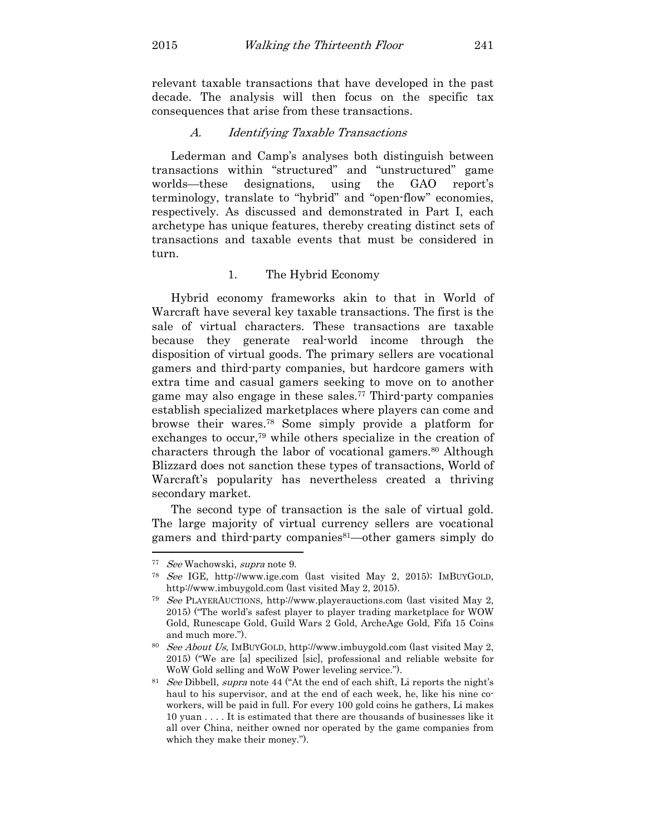relevant taxable transactions that have developed in the past decade. The analysis will then focus on the specific tax consequences that arise from these transactions.

#### A. Identifying Taxable Transactions

Lederman and Camp's analyses both distinguish between transactions within "structured" and "unstructured" game worlds—these designations, using the GAO report's terminology, translate to "hybrid" and "open-flow" economies, respectively. As discussed and demonstrated in Part I, each archetype has unique features, thereby creating distinct sets of transactions and taxable events that must be considered in turn.

## 1. The Hybrid Economy

Hybrid economy frameworks akin to that in World of Warcraft have several key taxable transactions. The first is the sale of virtual characters. These transactions are taxable because they generate real-world income through the disposition of virtual goods. The primary sellers are vocational gamers and third-party companies, but hardcore gamers with extra time and casual gamers seeking to move on to another game may also engage in these sales.77 Third-party companies establish specialized marketplaces where players can come and browse their wares.78 Some simply provide a platform for exchanges to occur,79 while others specialize in the creation of characters through the labor of vocational gamers.<sup>80</sup> Although Blizzard does not sanction these types of transactions, World of Warcraft's popularity has nevertheless created a thriving secondary market.

The second type of transaction is the sale of virtual gold. The large majority of virtual currency sellers are vocational gamers and third-party companies<sup>81</sup>—other gamers simply do l

<sup>77</sup> See Wachowski, supra note 9.

<sup>78</sup> See IGE, http://www.ige.com (last visited May 2, 2015); IMBUYGOLD, http://www.imbuygold.com (last visited May 2, 2015).

<sup>79</sup> See PLAYERAUCTIONS, http://www.playerauctions.com (last visited May 2, 2015) ("The world's safest player to player trading marketplace for WOW Gold, Runescape Gold, Guild Wars 2 Gold, ArcheAge Gold, Fifa 15 Coins and much more.").

<sup>80</sup> See About Us, IMBUYGOLD, http://www.imbuygold.com (last visited May 2, 2015) ("We are [a] specilized [sic], professional and reliable website for WoW Gold selling and WoW Power leveling service.").

<sup>&</sup>lt;sup>81</sup> See Dibbell, supra note 44 ("At the end of each shift, Li reports the night's haul to his supervisor, and at the end of each week, he, like his nine coworkers, will be paid in full. For every 100 gold coins he gathers, Li makes 10 yuan . . . . It is estimated that there are thousands of businesses like it all over China, neither owned nor operated by the game companies from which they make their money.").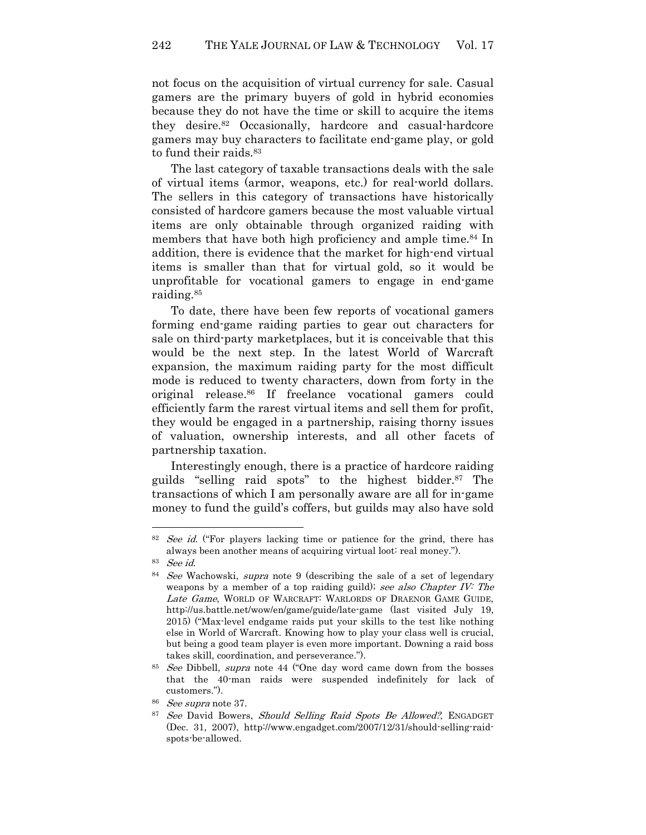not focus on the acquisition of virtual currency for sale. Casual gamers are the primary buyers of gold in hybrid economies because they do not have the time or skill to acquire the items they desire.82 Occasionally, hardcore and casual-hardcore gamers may buy characters to facilitate end-game play, or gold to fund their raids.<sup>83</sup>

The last category of taxable transactions deals with the sale of virtual items (armor, weapons, etc.) for real-world dollars. The sellers in this category of transactions have historically consisted of hardcore gamers because the most valuable virtual items are only obtainable through organized raiding with members that have both high proficiency and ample time.<sup>84</sup> In addition, there is evidence that the market for high-end virtual items is smaller than that for virtual gold, so it would be unprofitable for vocational gamers to engage in end-game raiding.<sup>85</sup>

To date, there have been few reports of vocational gamers forming end-game raiding parties to gear out characters for sale on third-party marketplaces, but it is conceivable that this would be the next step. In the latest World of Warcraft expansion, the maximum raiding party for the most difficult mode is reduced to twenty characters, down from forty in the original release.86 If freelance vocational gamers could efficiently farm the rarest virtual items and sell them for profit, they would be engaged in a partnership, raising thorny issues of valuation, ownership interests, and all other facets of partnership taxation.

Interestingly enough, there is a practice of hardcore raiding guilds "selling raid spots" to the highest bidder.87 The transactions of which I am personally aware are all for in-game money to fund the guild's coffers, but guilds may also have sold

<sup>&</sup>lt;sup>82</sup> See id. ("For players lacking time or patience for the grind, there has always been another means of acquiring virtual loot: real money.").

<sup>83</sup> See id.

<sup>&</sup>lt;sup>84</sup> See Wachowski, supra note 9 (describing the sale of a set of legendary weapons by a member of a top raiding guild); see also Chapter IV: The Late Game, WORLD OF WARCRAFT: WARLORDS OF DRAENOR GAME GUIDE, http://us.battle.net/wow/en/game/guide/late-game (last visited July 19, 2015) ("Max-level endgame raids put your skills to the test like nothing else in World of Warcraft. Knowing how to play your class well is crucial, but being a good team player is even more important. Downing a raid boss takes skill, coordination, and perseverance.").

<sup>&</sup>lt;sup>85</sup> See Dibbell, supra note 44 ("One day word came down from the bosses") that the 40-man raids were suspended indefinitely for lack of customers.").

<sup>86</sup> See supra note 37.

<sup>&</sup>lt;sup>87</sup> See David Bowers, Should Selling Raid Spots Be Allowed?, ENGADGET (Dec. 31, 2007), http://www.engadget.com/2007/12/31/should-selling-raidspots-be-allowed.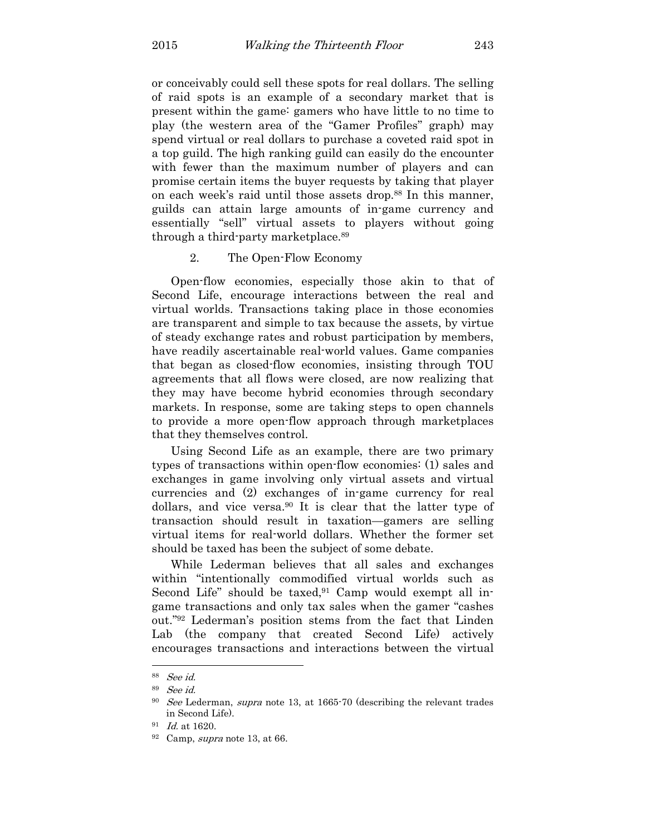or conceivably could sell these spots for real dollars. The selling of raid spots is an example of a secondary market that is present within the game: gamers who have little to no time to play (the western area of the "Gamer Profiles" graph) may spend virtual or real dollars to purchase a coveted raid spot in a top guild. The high ranking guild can easily do the encounter with fewer than the maximum number of players and can promise certain items the buyer requests by taking that player on each week's raid until those assets drop.88 In this manner, guilds can attain large amounts of in-game currency and essentially "sell" virtual assets to players without going through a third-party marketplace.<sup>89</sup>

## 2. The Open-Flow Economy

Open-flow economies, especially those akin to that of Second Life, encourage interactions between the real and virtual worlds. Transactions taking place in those economies are transparent and simple to tax because the assets, by virtue of steady exchange rates and robust participation by members, have readily ascertainable real-world values. Game companies that began as closed-flow economies, insisting through TOU agreements that all flows were closed, are now realizing that they may have become hybrid economies through secondary markets. In response, some are taking steps to open channels to provide a more open-flow approach through marketplaces that they themselves control.

Using Second Life as an example, there are two primary types of transactions within open-flow economies: (1) sales and exchanges in game involving only virtual assets and virtual currencies and (2) exchanges of in-game currency for real dollars, and vice versa.90 It is clear that the latter type of transaction should result in taxation—gamers are selling virtual items for real-world dollars. Whether the former set should be taxed has been the subject of some debate.

While Lederman believes that all sales and exchanges within "intentionally commodified virtual worlds such as Second Life" should be taxed, $91$  Camp would exempt all ingame transactions and only tax sales when the gamer "cashes out."92 Lederman's position stems from the fact that Linden Lab (the company that created Second Life) actively encourages transactions and interactions between the virtual

<sup>88</sup> See id.

<sup>89</sup> See id.

<sup>90</sup> See Lederman, supra note 13, at 1665-70 (describing the relevant trades in Second Life).

 $^{91}$  *Id.* at 1620.

 $92$  Camp, supra note 13, at 66.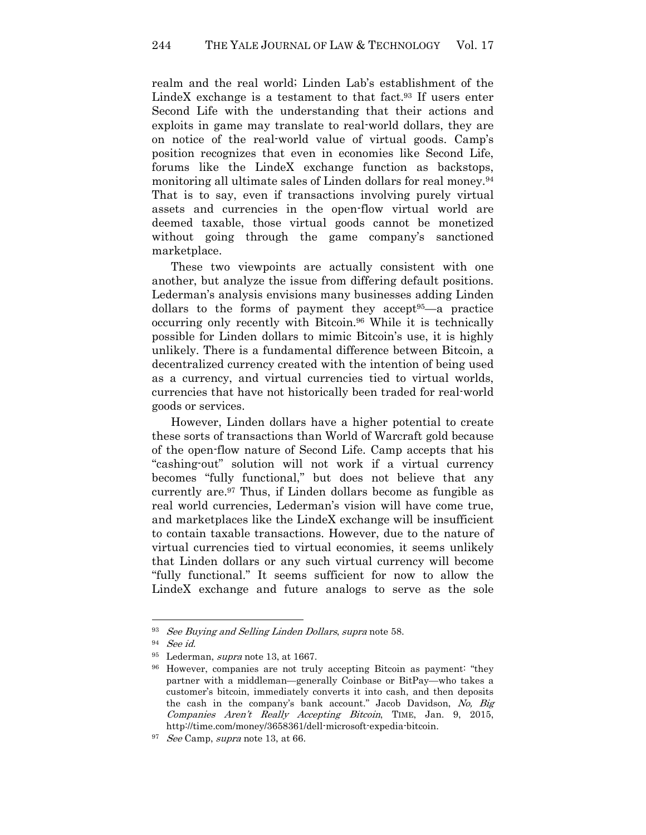realm and the real world; Linden Lab's establishment of the LindeX exchange is a testament to that fact. $93$  If users enter Second Life with the understanding that their actions and exploits in game may translate to real-world dollars, they are on notice of the real-world value of virtual goods. Camp's position recognizes that even in economies like Second Life, forums like the LindeX exchange function as backstops, monitoring all ultimate sales of Linden dollars for real money.<sup>94</sup> That is to say, even if transactions involving purely virtual assets and currencies in the open-flow virtual world are deemed taxable, those virtual goods cannot be monetized without going through the game company's sanctioned marketplace.

These two viewpoints are actually consistent with one another, but analyze the issue from differing default positions. Lederman's analysis envisions many businesses adding Linden dollars to the forms of payment they accept95—a practice occurring only recently with Bitcoin.96 While it is technically possible for Linden dollars to mimic Bitcoin's use, it is highly unlikely. There is a fundamental difference between Bitcoin, a decentralized currency created with the intention of being used as a currency, and virtual currencies tied to virtual worlds, currencies that have not historically been traded for real-world goods or services.

However, Linden dollars have a higher potential to create these sorts of transactions than World of Warcraft gold because of the open-flow nature of Second Life. Camp accepts that his "cashing-out" solution will not work if a virtual currency becomes "fully functional," but does not believe that any currently are.97 Thus, if Linden dollars become as fungible as real world currencies, Lederman's vision will have come true, and marketplaces like the LindeX exchange will be insufficient to contain taxable transactions. However, due to the nature of virtual currencies tied to virtual economies, it seems unlikely that Linden dollars or any such virtual currency will become "fully functional." It seems sufficient for now to allow the LindeX exchange and future analogs to serve as the sole

 $93$  See Buying and Selling Linden Dollars, supra note 58.

<sup>94</sup> See id.

<sup>&</sup>lt;sup>95</sup> Lederman, *supra* note 13, at 1667.

<sup>96</sup> However, companies are not truly accepting Bitcoin as payment: "they partner with a middleman—generally Coinbase or BitPay—who takes a customer's bitcoin, immediately converts it into cash, and then deposits the cash in the company's bank account." Jacob Davidson, No, Big Companies Aren't Really Accepting Bitcoin, TIME, Jan. 9, 2015, http://time.com/money/3658361/dell-microsoft-expedia-bitcoin.

<sup>&</sup>lt;sup>97</sup> *See* Camp, *supra* note 13, at 66.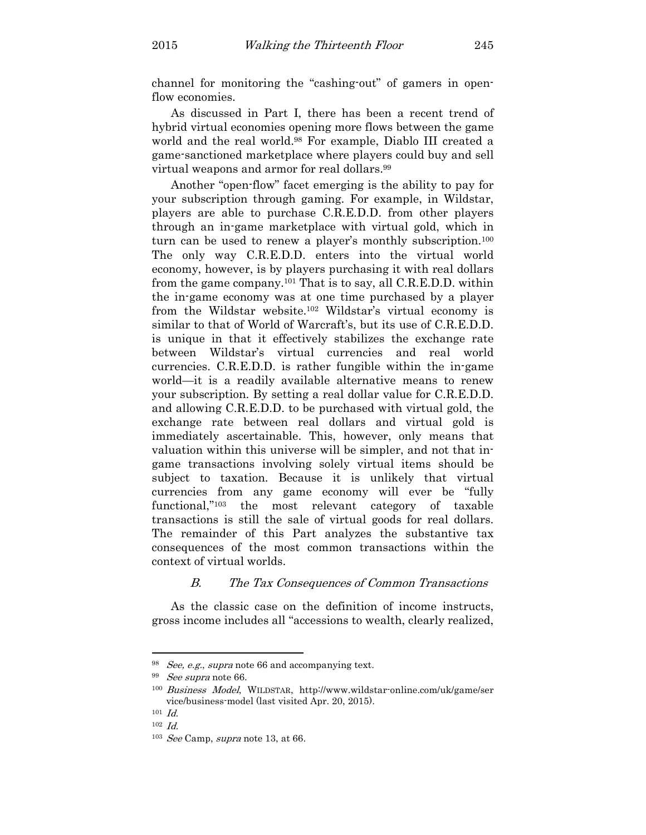channel for monitoring the "cashing-out" of gamers in openflow economies.

As discussed in Part I, there has been a recent trend of hybrid virtual economies opening more flows between the game world and the real world.98 For example, Diablo III created a game-sanctioned marketplace where players could buy and sell virtual weapons and armor for real dollars.<sup>99</sup>

Another "open-flow" facet emerging is the ability to pay for your subscription through gaming. For example, in Wildstar, players are able to purchase C.R.E.D.D. from other players through an in-game marketplace with virtual gold, which in turn can be used to renew a player's monthly subscription.<sup>100</sup> The only way C.R.E.D.D. enters into the virtual world economy, however, is by players purchasing it with real dollars from the game company.101 That is to say, all C.R.E.D.D. within the in-game economy was at one time purchased by a player from the Wildstar website.102 Wildstar's virtual economy is similar to that of World of Warcraft's, but its use of C.R.E.D.D. is unique in that it effectively stabilizes the exchange rate between Wildstar's virtual currencies and real world currencies. C.R.E.D.D. is rather fungible within the in-game world—it is a readily available alternative means to renew your subscription. By setting a real dollar value for C.R.E.D.D. and allowing C.R.E.D.D. to be purchased with virtual gold, the exchange rate between real dollars and virtual gold is immediately ascertainable. This, however, only means that valuation within this universe will be simpler, and not that ingame transactions involving solely virtual items should be subject to taxation. Because it is unlikely that virtual currencies from any game economy will ever be "fully functional,"103 the most relevant category of taxable transactions is still the sale of virtual goods for real dollars. The remainder of this Part analyzes the substantive tax consequences of the most common transactions within the context of virtual worlds.

## B. The Tax Consequences of Common Transactions

As the classic case on the definition of income instructs, gross income includes all "accessions to wealth, clearly realized,

 $98$  *See, e.g., supra* note 66 and accompanying text.

<sup>&</sup>lt;sup>99</sup> *See supra* note 66.

<sup>100</sup> Business Model, WILDSTAR, http://www.wildstar-online.com/uk/game/ser vice/business-model (last visited Apr. 20, 2015).

 $101$  *Id.* 

 $102$   $Id.$ 

<sup>&</sup>lt;sup>103</sup> See Camp, supra note 13, at 66.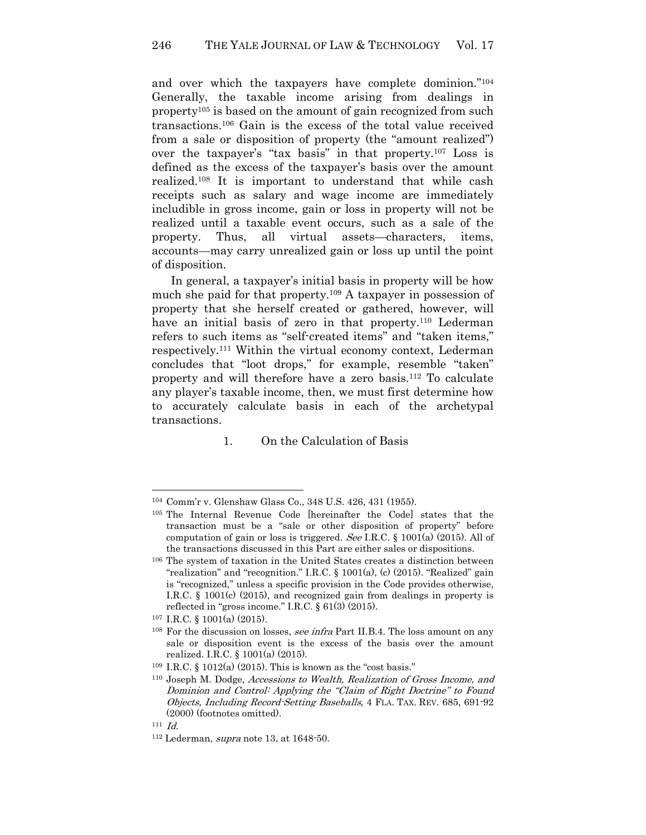and over which the taxpayers have complete dominion."<sup>104</sup> Generally, the taxable income arising from dealings in property105 is based on the amount of gain recognized from such transactions.106 Gain is the excess of the total value received from a sale or disposition of property (the "amount realized") over the taxpayer's "tax basis" in that property.107 Loss is defined as the excess of the taxpayer's basis over the amount realized.108 It is important to understand that while cash receipts such as salary and wage income are immediately includible in gross income, gain or loss in property will not be realized until a taxable event occurs, such as a sale of the property. Thus, all virtual assets—characters, items, accounts—may carry unrealized gain or loss up until the point of disposition.

In general, a taxpayer's initial basis in property will be how much she paid for that property.109 A taxpayer in possession of property that she herself created or gathered, however, will have an initial basis of zero in that property.<sup>110</sup> Lederman refers to such items as "self-created items" and "taken items," respectively.111 Within the virtual economy context, Lederman concludes that "loot drops," for example, resemble "taken" property and will therefore have a zero basis.112 To calculate any player's taxable income, then, we must first determine how to accurately calculate basis in each of the archetypal transactions.

1. On the Calculation of Basis

<sup>104</sup> Comm'r v. Glenshaw Glass Co., 348 U.S. 426, 431 (1955).

<sup>105</sup> The Internal Revenue Code [hereinafter the Code] states that the transaction must be a "sale or other disposition of property" before computation of gain or loss is triggered. See I.R.C. § 1001(a) (2015). All of the transactions discussed in this Part are either sales or dispositions.

<sup>106</sup> The system of taxation in the United States creates a distinction between "realization" and "recognition." I.R.C. § 1001(a), (c) (2015). "Realized" gain is "recognized," unless a specific provision in the Code provides otherwise, I.R.C. § 1001(c) (2015), and recognized gain from dealings in property is reflected in "gross income." I.R.C. § 61(3) (2015).

<sup>107</sup> I.R.C. § 1001(a) (2015).

<sup>&</sup>lt;sup>108</sup> For the discussion on losses, *see infra* Part II.B.4. The loss amount on any sale or disposition event is the excess of the basis over the amount realized. I.R.C. § 1001(a) (2015).

<sup>109</sup> I.R.C. § 1012(a) (2015). This is known as the "cost basis."

<sup>110</sup> Joseph M. Dodge, Accessions to Wealth, Realization of Gross Income, and Dominion and Control: Applying the "Claim of Right Doctrine" to Found Objects, Including Record-Setting Baseballs, 4 FLA. TAX. REV. 685, 691-92 (2000) (footnotes omitted).

 $111$  *Id.* 

<sup>112</sup> Lederman, supra note 13, at 1648-50.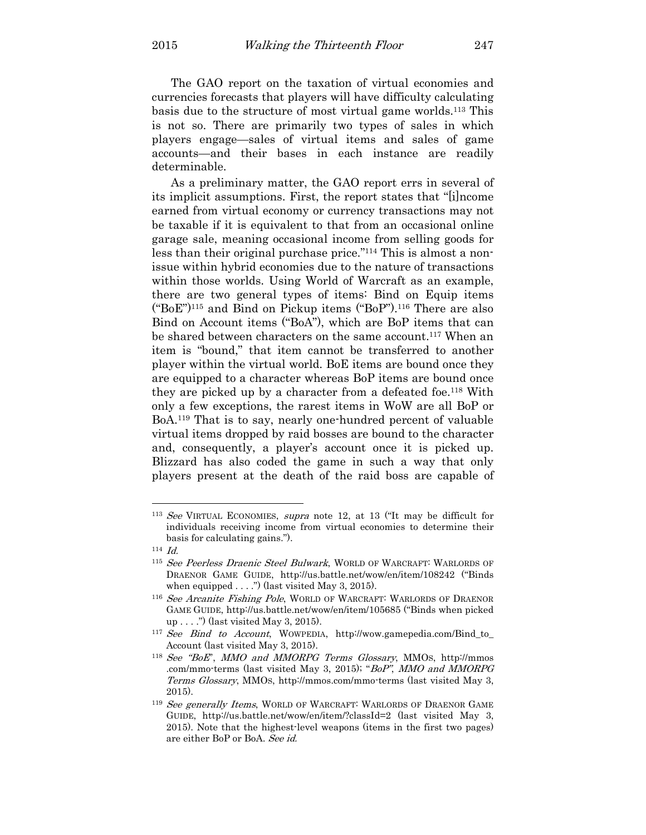The GAO report on the taxation of virtual economies and currencies forecasts that players will have difficulty calculating basis due to the structure of most virtual game worlds.113 This is not so. There are primarily two types of sales in which players engage—sales of virtual items and sales of game accounts—and their bases in each instance are readily determinable.

As a preliminary matter, the GAO report errs in several of its implicit assumptions. First, the report states that "[i]ncome earned from virtual economy or currency transactions may not be taxable if it is equivalent to that from an occasional online garage sale, meaning occasional income from selling goods for less than their original purchase price."114 This is almost a nonissue within hybrid economies due to the nature of transactions within those worlds. Using World of Warcraft as an example, there are two general types of items: Bind on Equip items  $("BoE")<sup>115</sup>$  and Bind on Pickup items  $("BoP")<sup>116</sup>$  There are also Bind on Account items ("BoA"), which are BoP items that can be shared between characters on the same account.<sup>117</sup> When an item is "bound," that item cannot be transferred to another player within the virtual world. BoE items are bound once they are equipped to a character whereas BoP items are bound once they are picked up by a character from a defeated foe.118 With only a few exceptions, the rarest items in WoW are all BoP or BoA.119 That is to say, nearly one-hundred percent of valuable virtual items dropped by raid bosses are bound to the character and, consequently, a player's account once it is picked up. Blizzard has also coded the game in such a way that only players present at the death of the raid boss are capable of

<sup>113</sup> See VIRTUAL ECONOMIES, supra note 12, at 13 ("It may be difficult for individuals receiving income from virtual economies to determine their basis for calculating gains.").

 $114$   $Id.$ 

<sup>&</sup>lt;sup>115</sup> See Peerless Draenic Steel Bulwark, WORLD OF WARCRAFT: WARLORDS OF DRAENOR GAME GUIDE, http://us.battle.net/wow/en/item/108242 ("Binds when equipped  $\dots$ .") (last visited May 3, 2015).

<sup>&</sup>lt;sup>116</sup> See Arcanite Fishing Pole, WORLD OF WARCRAFT: WARLORDS OF DRAENOR GAME GUIDE, http://us.battle.net/wow/en/item/105685 ("Binds when picked up . . . .") (last visited May 3, 2015).

<sup>117</sup> See Bind to Account, WOWPEDIA, http://wow.gamepedia.com/Bind\_to\_ Account (last visited May 3, 2015).

<sup>118</sup> See "BoE", MMO and MMORPG Terms Glossary, MMOS, http://mmos .com/mmo-terms (last visited May 3, 2015); "BoP", MMO and MMORPG Terms Glossary, MMOS, http://mmos.com/mmo-terms (last visited May 3, 2015).

<sup>&</sup>lt;sup>119</sup> See generally Items, WORLD OF WARCRAFT: WARLORDS OF DRAENOR GAME GUIDE, http://us.battle.net/wow/en/item/?classId=2 (last visited May 3, 2015). Note that the highest-level weapons (items in the first two pages) are either BoP or BoA. See id.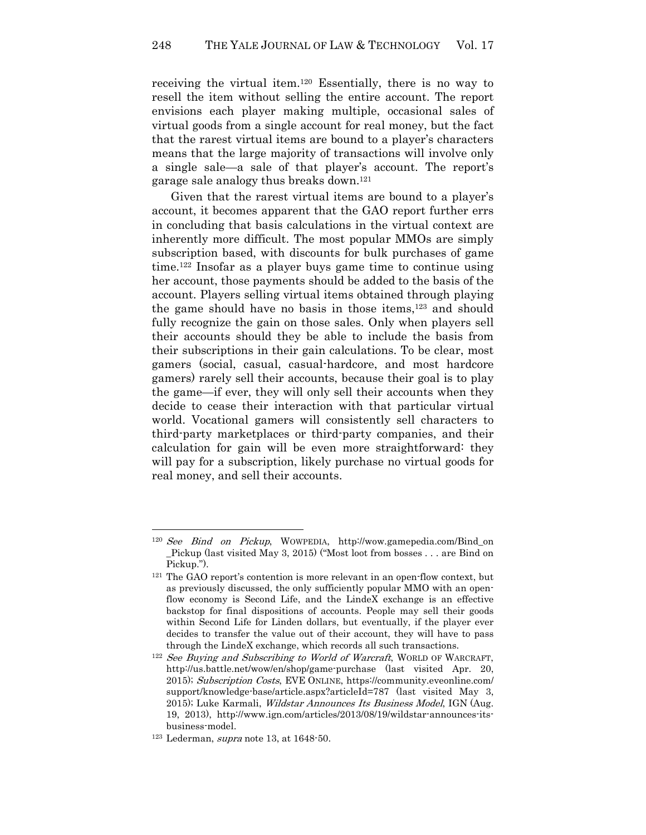receiving the virtual item.120 Essentially, there is no way to resell the item without selling the entire account. The report envisions each player making multiple, occasional sales of virtual goods from a single account for real money, but the fact that the rarest virtual items are bound to a player's characters means that the large majority of transactions will involve only a single sale—a sale of that player's account. The report's garage sale analogy thus breaks down.<sup>121</sup>

Given that the rarest virtual items are bound to a player's account, it becomes apparent that the GAO report further errs in concluding that basis calculations in the virtual context are inherently more difficult. The most popular MMOs are simply subscription based, with discounts for bulk purchases of game time.122 Insofar as a player buys game time to continue using her account, those payments should be added to the basis of the account. Players selling virtual items obtained through playing the game should have no basis in those items,123 and should fully recognize the gain on those sales. Only when players sell their accounts should they be able to include the basis from their subscriptions in their gain calculations. To be clear, most gamers (social, casual, casual-hardcore, and most hardcore gamers) rarely sell their accounts, because their goal is to play the game—if ever, they will only sell their accounts when they decide to cease their interaction with that particular virtual world. Vocational gamers will consistently sell characters to third-party marketplaces or third-party companies, and their calculation for gain will be even more straightforward: they will pay for a subscription, likely purchase no virtual goods for real money, and sell their accounts.

 $120$  See Bind on Pickup, WOWPEDIA, http://wow.gamepedia.com/Bind\_on \_Pickup (last visited May 3, 2015) ("Most loot from bosses . . . are Bind on Pickup.").

<sup>121</sup> The GAO report's contention is more relevant in an open-flow context, but as previously discussed, the only sufficiently popular MMO with an openflow economy is Second Life, and the LindeX exchange is an effective backstop for final dispositions of accounts. People may sell their goods within Second Life for Linden dollars, but eventually, if the player ever decides to transfer the value out of their account, they will have to pass through the LindeX exchange, which records all such transactions.

<sup>&</sup>lt;sup>122</sup> See Buying and Subscribing to World of Warcraft, WORLD OF WARCRAFT, http://us.battle.net/wow/en/shop/game-purchase (last visited Apr. 20, 2015); Subscription Costs, EVE ONLINE, https://community.eveonline.com/ support/knowledge-base/article.aspx?articleId=787 (last visited May 3, 2015); Luke Karmali, *Wildstar Announces Its Business Model*, IGN (Aug. 19, 2013), http://www.ign.com/articles/2013/08/19/wildstar-announces-itsbusiness-model.

<sup>123</sup> Lederman, supra note 13, at 1648-50.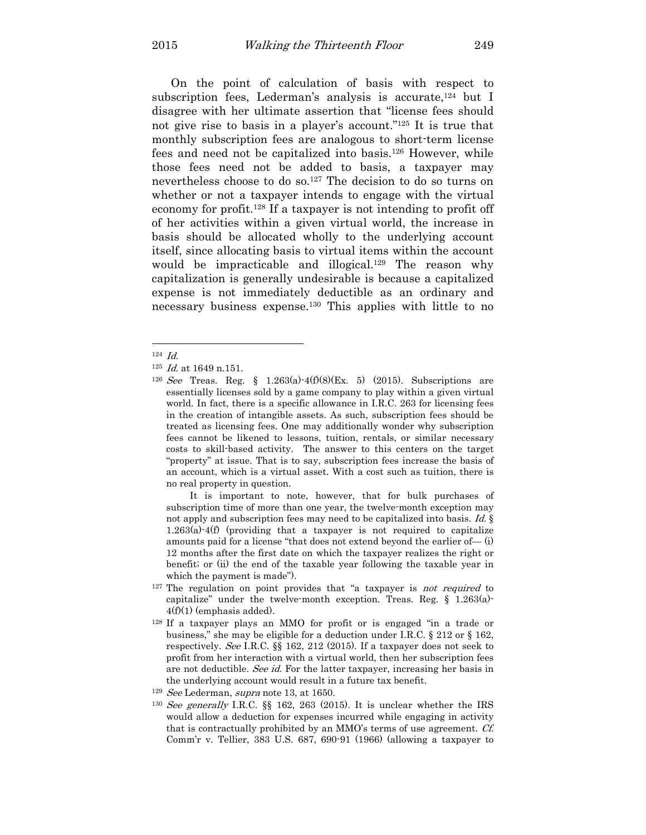On the point of calculation of basis with respect to subscription fees, Lederman's analysis is accurate, $124$  but I disagree with her ultimate assertion that "license fees should not give rise to basis in a player's account."125 It is true that monthly subscription fees are analogous to short-term license fees and need not be capitalized into basis.126 However, while those fees need not be added to basis, a taxpayer may nevertheless choose to do so.127 The decision to do so turns on whether or not a taxpayer intends to engage with the virtual economy for profit.128 If a taxpayer is not intending to profit off of her activities within a given virtual world, the increase in basis should be allocated wholly to the underlying account itself, since allocating basis to virtual items within the account would be impracticable and illogical.<sup>129</sup> The reason why capitalization is generally undesirable is because a capitalized expense is not immediately deductible as an ordinary and necessary business expense.130 This applies with little to no

 $\overline{a}$ 

It is important to note, however, that for bulk purchases of subscription time of more than one year, the twelve-month exception may not apply and subscription fees may need to be capitalized into basis. Id. § 1.263(a)-4(f) (providing that a taxpayer is not required to capitalize amounts paid for a license "that does not extend beyond the earlier of— (i) 12 months after the first date on which the taxpayer realizes the right or benefit; or (ii) the end of the taxable year following the taxable year in which the payment is made").

- $127$  The regulation on point provides that "a taxpayer is *not required* to capitalize" under the twelve-month exception. Treas. Reg. § 1.263(a)-  $4(f)(1)$  (emphasis added).
- <sup>128</sup> If a taxpayer plays an MMO for profit or is engaged "in a trade or business," she may be eligible for a deduction under I.R.C. § 212 or § 162, respectively. See I.R.C. §§ 162, 212 (2015). If a taxpayer does not seek to profit from her interaction with a virtual world, then her subscription fees are not deductible. See id. For the latter taxpayer, increasing her basis in the underlying account would result in a future tax benefit.

 $124$   $Id.$ 

 $125$  *Id.* at 1649 n.151.

<sup>&</sup>lt;sup>126</sup> See Treas. Reg. § 1.263(a)-4(f)(8)(Ex. 5) (2015). Subscriptions are essentially licenses sold by a game company to play within a given virtual world. In fact, there is a specific allowance in I.R.C. 263 for licensing fees in the creation of intangible assets. As such, subscription fees should be treated as licensing fees. One may additionally wonder why subscription fees cannot be likened to lessons, tuition, rentals, or similar necessary costs to skill-based activity. The answer to this centers on the target "property" at issue. That is to say, subscription fees increase the basis of an account, which is a virtual asset. With a cost such as tuition, there is no real property in question.

<sup>&</sup>lt;sup>129</sup> See Lederman, supra note 13, at 1650.

<sup>&</sup>lt;sup>130</sup> See generally I.R.C. §§ 162, 263 (2015). It is unclear whether the IRS would allow a deduction for expenses incurred while engaging in activity that is contractually prohibited by an MMO's terms of use agreement. Cf. Comm'r v. Tellier, 383 U.S. 687, 690-91 (1966) (allowing a taxpayer to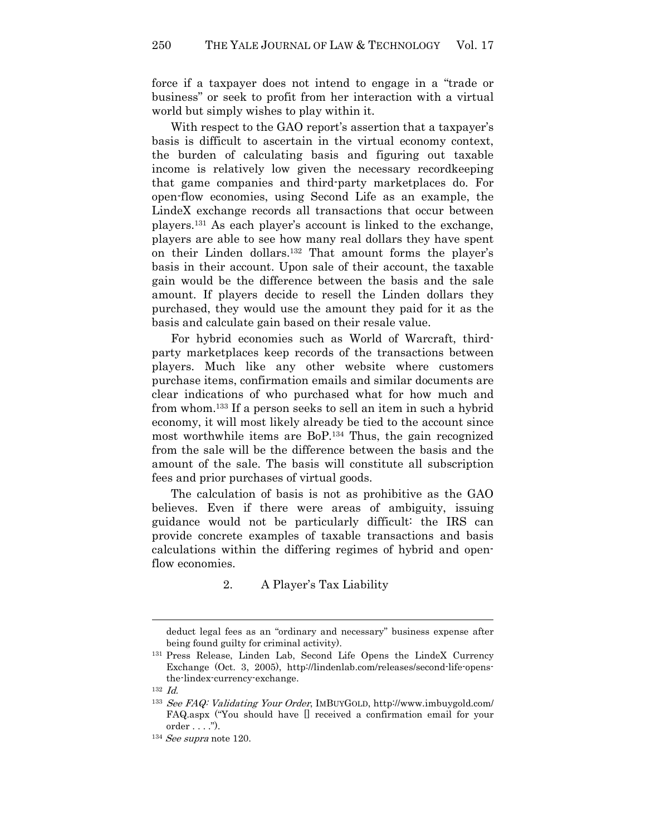force if a taxpayer does not intend to engage in a "trade or business" or seek to profit from her interaction with a virtual world but simply wishes to play within it.

With respect to the GAO report's assertion that a taxpayer's basis is difficult to ascertain in the virtual economy context, the burden of calculating basis and figuring out taxable income is relatively low given the necessary recordkeeping that game companies and third-party marketplaces do. For open-flow economies, using Second Life as an example, the LindeX exchange records all transactions that occur between players.131 As each player's account is linked to the exchange, players are able to see how many real dollars they have spent on their Linden dollars.132 That amount forms the player's basis in their account. Upon sale of their account, the taxable gain would be the difference between the basis and the sale amount. If players decide to resell the Linden dollars they purchased, they would use the amount they paid for it as the basis and calculate gain based on their resale value.

For hybrid economies such as World of Warcraft, thirdparty marketplaces keep records of the transactions between players. Much like any other website where customers purchase items, confirmation emails and similar documents are clear indications of who purchased what for how much and from whom.133 If a person seeks to sell an item in such a hybrid economy, it will most likely already be tied to the account since most worthwhile items are BoP.134 Thus, the gain recognized from the sale will be the difference between the basis and the amount of the sale. The basis will constitute all subscription fees and prior purchases of virtual goods.

The calculation of basis is not as prohibitive as the GAO believes. Even if there were areas of ambiguity, issuing guidance would not be particularly difficult: the IRS can provide concrete examples of taxable transactions and basis calculations within the differing regimes of hybrid and openflow economies.

2. A Player's Tax Liability

deduct legal fees as an "ordinary and necessary" business expense after being found guilty for criminal activity).

<sup>131</sup> Press Release, Linden Lab, Second Life Opens the LindeX Currency Exchange (Oct. 3, 2005), http://lindenlab.com/releases/second-life-opensthe-lindex-currency-exchange.

 $132$  *Id.* 

<sup>133</sup> See FAQ: Validating Your Order, IMBUYGOLD, http://www.imbuygold.com/ FAQ.aspx ("You should have [] received a confirmation email for your order . . . .").

 $134$  See supra note 120.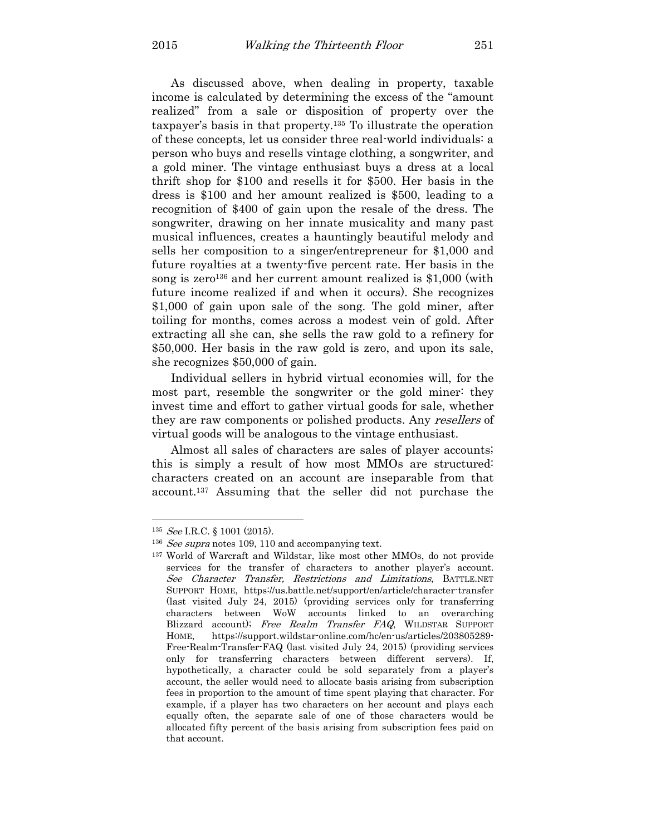As discussed above, when dealing in property, taxable income is calculated by determining the excess of the "amount realized" from a sale or disposition of property over the taxpayer's basis in that property.135 To illustrate the operation of these concepts, let us consider three real-world individuals: a person who buys and resells vintage clothing, a songwriter, and a gold miner. The vintage enthusiast buys a dress at a local thrift shop for \$100 and resells it for \$500. Her basis in the dress is \$100 and her amount realized is \$500, leading to a recognition of \$400 of gain upon the resale of the dress. The songwriter, drawing on her innate musicality and many past musical influences, creates a hauntingly beautiful melody and sells her composition to a singer/entrepreneur for \$1,000 and future royalties at a twenty-five percent rate. Her basis in the song is zero<sup>136</sup> and her current amount realized is  $$1,000$  (with future income realized if and when it occurs). She recognizes \$1,000 of gain upon sale of the song. The gold miner, after toiling for months, comes across a modest vein of gold. After extracting all she can, she sells the raw gold to a refinery for \$50,000. Her basis in the raw gold is zero, and upon its sale, she recognizes \$50,000 of gain.

Individual sellers in hybrid virtual economies will, for the most part, resemble the songwriter or the gold miner: they invest time and effort to gather virtual goods for sale, whether they are raw components or polished products. Any resellers of virtual goods will be analogous to the vintage enthusiast.

Almost all sales of characters are sales of player accounts; this is simply a result of how most MMOs are structured: characters created on an account are inseparable from that account.137 Assuming that the seller did not purchase the

 $^{135}$  *See* I.R.C. § 1001 (2015).

<sup>&</sup>lt;sup>136</sup> See supra notes 109, 110 and accompanying text.

<sup>137</sup> World of Warcraft and Wildstar, like most other MMOs, do not provide services for the transfer of characters to another player's account. See Character Transfer, Restrictions and Limitations, BATTLE.NET SUPPORT HOME, https://us.battle.net/support/en/article/character-transfer (last visited July 24, 2015) (providing services only for transferring characters between WoW accounts linked to an overarching Blizzard account); Free Realm Transfer FAQ, WILDSTAR SUPPORT HOME, https://support.wildstar-online.com/hc/en-us/articles/203805289- Free-Realm-Transfer-FAQ (last visited July 24, 2015) (providing services only for transferring characters between different servers). If, hypothetically, a character could be sold separately from a player's account, the seller would need to allocate basis arising from subscription fees in proportion to the amount of time spent playing that character. For example, if a player has two characters on her account and plays each equally often, the separate sale of one of those characters would be allocated fifty percent of the basis arising from subscription fees paid on that account.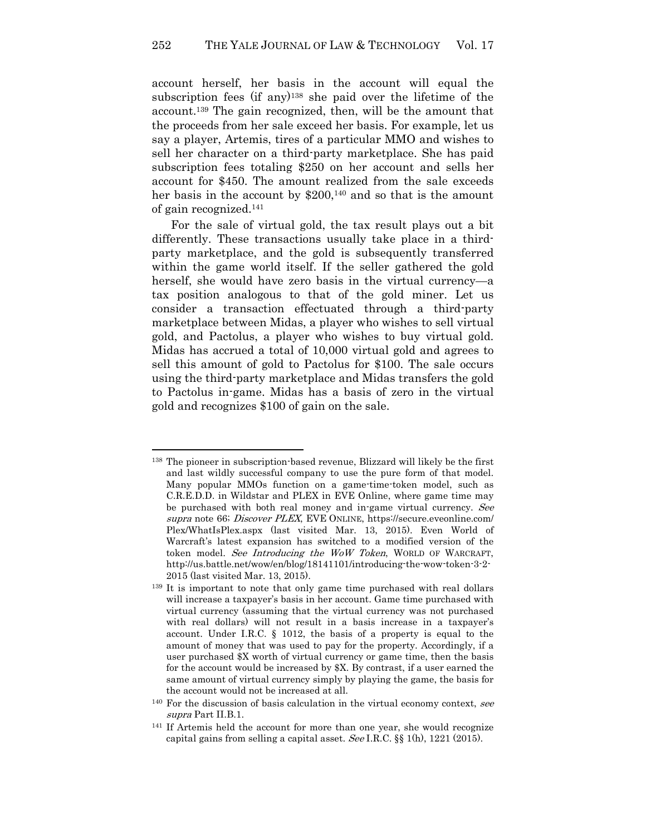account herself, her basis in the account will equal the subscription fees (if any)138 she paid over the lifetime of the account.139 The gain recognized, then, will be the amount that the proceeds from her sale exceed her basis. For example, let us say a player, Artemis, tires of a particular MMO and wishes to sell her character on a third-party marketplace. She has paid subscription fees totaling \$250 on her account and sells her account for \$450. The amount realized from the sale exceeds her basis in the account by \$200,<sup>140</sup> and so that is the amount of gain recognized.<sup>141</sup>

For the sale of virtual gold, the tax result plays out a bit differently. These transactions usually take place in a thirdparty marketplace, and the gold is subsequently transferred within the game world itself. If the seller gathered the gold herself, she would have zero basis in the virtual currency—a tax position analogous to that of the gold miner. Let us consider a transaction effectuated through a third-party marketplace between Midas, a player who wishes to sell virtual gold, and Pactolus, a player who wishes to buy virtual gold. Midas has accrued a total of 10,000 virtual gold and agrees to sell this amount of gold to Pactolus for \$100. The sale occurs using the third-party marketplace and Midas transfers the gold to Pactolus in-game. Midas has a basis of zero in the virtual gold and recognizes \$100 of gain on the sale.

<sup>138</sup> The pioneer in subscription-based revenue, Blizzard will likely be the first and last wildly successful company to use the pure form of that model. Many popular MMOs function on a game-time-token model, such as C.R.E.D.D. in Wildstar and PLEX in EVE Online, where game time may be purchased with both real money and in-game virtual currency. See supra note 66; Discover PLEX, EVE ONLINE, https://secure.eveonline.com/ Plex/WhatIsPlex.aspx (last visited Mar. 13, 2015). Even World of Warcraft's latest expansion has switched to a modified version of the token model. See Introducing the WoW Token, WORLD OF WARCRAFT, http://us.battle.net/wow/en/blog/18141101/introducing-the-wow-token-3-2- 2015 (last visited Mar. 13, 2015).

<sup>139</sup> It is important to note that only game time purchased with real dollars will increase a taxpayer's basis in her account. Game time purchased with virtual currency (assuming that the virtual currency was not purchased with real dollars) will not result in a basis increase in a taxpayer's account. Under I.R.C. § 1012, the basis of a property is equal to the amount of money that was used to pay for the property. Accordingly, if a user purchased \$X worth of virtual currency or game time, then the basis for the account would be increased by \$X. By contrast, if a user earned the same amount of virtual currency simply by playing the game, the basis for the account would not be increased at all.

 $140$  For the discussion of basis calculation in the virtual economy context, see supra Part II.B.1.

<sup>141</sup> If Artemis held the account for more than one year, she would recognize capital gains from selling a capital asset. See I.R.C. §§ 1(h), 1221 (2015).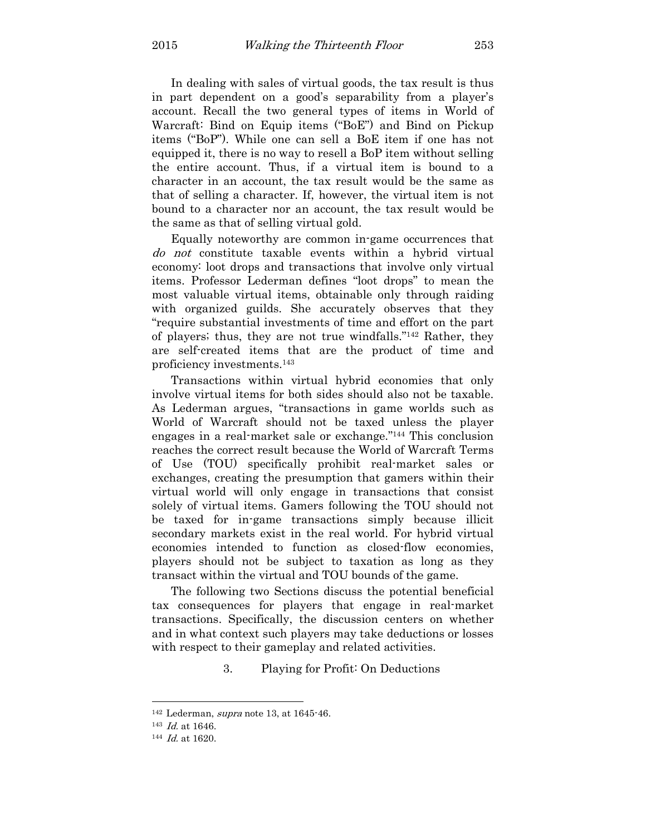In dealing with sales of virtual goods, the tax result is thus in part dependent on a good's separability from a player's account. Recall the two general types of items in World of Warcraft: Bind on Equip items ("BoE") and Bind on Pickup items ("BoP"). While one can sell a BoE item if one has not equipped it, there is no way to resell a BoP item without selling the entire account. Thus, if a virtual item is bound to a character in an account, the tax result would be the same as that of selling a character. If, however, the virtual item is not bound to a character nor an account, the tax result would be the same as that of selling virtual gold.

Equally noteworthy are common in-game occurrences that do not constitute taxable events within a hybrid virtual economy: loot drops and transactions that involve only virtual items. Professor Lederman defines "loot drops" to mean the most valuable virtual items, obtainable only through raiding with organized guilds. She accurately observes that they "require substantial investments of time and effort on the part of players; thus, they are not true windfalls."142 Rather, they are self-created items that are the product of time and proficiency investments.<sup>143</sup>

Transactions within virtual hybrid economies that only involve virtual items for both sides should also not be taxable. As Lederman argues, "transactions in game worlds such as World of Warcraft should not be taxed unless the player engages in a real-market sale or exchange."144 This conclusion reaches the correct result because the World of Warcraft Terms of Use (TOU) specifically prohibit real-market sales or exchanges, creating the presumption that gamers within their virtual world will only engage in transactions that consist solely of virtual items. Gamers following the TOU should not be taxed for in-game transactions simply because illicit secondary markets exist in the real world. For hybrid virtual economies intended to function as closed-flow economies, players should not be subject to taxation as long as they transact within the virtual and TOU bounds of the game.

The following two Sections discuss the potential beneficial tax consequences for players that engage in real-market transactions. Specifically, the discussion centers on whether and in what context such players may take deductions or losses with respect to their gameplay and related activities.

3. Playing for Profit: On Deductions

<sup>142</sup> Lederman, supra note 13, at 1645-46.

<sup>143</sup> Id. at 1646.

<sup>&</sup>lt;sup>144</sup> *Id.* at 1620.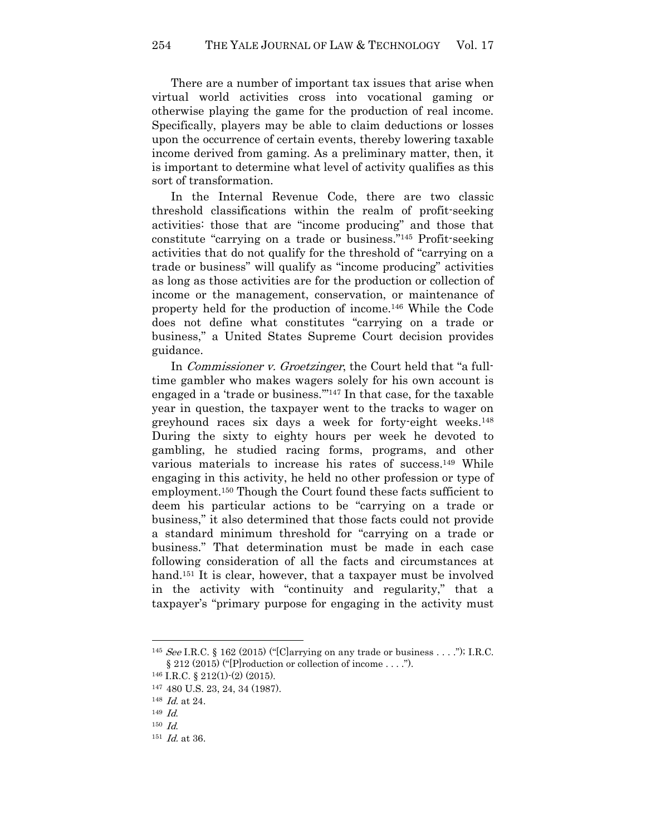There are a number of important tax issues that arise when virtual world activities cross into vocational gaming or otherwise playing the game for the production of real income. Specifically, players may be able to claim deductions or losses upon the occurrence of certain events, thereby lowering taxable income derived from gaming. As a preliminary matter, then, it is important to determine what level of activity qualifies as this sort of transformation.

In the Internal Revenue Code, there are two classic threshold classifications within the realm of profit-seeking activities: those that are "income producing" and those that constitute "carrying on a trade or business."145 Profit-seeking activities that do not qualify for the threshold of "carrying on a trade or business" will qualify as "income producing" activities as long as those activities are for the production or collection of income or the management, conservation, or maintenance of property held for the production of income.146 While the Code does not define what constitutes "carrying on a trade or business," a United States Supreme Court decision provides guidance.

In *Commissioner v. Groetzinger*, the Court held that "a fulltime gambler who makes wagers solely for his own account is engaged in a 'trade or business.'"147 In that case, for the taxable year in question, the taxpayer went to the tracks to wager on greyhound races six days a week for forty-eight weeks.<sup>148</sup> During the sixty to eighty hours per week he devoted to gambling, he studied racing forms, programs, and other various materials to increase his rates of success.149 While engaging in this activity, he held no other profession or type of employment.150 Though the Court found these facts sufficient to deem his particular actions to be "carrying on a trade or business," it also determined that those facts could not provide a standard minimum threshold for "carrying on a trade or business." That determination must be made in each case following consideration of all the facts and circumstances at hand.<sup>151</sup> It is clear, however, that a taxpayer must be involved in the activity with "continuity and regularity," that a taxpayer's "primary purpose for engaging in the activity must

<sup>145</sup> See I.R.C. § 162 (2015) ("[C]arrying on any trade or business . . . ."); I.R.C.  $\S 212 (2015)$  ("|P|roduction or collection of income ....").

 $146$  I.R.C. § 212(1)-(2) (2015).

<sup>147</sup> 480 U.S. 23, 24, 34 (1987).

 $148$  *Id.* at 24.

 $149$   $Id.$ 

 $150$   $Id.$ 

 $151$  *Id.* at 36.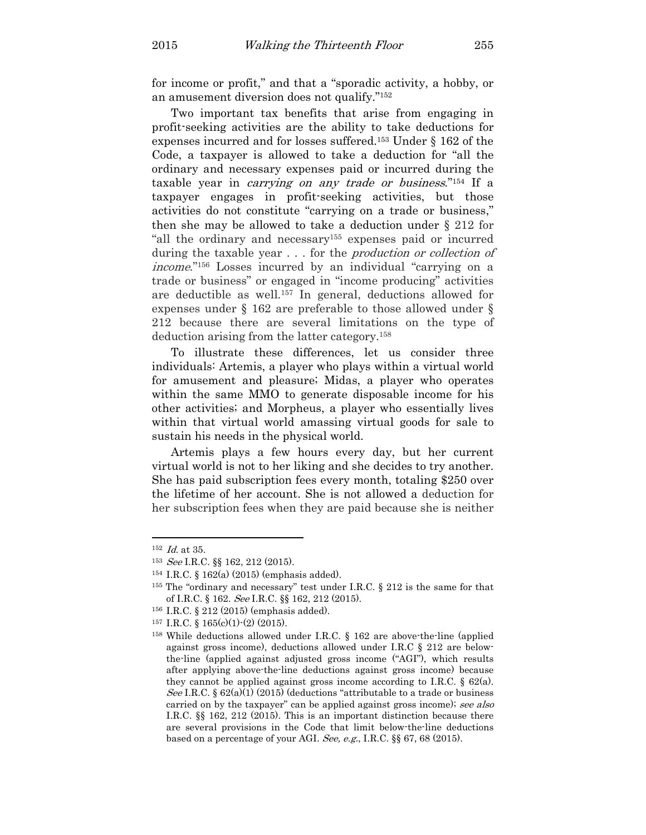for income or profit," and that a "sporadic activity, a hobby, or an amusement diversion does not qualify."<sup>152</sup>

Two important tax benefits that arise from engaging in profit-seeking activities are the ability to take deductions for expenses incurred and for losses suffered.153 Under § 162 of the Code, a taxpayer is allowed to take a deduction for "all the ordinary and necessary expenses paid or incurred during the taxable year in carrying on any trade or business."154 If a taxpayer engages in profit-seeking activities, but those activities do not constitute "carrying on a trade or business," then she may be allowed to take a deduction under § 212 for "all the ordinary and necessary155 expenses paid or incurred during the taxable year . . . for the *production or collection of* income."156 Losses incurred by an individual "carrying on a trade or business" or engaged in "income producing" activities are deductible as well.157 In general, deductions allowed for expenses under § 162 are preferable to those allowed under § 212 because there are several limitations on the type of deduction arising from the latter category.<sup>158</sup>

To illustrate these differences, let us consider three individuals: Artemis, a player who plays within a virtual world for amusement and pleasure; Midas, a player who operates within the same MMO to generate disposable income for his other activities; and Morpheus, a player who essentially lives within that virtual world amassing virtual goods for sale to sustain his needs in the physical world.

Artemis plays a few hours every day, but her current virtual world is not to her liking and she decides to try another. She has paid subscription fees every month, totaling \$250 over the lifetime of her account. She is not allowed a deduction for her subscription fees when they are paid because she is neither

 $152$  *Id.* at 35.

<sup>153</sup> See I.R.C. §§ 162, 212 (2015).

<sup>154</sup> I.R.C. § 162(a) (2015) (emphasis added).

<sup>155</sup> The "ordinary and necessary" test under I.R.C. § 212 is the same for that of I.R.C. § 162. See I.R.C. §§ 162, 212 (2015).

<sup>156</sup> I.R.C. § 212 (2015) (emphasis added).

<sup>157</sup> I.R.C. §  $165(c)(1)-(2)(2015)$ .

<sup>158</sup> While deductions allowed under I.R.C. § 162 are above-the-line (applied against gross income), deductions allowed under I.R.C § 212 are belowthe-line (applied against adjusted gross income ("AGI"), which results after applying above-the-line deductions against gross income) because they cannot be applied against gross income according to I.R.C.  $\S 62(a)$ . See I.R.C. § 62(a)(1) (2015) (deductions "attributable to a trade or business carried on by the taxpayer" can be applied against gross income); see also I.R.C. §§ 162, 212 (2015). This is an important distinction because there are several provisions in the Code that limit below-the-line deductions based on a percentage of your AGI. See, e.g., I.R.C. §§ 67, 68 (2015).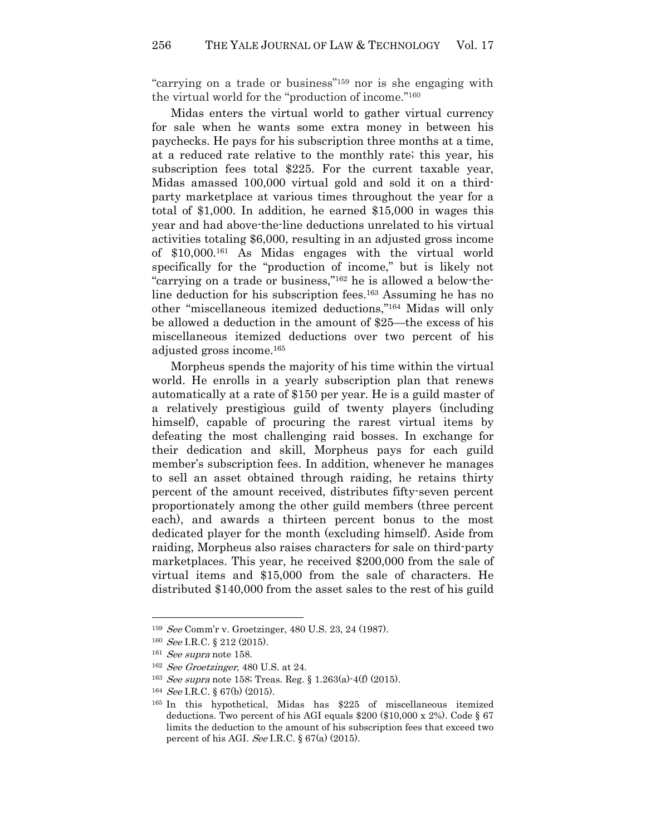"carrying on a trade or business"159 nor is she engaging with the virtual world for the "production of income."<sup>160</sup>

Midas enters the virtual world to gather virtual currency for sale when he wants some extra money in between his paychecks. He pays for his subscription three months at a time, at a reduced rate relative to the monthly rate; this year, his subscription fees total \$225. For the current taxable year, Midas amassed 100,000 virtual gold and sold it on a thirdparty marketplace at various times throughout the year for a total of \$1,000. In addition, he earned \$15,000 in wages this year and had above-the-line deductions unrelated to his virtual activities totaling \$6,000, resulting in an adjusted gross income of \$10,000.161 As Midas engages with the virtual world specifically for the "production of income," but is likely not "carrying on a trade or business,"162 he is allowed a below-theline deduction for his subscription fees.163 Assuming he has no other "miscellaneous itemized deductions,"164 Midas will only be allowed a deduction in the amount of \$25—the excess of his miscellaneous itemized deductions over two percent of his adjusted gross income.<sup>165</sup>

Morpheus spends the majority of his time within the virtual world. He enrolls in a yearly subscription plan that renews automatically at a rate of \$150 per year. He is a guild master of a relatively prestigious guild of twenty players (including himself), capable of procuring the rarest virtual items by defeating the most challenging raid bosses. In exchange for their dedication and skill, Morpheus pays for each guild member's subscription fees. In addition, whenever he manages to sell an asset obtained through raiding, he retains thirty percent of the amount received, distributes fifty-seven percent proportionately among the other guild members (three percent each), and awards a thirteen percent bonus to the most dedicated player for the month (excluding himself). Aside from raiding, Morpheus also raises characters for sale on third-party marketplaces. This year, he received \$200,000 from the sale of virtual items and \$15,000 from the sale of characters. He distributed \$140,000 from the asset sales to the rest of his guild

<sup>159</sup> See Comm'r v. Groetzinger, 480 U.S. 23, 24 (1987).

 $160 \text{ See I.R.C. } \S 212 (2015).$ 

 $161$  *See supra* note 158.

<sup>162</sup> See Groetzinger, 480 U.S. at 24.

<sup>&</sup>lt;sup>163</sup> See supra note 158; Treas. Reg. § 1.263(a)-4(f) (2015).

<sup>&</sup>lt;sup>164</sup> *See* I.R.C. § 67(b) (2015).

<sup>165</sup> In this hypothetical, Midas has \$225 of miscellaneous itemized deductions. Two percent of his AGI equals  $$200$  ( $$10,000 \times 2\%$ ). Code  $§$  67 limits the deduction to the amount of his subscription fees that exceed two percent of his AGI. See I.R.C.  $\S 67(a)$  (2015).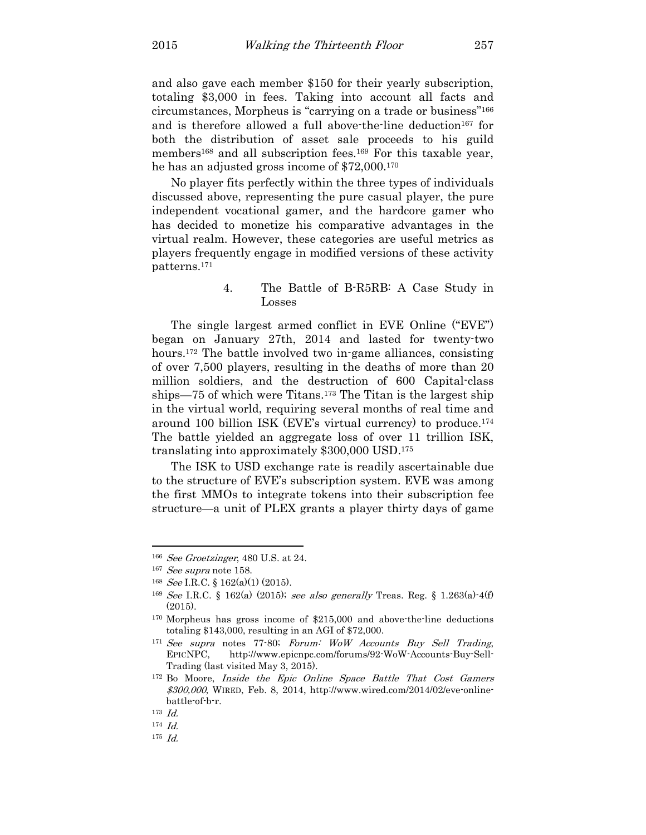and also gave each member \$150 for their yearly subscription, totaling \$3,000 in fees. Taking into account all facts and circumstances, Morpheus is "carrying on a trade or business"<sup>166</sup> and is therefore allowed a full above-the-line deduction<sup>167</sup> for both the distribution of asset sale proceeds to his guild members<sup>168</sup> and all subscription fees.<sup>169</sup> For this taxable year, he has an adjusted gross income of \$72,000.<sup>170</sup>

No player fits perfectly within the three types of individuals discussed above, representing the pure casual player, the pure independent vocational gamer, and the hardcore gamer who has decided to monetize his comparative advantages in the virtual realm. However, these categories are useful metrics as players frequently engage in modified versions of these activity patterns.<sup>171</sup>

# 4. The Battle of B-R5RB: A Case Study in Losses

The single largest armed conflict in EVE Online ("EVE") began on January 27th, 2014 and lasted for twenty-two hours.<sup>172</sup> The battle involved two in-game alliances, consisting of over 7,500 players, resulting in the deaths of more than 20 million soldiers, and the destruction of 600 Capital-class ships—75 of which were Titans.173 The Titan is the largest ship in the virtual world, requiring several months of real time and around 100 billion ISK (EVE's virtual currency) to produce.<sup>174</sup> The battle yielded an aggregate loss of over 11 trillion ISK, translating into approximately \$300,000 USD.<sup>175</sup>

The ISK to USD exchange rate is readily ascertainable due to the structure of EVE's subscription system. EVE was among the first MMOs to integrate tokens into their subscription fee structure—a unit of PLEX grants a player thirty days of game

<sup>166</sup> See Groetzinger, 480 U.S. at 24.

 $167$  *See supra* note 158.

<sup>&</sup>lt;sup>168</sup> *See* I.R.C. § 162(a)(1) (2015).

<sup>&</sup>lt;sup>169</sup> See I.R.C. § 162(a) (2015); see also generally Treas. Reg. § 1.263(a)  $4(f)$ (2015).

<sup>170</sup> Morpheus has gross income of \$215,000 and above-the-line deductions totaling \$143,000, resulting in an AGI of \$72,000.

<sup>&</sup>lt;sup>171</sup> See supra notes 77-80; Forum: WoW Accounts Buy Sell Trading, EPICNPC, http://www.epicnpc.com/forums/92-WoW-Accounts-Buy-Sell-Trading (last visited May 3, 2015).

<sup>&</sup>lt;sup>172</sup> Bo Moore, *Inside the Epic Online Space Battle That Cost Gamers* \$300,000, WIRED, Feb. 8, 2014, http://www.wired.com/2014/02/eve-onlinebattle-of-b-r.

 $173$  *Id.* 

 $^{174}$   $Id.$ 

 $175$  *Id.*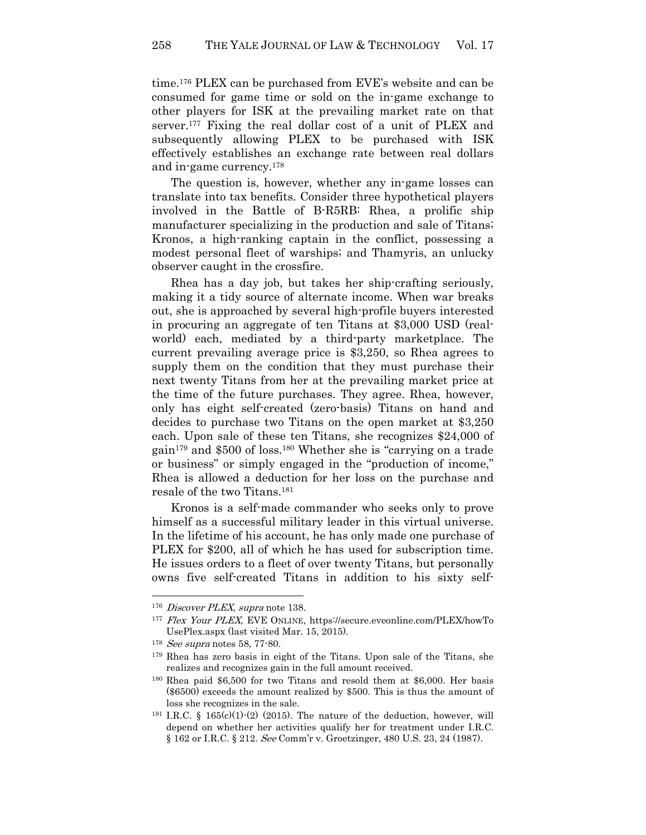time.176 PLEX can be purchased from EVE's website and can be consumed for game time or sold on the in-game exchange to other players for ISK at the prevailing market rate on that server.177 Fixing the real dollar cost of a unit of PLEX and subsequently allowing PLEX to be purchased with ISK effectively establishes an exchange rate between real dollars and in-game currency.<sup>178</sup>

The question is, however, whether any in-game losses can translate into tax benefits. Consider three hypothetical players involved in the Battle of B-R5RB: Rhea, a prolific ship manufacturer specializing in the production and sale of Titans; Kronos, a high-ranking captain in the conflict, possessing a modest personal fleet of warships; and Thamyris, an unlucky observer caught in the crossfire.

Rhea has a day job, but takes her ship-crafting seriously, making it a tidy source of alternate income. When war breaks out, she is approached by several high-profile buyers interested in procuring an aggregate of ten Titans at \$3,000 USD (realworld) each, mediated by a third-party marketplace. The current prevailing average price is \$3,250, so Rhea agrees to supply them on the condition that they must purchase their next twenty Titans from her at the prevailing market price at the time of the future purchases. They agree. Rhea, however, only has eight self-created (zero-basis) Titans on hand and decides to purchase two Titans on the open market at \$3,250 each. Upon sale of these ten Titans, she recognizes \$24,000 of gain179 and \$500 of loss.180 Whether she is "carrying on a trade or business" or simply engaged in the "production of income," Rhea is allowed a deduction for her loss on the purchase and resale of the two Titans.<sup>181</sup>

Kronos is a self-made commander who seeks only to prove himself as a successful military leader in this virtual universe. In the lifetime of his account, he has only made one purchase of PLEX for \$200, all of which he has used for subscription time. He issues orders to a fleet of over twenty Titans, but personally owns five self-created Titans in addition to his sixty self-

<sup>&</sup>lt;sup>176</sup> Discover PLEX, supra note 138.

<sup>177</sup> Flex Your PLEX, EVE ONLINE, https://secure.eveonline.com/PLEX/howTo UsePlex.aspx (last visited Mar. 15, 2015).

<sup>&</sup>lt;sup>178</sup> *See supra* notes 58, 77-80.

<sup>179</sup> Rhea has zero basis in eight of the Titans. Upon sale of the Titans, she realizes and recognizes gain in the full amount received.

<sup>180</sup> Rhea paid \$6,500 for two Titans and resold them at \$6,000. Her basis (\$6500) exceeds the amount realized by \$500. This is thus the amount of loss she recognizes in the sale.

<sup>&</sup>lt;sup>181</sup> I.R.C. § 165(c)(1)-(2) (2015). The nature of the deduction, however, will depend on whether her activities qualify her for treatment under I.R.C. § 162 or I.R.C. § 212. See Comm'r v. Groetzinger, 480 U.S. 23, 24 (1987).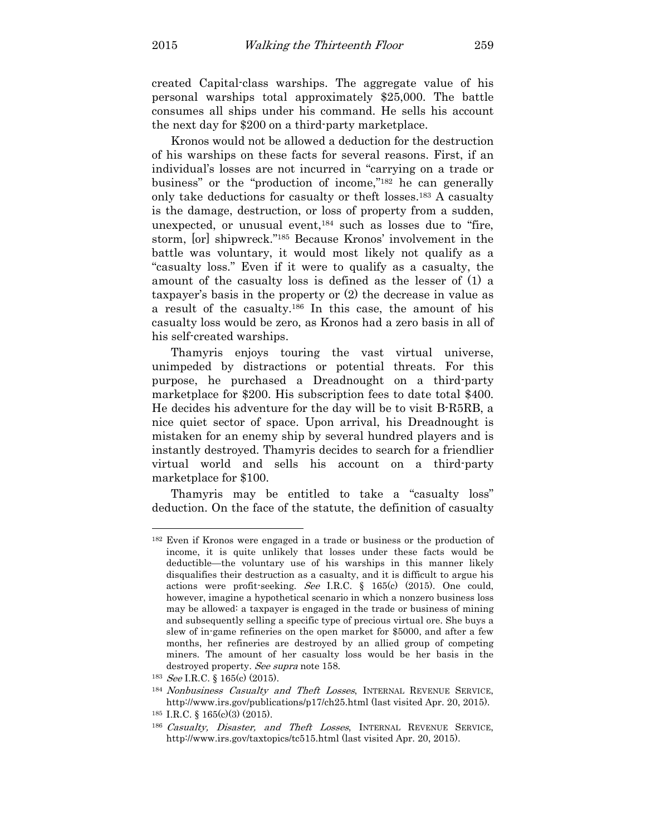created Capital-class warships. The aggregate value of his personal warships total approximately \$25,000. The battle consumes all ships under his command. He sells his account the next day for \$200 on a third-party marketplace.

Kronos would not be allowed a deduction for the destruction of his warships on these facts for several reasons. First, if an individual's losses are not incurred in "carrying on a trade or business" or the "production of income,"182 he can generally only take deductions for casualty or theft losses.183 A casualty is the damage, destruction, or loss of property from a sudden, unexpected, or unusual event, $184$  such as losses due to "fire, storm, [or] shipwreck."185 Because Kronos' involvement in the battle was voluntary, it would most likely not qualify as a "casualty loss." Even if it were to qualify as a casualty, the amount of the casualty loss is defined as the lesser of (1) a taxpayer's basis in the property or (2) the decrease in value as a result of the casualty.186 In this case, the amount of his casualty loss would be zero, as Kronos had a zero basis in all of his self-created warships.

Thamyris enjoys touring the vast virtual universe, unimpeded by distractions or potential threats. For this purpose, he purchased a Dreadnought on a third-party marketplace for \$200. His subscription fees to date total \$400. He decides his adventure for the day will be to visit B-R5RB, a nice quiet sector of space. Upon arrival, his Dreadnought is mistaken for an enemy ship by several hundred players and is instantly destroyed. Thamyris decides to search for a friendlier virtual world and sells his account on a third-party marketplace for \$100.

Thamyris may be entitled to take a "casualty loss" deduction. On the face of the statute, the definition of casualty

<sup>182</sup> Even if Kronos were engaged in a trade or business or the production of income, it is quite unlikely that losses under these facts would be deductible—the voluntary use of his warships in this manner likely disqualifies their destruction as a casualty, and it is difficult to argue his actions were profit-seeking. See I.R.C. § 165(c) (2015). One could, however, imagine a hypothetical scenario in which a nonzero business loss may be allowed: a taxpayer is engaged in the trade or business of mining and subsequently selling a specific type of precious virtual ore. She buys a slew of in-game refineries on the open market for \$5000, and after a few months, her refineries are destroyed by an allied group of competing miners. The amount of her casualty loss would be her basis in the destroyed property. See supra note 158.

<sup>&</sup>lt;sup>183</sup> *See* I.R.C. § 165(c) (2015).

<sup>&</sup>lt;sup>184</sup> Nonbusiness Casualty and Theft Losses, INTERNAL REVENUE SERVICE, http://www.irs.gov/publications/p17/ch25.html (last visited Apr. 20, 2015).

 $185$  I.R.C. §  $165(c)(3)$  (2015).

<sup>186</sup> Casualty, Disaster, and Theft Losses, INTERNAL REVENUE SERVICE, http://www.irs.gov/taxtopics/tc515.html (last visited Apr. 20, 2015).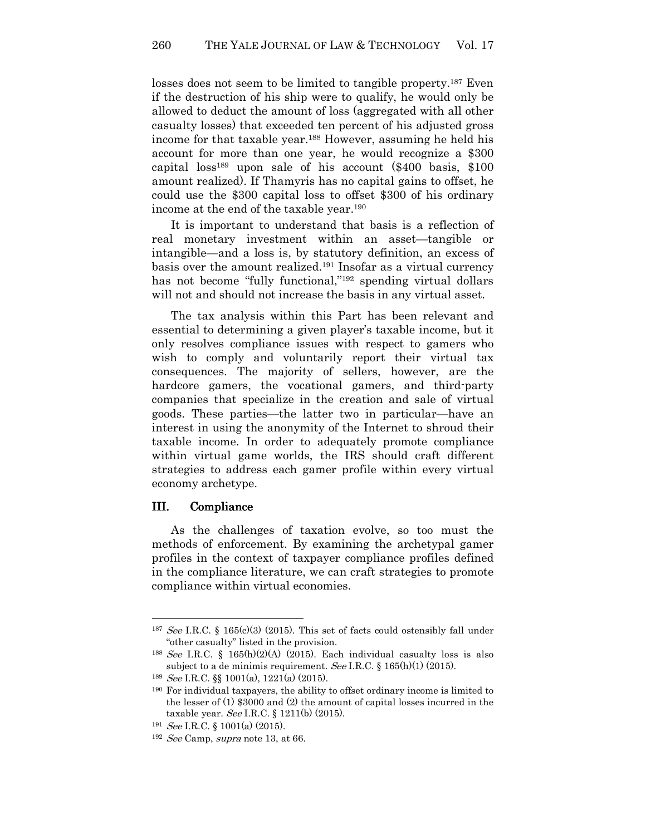losses does not seem to be limited to tangible property.<sup>187</sup> Even if the destruction of his ship were to qualify, he would only be allowed to deduct the amount of loss (aggregated with all other casualty losses) that exceeded ten percent of his adjusted gross income for that taxable year.<sup>188</sup> However, assuming he held his account for more than one year, he would recognize a \$300 capital loss189 upon sale of his account (\$400 basis, \$100 amount realized). If Thamyris has no capital gains to offset, he could use the \$300 capital loss to offset \$300 of his ordinary income at the end of the taxable year.<sup>190</sup>

It is important to understand that basis is a reflection of real monetary investment within an asset—tangible or intangible—and a loss is, by statutory definition, an excess of basis over the amount realized.191 Insofar as a virtual currency has not become "fully functional,"<sup>192</sup> spending virtual dollars will not and should not increase the basis in any virtual asset.

The tax analysis within this Part has been relevant and essential to determining a given player's taxable income, but it only resolves compliance issues with respect to gamers who wish to comply and voluntarily report their virtual tax consequences. The majority of sellers, however, are the hardcore gamers, the vocational gamers, and third-party companies that specialize in the creation and sale of virtual goods. These parties—the latter two in particular—have an interest in using the anonymity of the Internet to shroud their taxable income. In order to adequately promote compliance within virtual game worlds, the IRS should craft different strategies to address each gamer profile within every virtual economy archetype.

#### III. Compliance

l

As the challenges of taxation evolve, so too must the methods of enforcement. By examining the archetypal gamer profiles in the context of taxpayer compliance profiles defined in the compliance literature, we can craft strategies to promote compliance within virtual economies.

<sup>187</sup> See I.R.C. § 165(c)(3) (2015). This set of facts could ostensibly fall under "other casualty" listed in the provision.

<sup>&</sup>lt;sup>188</sup> See I.R.C. § 165(h)(2)(A) (2015). Each individual casualty loss is also subject to a de minimis requirement. See I.R.C. § 165(h)(1) (2015).

<sup>&</sup>lt;sup>189</sup> *See* I.R.C.  $\S$  1001(a), 1221(a) (2015).

<sup>190</sup> For individual taxpayers, the ability to offset ordinary income is limited to the lesser of (1) \$3000 and (2) the amount of capital losses incurred in the taxable year. See I.R.C. § 1211(b) (2015).

<sup>&</sup>lt;sup>191</sup> *See* I.R.C. § 1001(a)  $(2015)$ .

<sup>&</sup>lt;sup>192</sup> See Camp, supra note 13, at 66.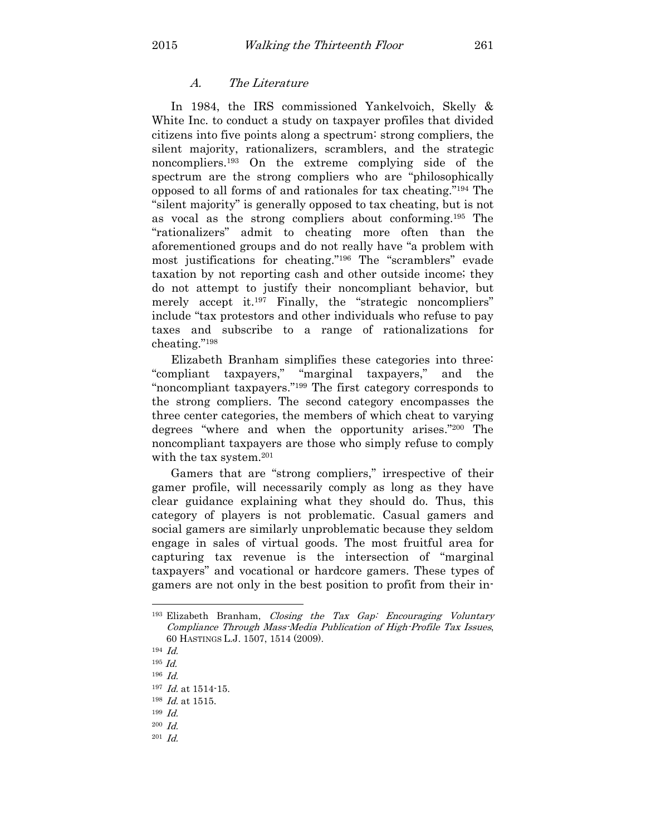## A. The Literature

In 1984, the IRS commissioned Yankelvoich, Skelly & White Inc. to conduct a study on taxpayer profiles that divided citizens into five points along a spectrum: strong compliers, the silent majority, rationalizers, scramblers, and the strategic noncompliers.193 On the extreme complying side of the spectrum are the strong compliers who are "philosophically opposed to all forms of and rationales for tax cheating."194 The "silent majority" is generally opposed to tax cheating, but is not as vocal as the strong compliers about conforming.195 The "rationalizers" admit to cheating more often than the aforementioned groups and do not really have "a problem with most justifications for cheating."196 The "scramblers" evade taxation by not reporting cash and other outside income; they do not attempt to justify their noncompliant behavior, but merely accept it.<sup>197</sup> Finally, the "strategic noncompliers" include "tax protestors and other individuals who refuse to pay taxes and subscribe to a range of rationalizations for cheating."<sup>198</sup>

Elizabeth Branham simplifies these categories into three: "compliant taxpayers," "marginal taxpayers," and the "noncompliant taxpayers."199 The first category corresponds to the strong compliers. The second category encompasses the three center categories, the members of which cheat to varying degrees "where and when the opportunity arises."200 The noncompliant taxpayers are those who simply refuse to comply with the tax system.<sup>201</sup>

Gamers that are "strong compliers," irrespective of their gamer profile, will necessarily comply as long as they have clear guidance explaining what they should do. Thus, this category of players is not problematic. Casual gamers and social gamers are similarly unproblematic because they seldom engage in sales of virtual goods. The most fruitful area for capturing tax revenue is the intersection of "marginal taxpayers" and vocational or hardcore gamers. These types of gamers are not only in the best position to profit from their in-

<sup>193</sup> Elizabeth Branham, Closing the Tax Gap: Encouraging Voluntary Compliance Through Mass-Media Publication of High-Profile Tax Issues, 60 HASTINGS L.J. 1507, 1514 (2009).

<sup>194</sup> Id.

 $^{195}$   $\emph{Id.}$ 

 $196$  *Id.* 

<sup>197</sup> *Id.* at 1514-15.

 $198$  *Id.* at 1515.

<sup>199</sup> Id.

 $^{200}$  Id.

 $^{201}$  Id.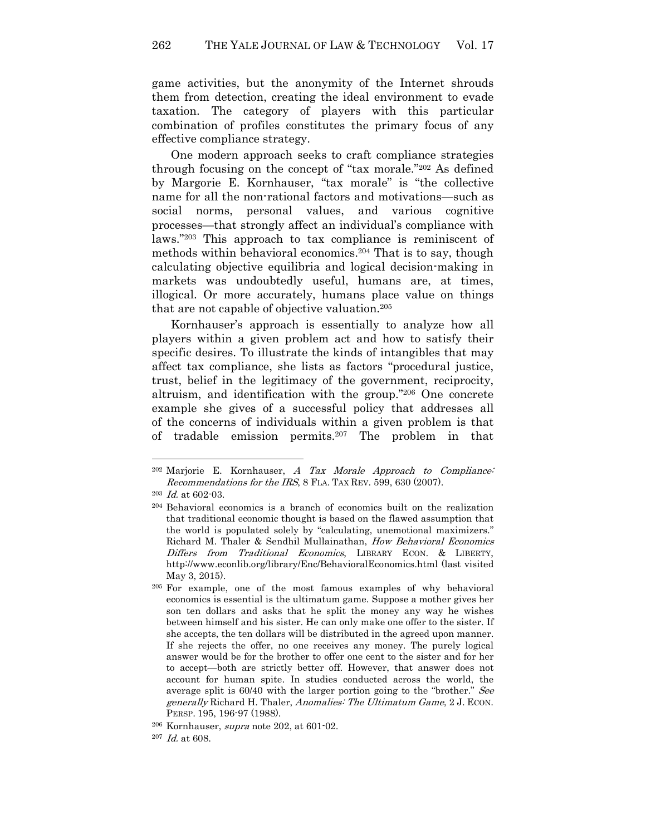game activities, but the anonymity of the Internet shrouds them from detection, creating the ideal environment to evade taxation. The category of players with this particular combination of profiles constitutes the primary focus of any effective compliance strategy.

One modern approach seeks to craft compliance strategies through focusing on the concept of "tax morale."202 As defined by Margorie E. Kornhauser, "tax morale" is "the collective name for all the non-rational factors and motivations—such as social norms, personal values, and various cognitive processes—that strongly affect an individual's compliance with laws."203 This approach to tax compliance is reminiscent of methods within behavioral economics.204 That is to say, though calculating objective equilibria and logical decision-making in markets was undoubtedly useful, humans are, at times, illogical. Or more accurately, humans place value on things that are not capable of objective valuation.<sup>205</sup>

Kornhauser's approach is essentially to analyze how all players within a given problem act and how to satisfy their specific desires. To illustrate the kinds of intangibles that may affect tax compliance, she lists as factors "procedural justice, trust, belief in the legitimacy of the government, reciprocity, altruism, and identification with the group."206 One concrete example she gives of a successful policy that addresses all of the concerns of individuals within a given problem is that of tradable emission permits.207 The problem in that

 $202$  Marjorie E. Kornhauser, A Tax Morale Approach to Compliance: Recommendations for the IRS, 8 FLA. TAX REV. 599, 630 (2007).

 $^{203}$  *Id.* at 602-03.

<sup>204</sup> Behavioral economics is a branch of economics built on the realization that traditional economic thought is based on the flawed assumption that the world is populated solely by "calculating, unemotional maximizers." Richard M. Thaler & Sendhil Mullainathan, How Behavioral Economics Differs from Traditional Economics, LIBRARY ECON. & LIBERTY, http://www.econlib.org/library/Enc/BehavioralEconomics.html (last visited May 3, 2015).

<sup>205</sup> For example, one of the most famous examples of why behavioral economics is essential is the ultimatum game. Suppose a mother gives her son ten dollars and asks that he split the money any way he wishes between himself and his sister. He can only make one offer to the sister. If she accepts, the ten dollars will be distributed in the agreed upon manner. If she rejects the offer, no one receives any money. The purely logical answer would be for the brother to offer one cent to the sister and for her to accept—both are strictly better off. However, that answer does not account for human spite. In studies conducted across the world, the average split is 60/40 with the larger portion going to the "brother." See generally Richard H. Thaler, Anomalies: The Ultimatum Game, 2 J. ECON. PERSP. 195, 196-97 (1988).

<sup>206</sup> Kornhauser, supra note 202, at 601-02.

 $207$  *Id.* at 608.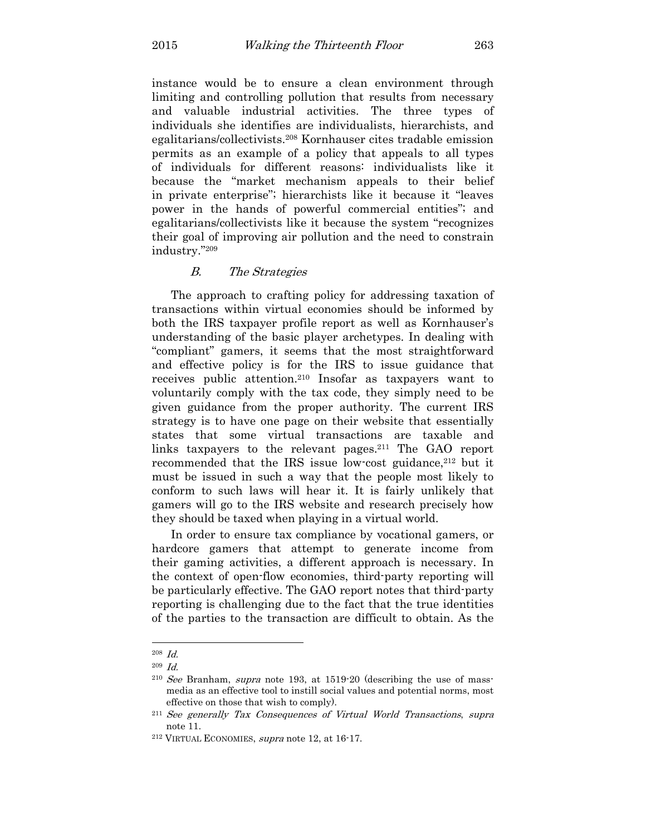instance would be to ensure a clean environment through limiting and controlling pollution that results from necessary and valuable industrial activities. The three types of individuals she identifies are individualists, hierarchists, and egalitarians/collectivists.208 Kornhauser cites tradable emission permits as an example of a policy that appeals to all types of individuals for different reasons: individualists like it because the "market mechanism appeals to their belief in private enterprise"; hierarchists like it because it "leaves power in the hands of powerful commercial entities"; and egalitarians/collectivists like it because the system "recognizes their goal of improving air pollution and the need to constrain industry."<sup>209</sup>

## B. The Strategies

The approach to crafting policy for addressing taxation of transactions within virtual economies should be informed by both the IRS taxpayer profile report as well as Kornhauser's understanding of the basic player archetypes. In dealing with "compliant" gamers, it seems that the most straightforward and effective policy is for the IRS to issue guidance that receives public attention.210 Insofar as taxpayers want to voluntarily comply with the tax code, they simply need to be given guidance from the proper authority. The current IRS strategy is to have one page on their website that essentially states that some virtual transactions are taxable and links taxpayers to the relevant pages.211 The GAO report recommended that the IRS issue low-cost guidance,<sup>212</sup> but it must be issued in such a way that the people most likely to conform to such laws will hear it. It is fairly unlikely that gamers will go to the IRS website and research precisely how they should be taxed when playing in a virtual world.

In order to ensure tax compliance by vocational gamers, or hardcore gamers that attempt to generate income from their gaming activities, a different approach is necessary. In the context of open-flow economies, third-party reporting will be particularly effective. The GAO report notes that third-party reporting is challenging due to the fact that the true identities of the parties to the transaction are difficult to obtain. As the

<sup>208</sup> Id.

<sup>209</sup> Id.

 $2^{10}$  See Branham, supra note 193, at 1519-20 (describing the use of massmedia as an effective tool to instill social values and potential norms, most effective on those that wish to comply).

<sup>211</sup> See generally Tax Consequences of Virtual World Transactions, supra note 11.

<sup>212</sup> VIRTUAL ECONOMIES, supra note 12, at 16-17.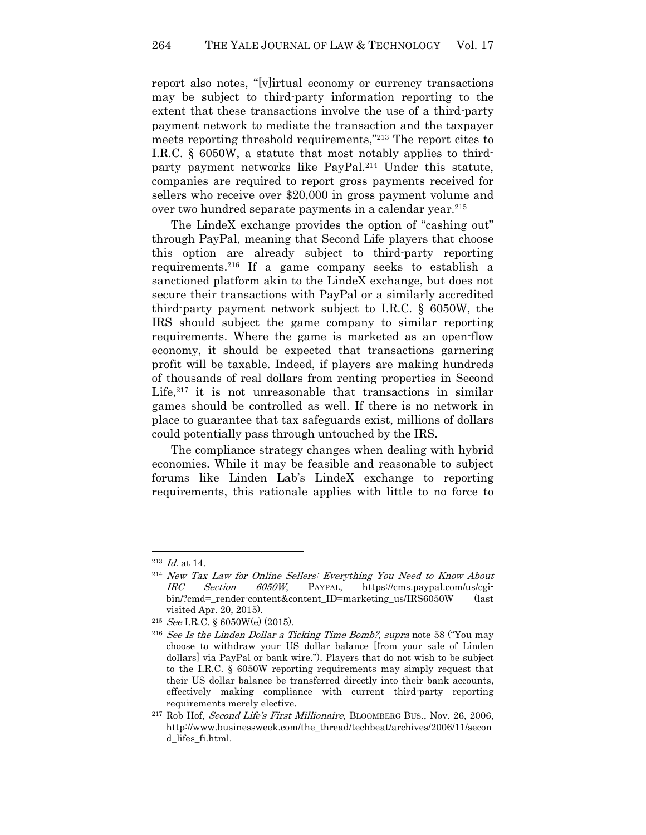report also notes, "[v]irtual economy or currency transactions may be subject to third-party information reporting to the extent that these transactions involve the use of a third-party payment network to mediate the transaction and the taxpayer meets reporting threshold requirements,"213 The report cites to I.R.C. § 6050W, a statute that most notably applies to thirdparty payment networks like PayPal.214 Under this statute, companies are required to report gross payments received for sellers who receive over \$20,000 in gross payment volume and over two hundred separate payments in a calendar year.<sup>215</sup>

The LindeX exchange provides the option of "cashing out" through PayPal, meaning that Second Life players that choose this option are already subject to third-party reporting requirements.216 If a game company seeks to establish a sanctioned platform akin to the LindeX exchange, but does not secure their transactions with PayPal or a similarly accredited third-party payment network subject to I.R.C. § 6050W, the IRS should subject the game company to similar reporting requirements. Where the game is marketed as an open-flow economy, it should be expected that transactions garnering profit will be taxable. Indeed, if players are making hundreds of thousands of real dollars from renting properties in Second Life, $2^{17}$  it is not unreasonable that transactions in similar games should be controlled as well. If there is no network in place to guarantee that tax safeguards exist, millions of dollars could potentially pass through untouched by the IRS.

The compliance strategy changes when dealing with hybrid economies. While it may be feasible and reasonable to subject forums like Linden Lab's LindeX exchange to reporting requirements, this rationale applies with little to no force to

 $^{213}$  *Id.* at 14.

<sup>214</sup> New Tax Law for Online Sellers: Everything You Need to Know About IRC Section 6050W, PAYPAL, https://cms.paypal.com/us/cgibin/?cmd=\_render-content&content\_ID=marketing\_us/IRS6050W (last visited Apr. 20, 2015).

<sup>&</sup>lt;sup>215</sup> *See* I.R.C. § 6050W(e) (2015).

<sup>&</sup>lt;sup>216</sup> See Is the Linden Dollar a Ticking Time Bomb?, supra note 58 ("You may choose to withdraw your US dollar balance [from your sale of Linden dollars] via PayPal or bank wire."). Players that do not wish to be subject to the I.R.C. § 6050W reporting requirements may simply request that their US dollar balance be transferred directly into their bank accounts, effectively making compliance with current third-party reporting requirements merely elective.

<sup>&</sup>lt;sup>217</sup> Rob Hof, *Second Life's First Millionaire*, BLOOMBERG BUS., Nov. 26, 2006, http://www.businessweek.com/the\_thread/techbeat/archives/2006/11/secon d\_lifes\_fi.html.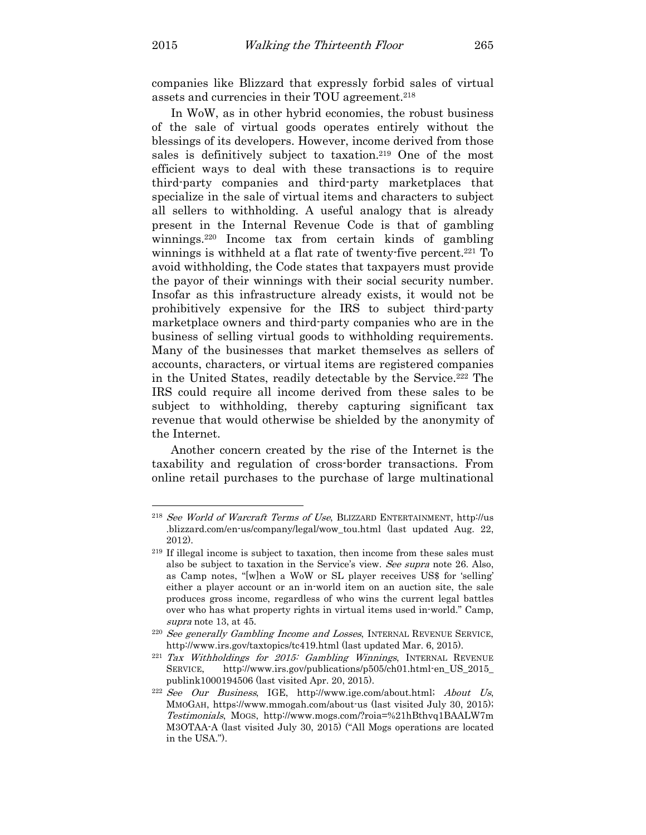l

companies like Blizzard that expressly forbid sales of virtual assets and currencies in their TOU agreement.<sup>218</sup>

In WoW, as in other hybrid economies, the robust business of the sale of virtual goods operates entirely without the blessings of its developers. However, income derived from those sales is definitively subject to taxation.<sup>219</sup> One of the most efficient ways to deal with these transactions is to require third-party companies and third-party marketplaces that specialize in the sale of virtual items and characters to subject all sellers to withholding. A useful analogy that is already present in the Internal Revenue Code is that of gambling winnings.220 Income tax from certain kinds of gambling winnings is withheld at a flat rate of twenty-five percent.<sup>221</sup> To avoid withholding, the Code states that taxpayers must provide the payor of their winnings with their social security number. Insofar as this infrastructure already exists, it would not be prohibitively expensive for the IRS to subject third-party marketplace owners and third-party companies who are in the business of selling virtual goods to withholding requirements. Many of the businesses that market themselves as sellers of accounts, characters, or virtual items are registered companies in the United States, readily detectable by the Service.222 The IRS could require all income derived from these sales to be subject to withholding, thereby capturing significant tax revenue that would otherwise be shielded by the anonymity of the Internet.

Another concern created by the rise of the Internet is the taxability and regulation of cross-border transactions. From online retail purchases to the purchase of large multinational

<sup>218</sup> See World of Warcraft Terms of Use, BLIZZARD ENTERTAINMENT, http://us .blizzard.com/en-us/company/legal/wow\_tou.html (last updated Aug. 22, 2012).

<sup>219</sup> If illegal income is subject to taxation, then income from these sales must also be subject to taxation in the Service's view. See supra note 26. Also, as Camp notes, "[w]hen a WoW or SL player receives US\$ for 'selling' either a player account or an in-world item on an auction site, the sale produces gross income, regardless of who wins the current legal battles over who has what property rights in virtual items used in-world." Camp, supra note 13, at 45.

<sup>&</sup>lt;sup>220</sup> See generally Gambling Income and Losses, INTERNAL REVENUE SERVICE, http://www.irs.gov/taxtopics/tc419.html (last updated Mar. 6, 2015).

 $^{221}$  Tax Withholdings for 2015: Gambling Winnings, INTERNAL REVENUE SERVICE, http://www.irs.gov/publications/p505/ch01.html-en\_US\_2015\_ publink1000194506 (last visited Apr. 20, 2015).

 $222$  See Our Business, IGE, http://www.ige.com/about.html; About Us, MMOGAH, https://www.mmogah.com/about-us (last visited July 30, 2015); Testimonials, MOGS, http://www.mogs.com/?roia=%21hBthvq1BAALW7m M3OTAA-A (last visited July 30, 2015) ("All Mogs operations are located in the USA.").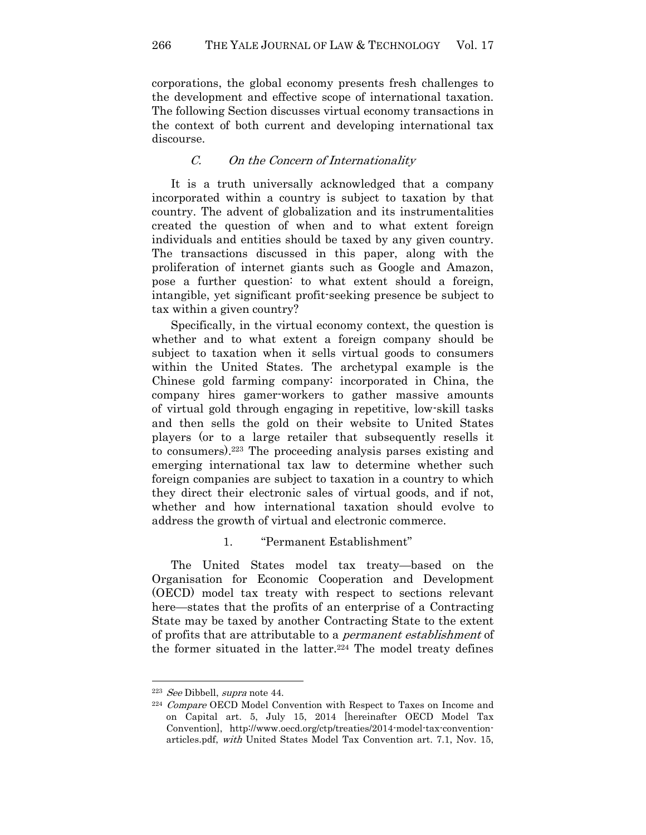corporations, the global economy presents fresh challenges to the development and effective scope of international taxation. The following Section discusses virtual economy transactions in the context of both current and developing international tax discourse.

# C. On the Concern of Internationality

It is a truth universally acknowledged that a company incorporated within a country is subject to taxation by that country. The advent of globalization and its instrumentalities created the question of when and to what extent foreign individuals and entities should be taxed by any given country. The transactions discussed in this paper, along with the proliferation of internet giants such as Google and Amazon, pose a further question: to what extent should a foreign, intangible, yet significant profit-seeking presence be subject to tax within a given country?

Specifically, in the virtual economy context, the question is whether and to what extent a foreign company should be subject to taxation when it sells virtual goods to consumers within the United States. The archetypal example is the Chinese gold farming company: incorporated in China, the company hires gamer-workers to gather massive amounts of virtual gold through engaging in repetitive, low-skill tasks and then sells the gold on their website to United States players (or to a large retailer that subsequently resells it to consumers).223 The proceeding analysis parses existing and emerging international tax law to determine whether such foreign companies are subject to taxation in a country to which they direct their electronic sales of virtual goods, and if not, whether and how international taxation should evolve to address the growth of virtual and electronic commerce.

# 1. "Permanent Establishment"

The United States model tax treaty—based on the Organisation for Economic Cooperation and Development (OECD) model tax treaty with respect to sections relevant here—states that the profits of an enterprise of a Contracting State may be taxed by another Contracting State to the extent of profits that are attributable to a permanent establishment of the former situated in the latter.<sup>224</sup> The model treaty defines

<sup>223</sup> See Dibbell, supra note 44.

<sup>&</sup>lt;sup>224</sup> Compare OECD Model Convention with Respect to Taxes on Income and on Capital art. 5, July 15, 2014 [hereinafter OECD Model Tax Convention], http://www.oecd.org/ctp/treaties/2014-model-tax-conventionarticles.pdf, with United States Model Tax Convention art. 7.1, Nov. 15,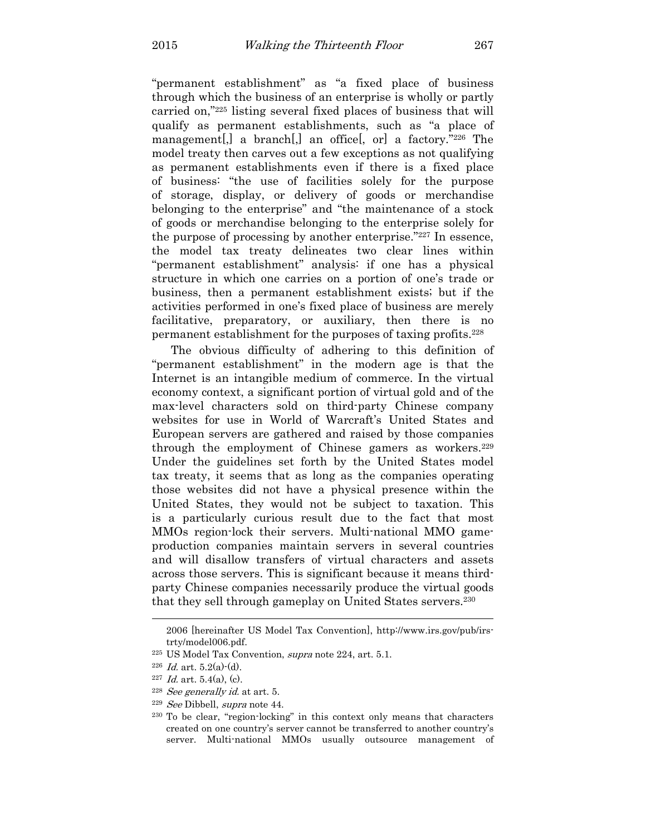"permanent establishment" as "a fixed place of business through which the business of an enterprise is wholly or partly carried on,"225 listing several fixed places of business that will qualify as permanent establishments, such as "a place of management[,] a branch[,] an office[, or] a factory."226 The model treaty then carves out a few exceptions as not qualifying as permanent establishments even if there is a fixed place of business: "the use of facilities solely for the purpose of storage, display, or delivery of goods or merchandise belonging to the enterprise" and "the maintenance of a stock of goods or merchandise belonging to the enterprise solely for the purpose of processing by another enterprise."227 In essence, the model tax treaty delineates two clear lines within "permanent establishment" analysis: if one has a physical structure in which one carries on a portion of one's trade or business, then a permanent establishment exists; but if the activities performed in one's fixed place of business are merely facilitative, preparatory, or auxiliary, then there is no permanent establishment for the purposes of taxing profits.<sup>228</sup>

The obvious difficulty of adhering to this definition of "permanent establishment" in the modern age is that the Internet is an intangible medium of commerce. In the virtual economy context, a significant portion of virtual gold and of the max-level characters sold on third-party Chinese company websites for use in World of Warcraft's United States and European servers are gathered and raised by those companies through the employment of Chinese gamers as workers. 229 Under the guidelines set forth by the United States model tax treaty, it seems that as long as the companies operating those websites did not have a physical presence within the United States, they would not be subject to taxation. This is a particularly curious result due to the fact that most MMOs region-lock their servers. Multi-national MMO gameproduction companies maintain servers in several countries and will disallow transfers of virtual characters and assets across those servers. This is significant because it means thirdparty Chinese companies necessarily produce the virtual goods that they sell through gameplay on United States servers.<sup>230</sup>

<sup>2006 [</sup>hereinafter US Model Tax Convention], http://www.irs.gov/pub/irstrty/model006.pdf.

<sup>225</sup> US Model Tax Convention, supra note 224, art. 5.1.

 $226$  *Id.* art.  $5.2(a)-(d)$ .

 $227$  *Id.* art. 5.4(a), (c).

<sup>&</sup>lt;sup>228</sup> See generally id. at art. 5.

<sup>229</sup> See Dibbell, supra note 44.

<sup>230</sup> To be clear, "region-locking" in this context only means that characters created on one country's server cannot be transferred to another country's server. Multi-national MMOs usually outsource management of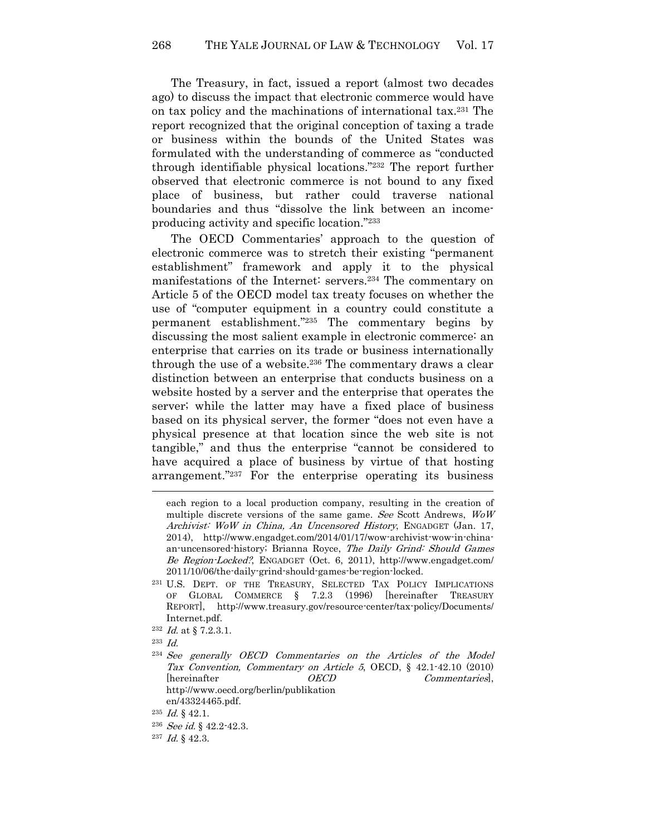The Treasury, in fact, issued a report (almost two decades ago) to discuss the impact that electronic commerce would have on tax policy and the machinations of international tax.231 The report recognized that the original conception of taxing a trade or business within the bounds of the United States was formulated with the understanding of commerce as "conducted through identifiable physical locations."232 The report further observed that electronic commerce is not bound to any fixed place of business, but rather could traverse national boundaries and thus "dissolve the link between an incomeproducing activity and specific location."<sup>233</sup>

The OECD Commentaries' approach to the question of electronic commerce was to stretch their existing "permanent establishment" framework and apply it to the physical manifestations of the Internet: servers.234 The commentary on Article 5 of the OECD model tax treaty focuses on whether the use of "computer equipment in a country could constitute a permanent establishment."235 The commentary begins by discussing the most salient example in electronic commerce: an enterprise that carries on its trade or business internationally through the use of a website.<sup>236</sup> The commentary draws a clear distinction between an enterprise that conducts business on a website hosted by a server and the enterprise that operates the server; while the latter may have a fixed place of business based on its physical server, the former "does not even have a physical presence at that location since the web site is not tangible," and thus the enterprise "cannot be considered to have acquired a place of business by virtue of that hosting arrangement."237 For the enterprise operating its business  $\overline{a}$ 

each region to a local production company, resulting in the creation of multiple discrete versions of the same game. See Scott Andrews, WoW Archivist: WoW in China, An Uncensored History, ENGADGET (Jan. 17, 2014), http://www.engadget.com/2014/01/17/wow-archivist-wow-in-chinaan-uncensored-history; Brianna Royce, The Daily Grind: Should Games Be Region-Locked?, ENGADGET (Oct. 6, 2011), http://www.engadget.com/ 2011/10/06/the-daily-grind-should-games-be-region-locked.

<sup>231</sup> U.S. DEPT. OF THE TREASURY, SELECTED TAX POLICY IMPLICATIONS OF GLOBAL COMMERCE § 7.2.3 (1996) [hereinafter TREASURY REPORT], http://www.treasury.gov/resource-center/tax-policy/Documents/ Internet.pdf.

 $^{232}$  *Id.* at § 7.2.3.1.

<sup>233</sup> Id.

<sup>234</sup> See generally OECD Commentaries on the Articles of the Model Tax Convention, Commentary on Article 5, OECD, § 42.1-42.10 (2010) [hereinafter  $OECD$  Commentaries], http://www.oecd.org/berlin/publikation en/43324465.pdf.

 $^{235}$  *Id.* § 42.1.

<sup>&</sup>lt;sup>236</sup> See id.  $\S$  42.2-42.3.

 $^{237}$  *Id.* § 42.3.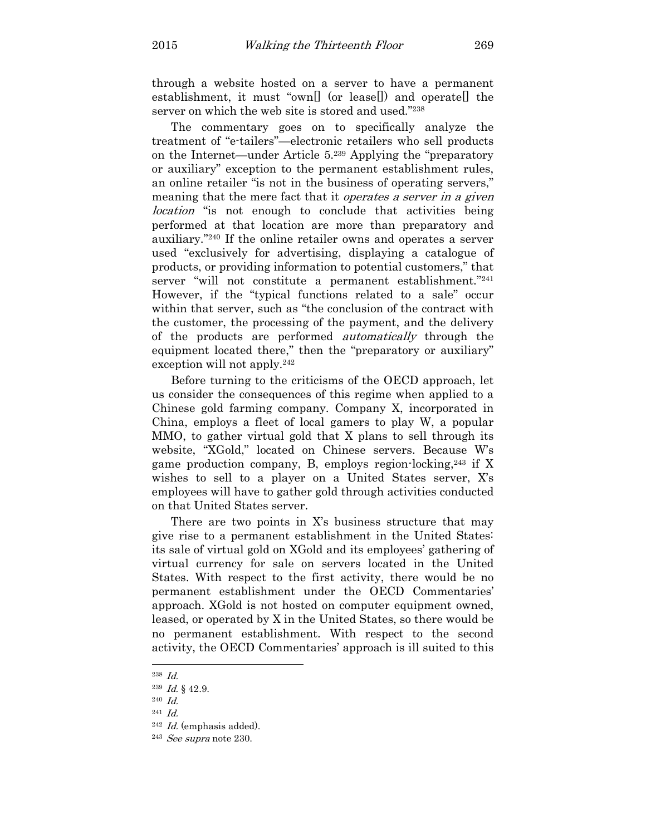through a website hosted on a server to have a permanent establishment, it must "own[] (or lease[]) and operate[] the server on which the web site is stored and used."<sup>238</sup>

The commentary goes on to specifically analyze the treatment of "e-tailers"—electronic retailers who sell products on the Internet—under Article 5.239 Applying the "preparatory or auxiliary" exception to the permanent establishment rules, an online retailer "is not in the business of operating servers," meaning that the mere fact that it *operates a server in a given location* "is not enough to conclude that activities being performed at that location are more than preparatory and auxiliary."240 If the online retailer owns and operates a server used "exclusively for advertising, displaying a catalogue of products, or providing information to potential customers," that server "will not constitute a permanent establishment."<sup>241</sup> However, if the "typical functions related to a sale" occur within that server, such as "the conclusion of the contract with the customer, the processing of the payment, and the delivery of the products are performed automatically through the equipment located there," then the "preparatory or auxiliary" exception will not apply.<sup>242</sup>

Before turning to the criticisms of the OECD approach, let us consider the consequences of this regime when applied to a Chinese gold farming company. Company X, incorporated in China, employs a fleet of local gamers to play W, a popular MMO, to gather virtual gold that X plans to sell through its website, "XGold," located on Chinese servers. Because W's game production company, B, employs region-locking,  $243$  if X wishes to sell to a player on a United States server, X's employees will have to gather gold through activities conducted on that United States server.

There are two points in X's business structure that may give rise to a permanent establishment in the United States: its sale of virtual gold on XGold and its employees' gathering of virtual currency for sale on servers located in the United States. With respect to the first activity, there would be no permanent establishment under the OECD Commentaries' approach. XGold is not hosted on computer equipment owned, leased, or operated by X in the United States, so there would be no permanent establishment. With respect to the second activity, the OECD Commentaries' approach is ill suited to this

<sup>238</sup> Id.

 $^{239}$  *Id.* § 42.9.

 $^{240}$   $Id.$ 

<sup>241</sup> Id.

 $242$  *Id.* (emphasis added).

 $243$  *See supra* note 230.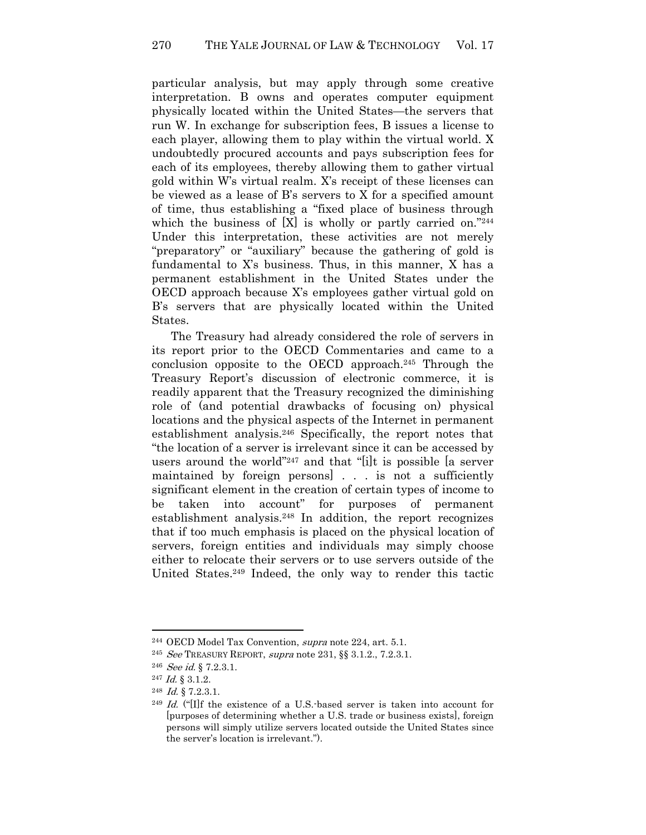particular analysis, but may apply through some creative interpretation. B owns and operates computer equipment physically located within the United States—the servers that run W. In exchange for subscription fees, B issues a license to each player, allowing them to play within the virtual world. X undoubtedly procured accounts and pays subscription fees for each of its employees, thereby allowing them to gather virtual gold within W's virtual realm. X's receipt of these licenses can be viewed as a lease of B's servers to X for a specified amount of time, thus establishing a "fixed place of business through which the business of  $[X]$  is wholly or partly carried on."244 Under this interpretation, these activities are not merely "preparatory" or "auxiliary" because the gathering of gold is fundamental to X's business. Thus, in this manner, X has a permanent establishment in the United States under the OECD approach because X's employees gather virtual gold on B's servers that are physically located within the United States.

The Treasury had already considered the role of servers in its report prior to the OECD Commentaries and came to a conclusion opposite to the OECD approach.245 Through the Treasury Report's discussion of electronic commerce, it is readily apparent that the Treasury recognized the diminishing role of (and potential drawbacks of focusing on) physical locations and the physical aspects of the Internet in permanent establishment analysis.246 Specifically, the report notes that "the location of a server is irrelevant since it can be accessed by users around the world"247 and that "[i]t is possible [a server maintained by foreign persons] . . . is not a sufficiently significant element in the creation of certain types of income to be taken into account" for purposes of permanent establishment analysis.248 In addition, the report recognizes that if too much emphasis is placed on the physical location of servers, foreign entities and individuals may simply choose either to relocate their servers or to use servers outside of the United States.249 Indeed, the only way to render this tactic

<sup>244</sup> OECD Model Tax Convention, supra note 224, art. 5.1.

<sup>&</sup>lt;sup>245</sup> See TREASURY REPORT, supra note 231,  $\S$  3.1.2., 7.2.3.1.

<sup>&</sup>lt;sup>246</sup> See id.  $\S 7.2.3.1$ .

<sup>247</sup> Id. § 3.1.2.

 $^{248}$  *Id.* § 7.2.3.1.

<sup>&</sup>lt;sup>249</sup> *Id.* ("IIf the existence of a U.S. based server is taken into account for [purposes of determining whether a U.S. trade or business exists], foreign persons will simply utilize servers located outside the United States since the server's location is irrelevant.").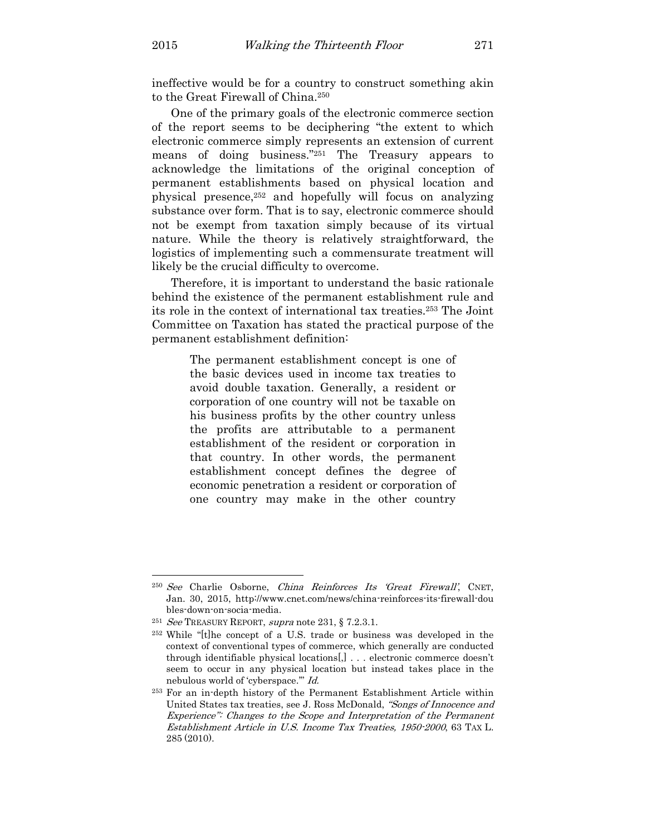ineffective would be for a country to construct something akin to the Great Firewall of China.<sup>250</sup>

One of the primary goals of the electronic commerce section of the report seems to be deciphering "the extent to which electronic commerce simply represents an extension of current means of doing business."251 The Treasury appears to acknowledge the limitations of the original conception of permanent establishments based on physical location and physical presence,252 and hopefully will focus on analyzing substance over form. That is to say, electronic commerce should not be exempt from taxation simply because of its virtual nature. While the theory is relatively straightforward, the logistics of implementing such a commensurate treatment will likely be the crucial difficulty to overcome.

Therefore, it is important to understand the basic rationale behind the existence of the permanent establishment rule and its role in the context of international tax treaties.253 The Joint Committee on Taxation has stated the practical purpose of the permanent establishment definition:

> The permanent establishment concept is one of the basic devices used in income tax treaties to avoid double taxation. Generally, a resident or corporation of one country will not be taxable on his business profits by the other country unless the profits are attributable to a permanent establishment of the resident or corporation in that country. In other words, the permanent establishment concept defines the degree of economic penetration a resident or corporation of one country may make in the other country

<sup>250</sup> See Charlie Osborne, China Reinforces Its 'Great Firewall', CNET, Jan. 30, 2015, http://www.cnet.com/news/china-reinforces-its-firewall-dou bles-down-on-socia-media.

<sup>&</sup>lt;sup>251</sup> See TREASURY REPORT, supra note 231,  $\S$  7.2.3.1.

<sup>252</sup> While "[t]he concept of a U.S. trade or business was developed in the context of conventional types of commerce, which generally are conducted through identifiable physical locations[,] . . . electronic commerce doesn't seem to occur in any physical location but instead takes place in the nebulous world of 'cyberspace.'" Id.

<sup>253</sup> For an in-depth history of the Permanent Establishment Article within United States tax treaties, see J. Ross McDonald, "Songs of Innocence and Experience": Changes to the Scope and Interpretation of the Permanent Establishment Article in U.S. Income Tax Treaties, 1950-2000, 63 TAX L. 285 (2010).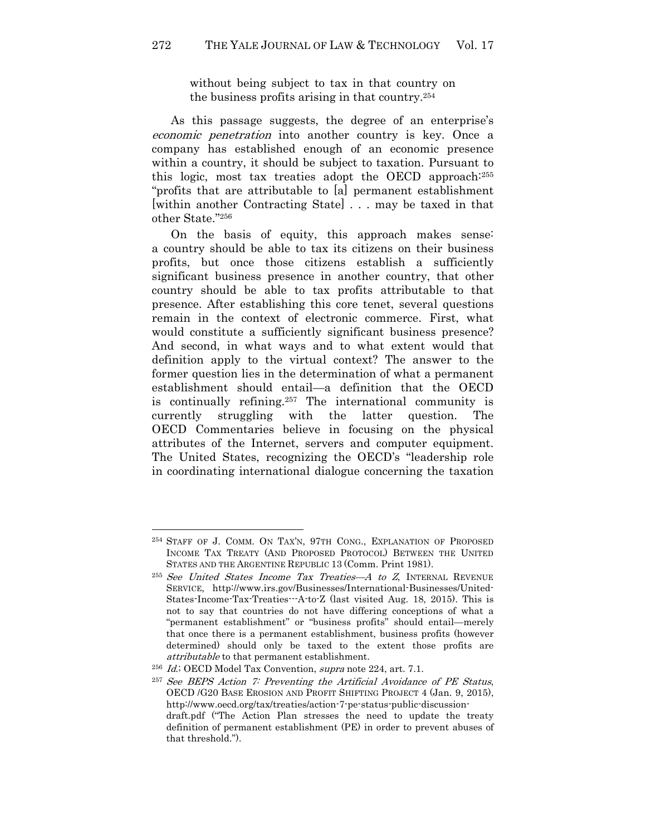without being subject to tax in that country on the business profits arising in that country.<sup>254</sup>

As this passage suggests, the degree of an enterprise's economic penetration into another country is key. Once a company has established enough of an economic presence within a country, it should be subject to taxation. Pursuant to this logic, most tax treaties adopt the OECD approach:<sup>255</sup> "profits that are attributable to [a] permanent establishment [within another Contracting State] . . . may be taxed in that other State."<sup>256</sup>

On the basis of equity, this approach makes sense: a country should be able to tax its citizens on their business profits, but once those citizens establish a sufficiently significant business presence in another country, that other country should be able to tax profits attributable to that presence. After establishing this core tenet, several questions remain in the context of electronic commerce. First, what would constitute a sufficiently significant business presence? And second, in what ways and to what extent would that definition apply to the virtual context? The answer to the former question lies in the determination of what a permanent establishment should entail—a definition that the OECD is continually refining.257 The international community is currently struggling with the latter question. The OECD Commentaries believe in focusing on the physical attributes of the Internet, servers and computer equipment. The United States, recognizing the OECD's "leadership role in coordinating international dialogue concerning the taxation

<sup>254</sup> STAFF OF J. COMM. ON TAX'N, 97TH CONG., EXPLANATION OF PROPOSED INCOME TAX TREATY (AND PROPOSED PROTOCOL) BETWEEN THE UNITED STATES AND THE ARGENTINE REPUBLIC 13 (Comm. Print 1981).

<sup>&</sup>lt;sup>255</sup> See United States Income Tax Treaties—A to Z, INTERNAL REVENUE SERVICE, http://www.irs.gov/Businesses/International-Businesses/United-States-Income-Tax-Treaties---A-to-Z (last visited Aug. 18, 2015). This is not to say that countries do not have differing conceptions of what a "permanent establishment" or "business profits" should entail—merely that once there is a permanent establishment, business profits (however determined) should only be taxed to the extent those profits are attributable to that permanent establishment.

<sup>256</sup> Id.; OECD Model Tax Convention, supra note 224, art. 7.1.

<sup>257</sup> See BEPS Action 7: Preventing the Artificial Avoidance of PE Status, OECD /G20 BASE EROSION AND PROFIT SHIFTING PROJECT 4 (Jan. 9, 2015), http://www.oecd.org/tax/treaties/action-7-pe-status-public-discussiondraft.pdf ("The Action Plan stresses the need to update the treaty definition of permanent establishment (PE) in order to prevent abuses of that threshold.").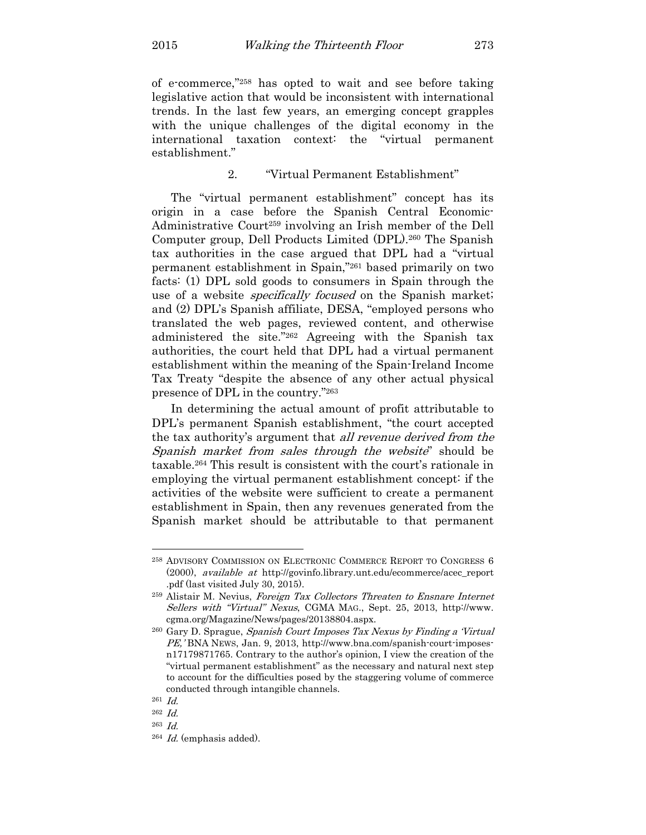of e-commerce,"258 has opted to wait and see before taking legislative action that would be inconsistent with international trends. In the last few years, an emerging concept grapples with the unique challenges of the digital economy in the international taxation context: the "virtual permanent establishment."

## 2. "Virtual Permanent Establishment"

The "virtual permanent establishment" concept has its origin in a case before the Spanish Central Economic-Administrative Court259 involving an Irish member of the Dell Computer group, Dell Products Limited (DPL).260 The Spanish tax authorities in the case argued that DPL had a "virtual permanent establishment in Spain,"261 based primarily on two facts: (1) DPL sold goods to consumers in Spain through the use of a website *specifically focused* on the Spanish market; and (2) DPL's Spanish affiliate, DESA, "employed persons who translated the web pages, reviewed content, and otherwise administered the site."262 Agreeing with the Spanish tax authorities, the court held that DPL had a virtual permanent establishment within the meaning of the Spain-Ireland Income Tax Treaty "despite the absence of any other actual physical presence of DPL in the country."<sup>263</sup>

In determining the actual amount of profit attributable to DPL's permanent Spanish establishment, "the court accepted the tax authority's argument that all revenue derived from the Spanish market from sales through the website" should be taxable.264 This result is consistent with the court's rationale in employing the virtual permanent establishment concept: if the activities of the website were sufficient to create a permanent establishment in Spain, then any revenues generated from the Spanish market should be attributable to that permanent

<sup>258</sup> ADVISORY COMMISSION ON ELECTRONIC COMMERCE REPORT TO CONGRESS 6 (2000), available at http://govinfo.library.unt.edu/ecommerce/acec\_report .pdf (last visited July 30, 2015).

<sup>259</sup> Alistair M. Nevius, Foreign Tax Collectors Threaten to Ensnare Internet Sellers with "Virtual" Nexus, CGMA MAG., Sept. 25, 2013, http://www. cgma.org/Magazine/News/pages/20138804.aspx.

<sup>&</sup>lt;sup>260</sup> Gary D. Sprague, Spanish Court Imposes Tax Nexus by Finding a 'Virtual' PE,' BNA NEWS, Jan. 9, 2013, http://www.bna.com/spanish-court-imposesn17179871765. Contrary to the author's opinion, I view the creation of the "virtual permanent establishment" as the necessary and natural next step to account for the difficulties posed by the staggering volume of commerce conducted through intangible channels.

<sup>261</sup> Id.

<sup>262</sup> Id.

<sup>263</sup> Id.

 $264$  *Id.* (emphasis added).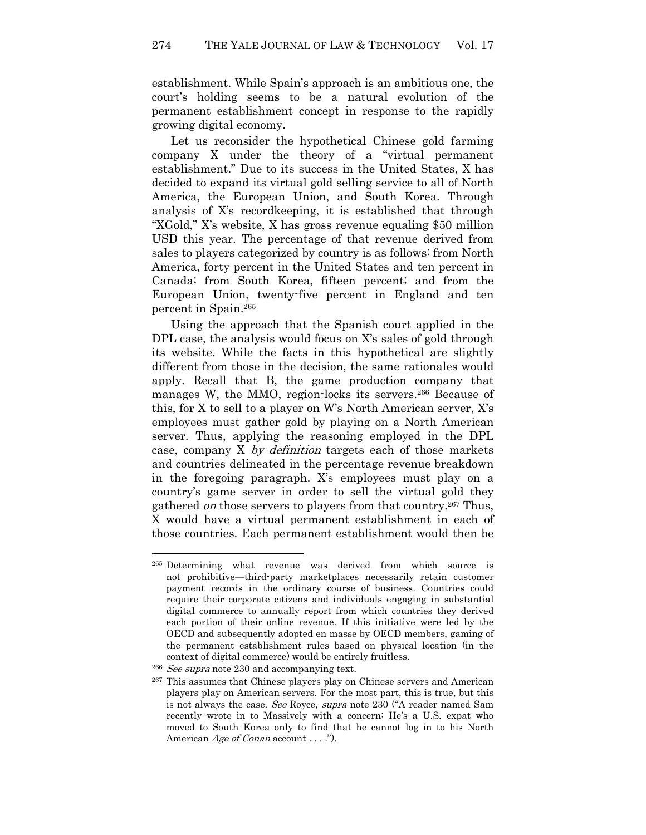establishment. While Spain's approach is an ambitious one, the court's holding seems to be a natural evolution of the permanent establishment concept in response to the rapidly growing digital economy.

Let us reconsider the hypothetical Chinese gold farming company X under the theory of a "virtual permanent establishment." Due to its success in the United States, X has decided to expand its virtual gold selling service to all of North America, the European Union, and South Korea. Through analysis of X's recordkeeping, it is established that through "XGold," X's website, X has gross revenue equaling \$50 million USD this year. The percentage of that revenue derived from sales to players categorized by country is as follows: from North America, forty percent in the United States and ten percent in Canada; from South Korea, fifteen percent; and from the European Union, twenty-five percent in England and ten percent in Spain.<sup>265</sup>

Using the approach that the Spanish court applied in the DPL case, the analysis would focus on X's sales of gold through its website. While the facts in this hypothetical are slightly different from those in the decision, the same rationales would apply. Recall that B, the game production company that manages W, the MMO, region-locks its servers.<sup>266</sup> Because of this, for X to sell to a player on W's North American server, X's employees must gather gold by playing on a North American server. Thus, applying the reasoning employed in the DPL case, company X by definition targets each of those markets and countries delineated in the percentage revenue breakdown in the foregoing paragraph. X's employees must play on a country's game server in order to sell the virtual gold they gathered *on* those servers to players from that country.<sup>267</sup> Thus, X would have a virtual permanent establishment in each of those countries. Each permanent establishment would then be

<sup>265</sup> Determining what revenue was derived from which source is not prohibitive—third-party marketplaces necessarily retain customer payment records in the ordinary course of business. Countries could require their corporate citizens and individuals engaging in substantial digital commerce to annually report from which countries they derived each portion of their online revenue. If this initiative were led by the OECD and subsequently adopted en masse by OECD members, gaming of the permanent establishment rules based on physical location (in the context of digital commerce) would be entirely fruitless.

<sup>&</sup>lt;sup>266</sup> See supra note 230 and accompanying text.

<sup>267</sup> This assumes that Chinese players play on Chinese servers and American players play on American servers. For the most part, this is true, but this is not always the case. See Royce, supra note 230 ("A reader named Sam recently wrote in to Massively with a concern: He's a U.S. expat who moved to South Korea only to find that he cannot log in to his North American *Age of Conan* account . . . .").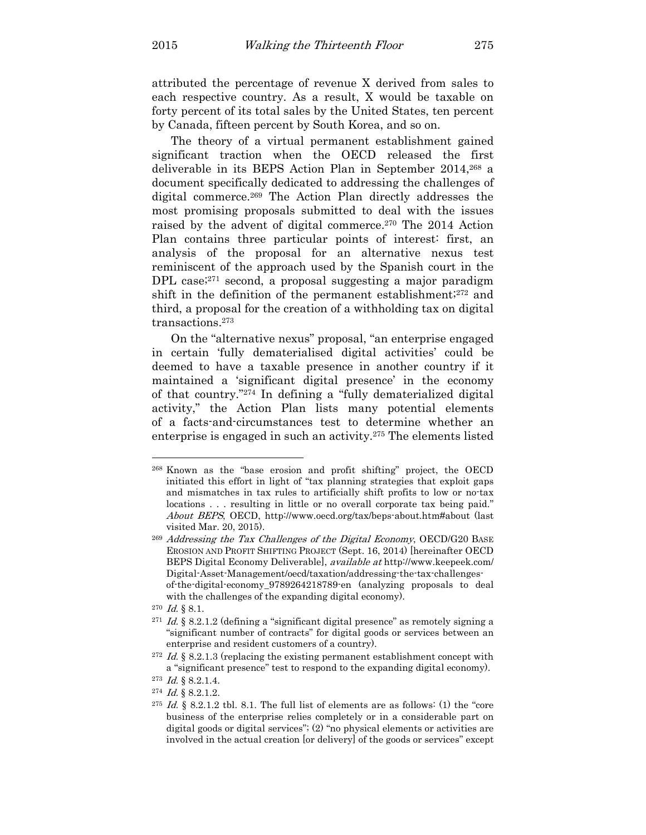attributed the percentage of revenue X derived from sales to each respective country. As a result, X would be taxable on forty percent of its total sales by the United States, ten percent by Canada, fifteen percent by South Korea, and so on.

The theory of a virtual permanent establishment gained significant traction when the OECD released the first deliverable in its BEPS Action Plan in September 2014,268 a document specifically dedicated to addressing the challenges of digital commerce.269 The Action Plan directly addresses the most promising proposals submitted to deal with the issues raised by the advent of digital commerce.270 The 2014 Action Plan contains three particular points of interest: first, an analysis of the proposal for an alternative nexus test reminiscent of the approach used by the Spanish court in the DPL case;<sup>271</sup> second, a proposal suggesting a major paradigm shift in the definition of the permanent establishment;272 and third, a proposal for the creation of a withholding tax on digital transactions.<sup>273</sup>

On the "alternative nexus" proposal, "an enterprise engaged in certain 'fully dematerialised digital activities' could be deemed to have a taxable presence in another country if it maintained a 'significant digital presence' in the economy of that country."274 In defining a "fully dematerialized digital activity," the Action Plan lists many potential elements of a facts-and-circumstances test to determine whether an enterprise is engaged in such an activity.275 The elements listed

<sup>268</sup> Known as the "base erosion and profit shifting" project, the OECD initiated this effort in light of "tax planning strategies that exploit gaps and mismatches in tax rules to artificially shift profits to low or no-tax locations . . . resulting in little or no overall corporate tax being paid." About BEPS, OECD, http://www.oecd.org/tax/beps-about.htm#about (last visited Mar. 20, 2015).

<sup>269</sup> Addressing the Tax Challenges of the Digital Economy, OECD/G20 BASE EROSION AND PROFIT SHIFTING PROJECT (Sept. 16, 2014) [hereinafter OECD BEPS Digital Economy Deliverable], available at http://www.keepeek.com/ Digital-Asset-Management/oecd/taxation/addressing-the-tax-challengesof-the-digital-economy\_9789264218789-en (analyzing proposals to deal with the challenges of the expanding digital economy).

 $^{270}$  *Id.* § 8.1.

<sup>&</sup>lt;sup>271</sup> *Id.* § 8.2.1.2 (defining a "significant digital presence" as remotely signing a "significant number of contracts" for digital goods or services between an enterprise and resident customers of a country).

<sup>&</sup>lt;sup>272</sup> Id. § 8.2.1.3 (replacing the existing permanent establishment concept with a "significant presence" test to respond to the expanding digital economy).

 $^{273}$  *Id.* § 8.2.1.4.

 $^{274}$  *Id.* § 8.2.1.2.

<sup>&</sup>lt;sup>275</sup> *Id.* § 8.2.1.2 tbl. 8.1. The full list of elements are as follows: (1) the "core business of the enterprise relies completely or in a considerable part on digital goods or digital services"; (2) "no physical elements or activities are involved in the actual creation [or delivery] of the goods or services" except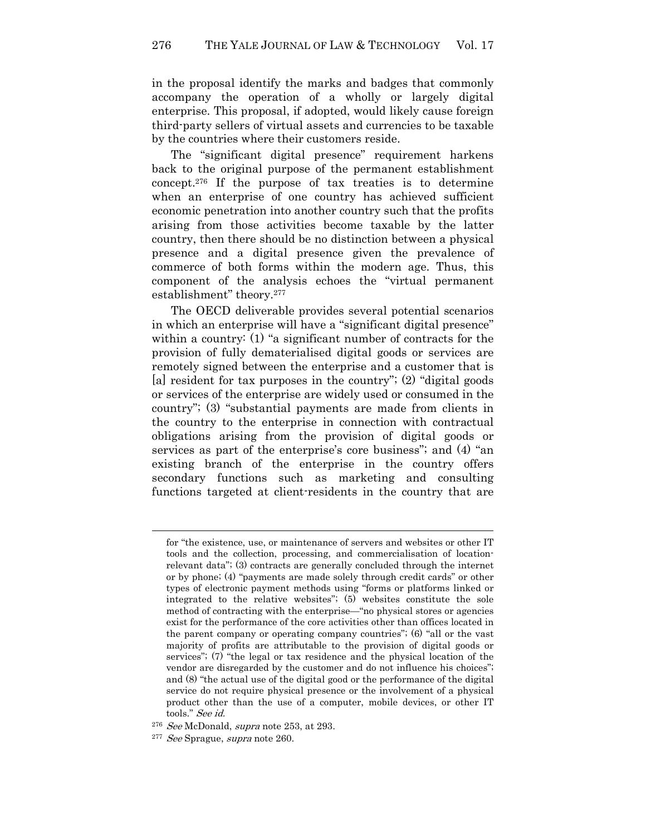in the proposal identify the marks and badges that commonly accompany the operation of a wholly or largely digital enterprise. This proposal, if adopted, would likely cause foreign third-party sellers of virtual assets and currencies to be taxable by the countries where their customers reside.

The "significant digital presence" requirement harkens back to the original purpose of the permanent establishment concept.276 If the purpose of tax treaties is to determine when an enterprise of one country has achieved sufficient economic penetration into another country such that the profits arising from those activities become taxable by the latter country, then there should be no distinction between a physical presence and a digital presence given the prevalence of commerce of both forms within the modern age. Thus, this component of the analysis echoes the "virtual permanent establishment" theory.<sup>277</sup>

The OECD deliverable provides several potential scenarios in which an enterprise will have a "significant digital presence" within a country: (1) "a significant number of contracts for the provision of fully dematerialised digital goods or services are remotely signed between the enterprise and a customer that is [a] resident for tax purposes in the country"; (2) "digital goods or services of the enterprise are widely used or consumed in the country"; (3) "substantial payments are made from clients in the country to the enterprise in connection with contractual obligations arising from the provision of digital goods or services as part of the enterprise's core business"; and (4) "an existing branch of the enterprise in the country offers secondary functions such as marketing and consulting functions targeted at client-residents in the country that are

for "the existence, use, or maintenance of servers and websites or other IT tools and the collection, processing, and commercialisation of locationrelevant data"; (3) contracts are generally concluded through the internet or by phone; (4) "payments are made solely through credit cards" or other types of electronic payment methods using "forms or platforms linked or integrated to the relative websites"; (5) websites constitute the sole method of contracting with the enterprise—"no physical stores or agencies exist for the performance of the core activities other than offices located in the parent company or operating company countries"; (6) "all or the vast majority of profits are attributable to the provision of digital goods or services"; (7) "the legal or tax residence and the physical location of the vendor are disregarded by the customer and do not influence his choices"; and (8) "the actual use of the digital good or the performance of the digital service do not require physical presence or the involvement of a physical product other than the use of a computer, mobile devices, or other IT tools." See id.

<sup>&</sup>lt;sup>276</sup> See McDonald, supra note 253, at 293.

<sup>&</sup>lt;sup>277</sup> See Sprague, supra note 260.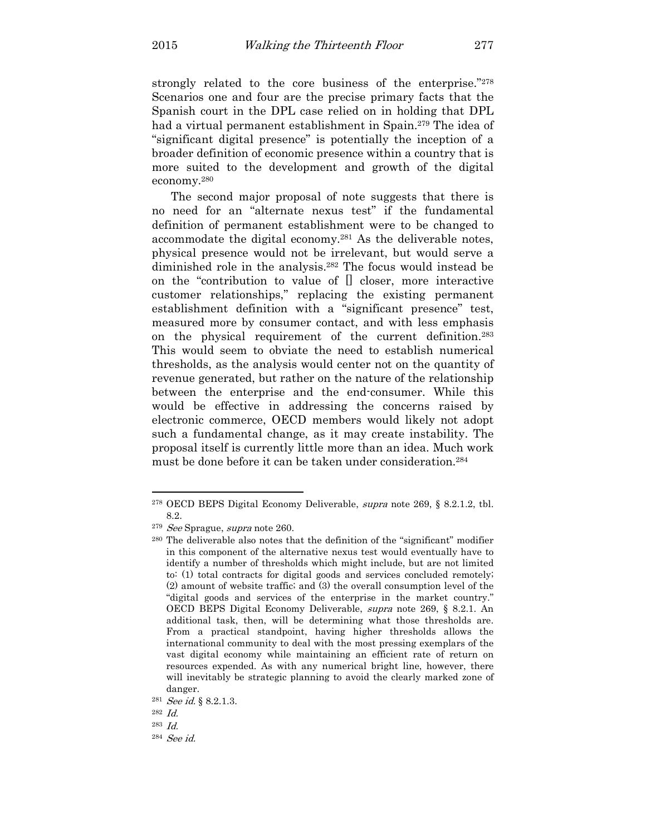strongly related to the core business of the enterprise."<sup>278</sup> Scenarios one and four are the precise primary facts that the Spanish court in the DPL case relied on in holding that DPL had a virtual permanent establishment in Spain.<sup>279</sup> The idea of "significant digital presence" is potentially the inception of a broader definition of economic presence within a country that is more suited to the development and growth of the digital economy.<sup>280</sup>

The second major proposal of note suggests that there is no need for an "alternate nexus test" if the fundamental definition of permanent establishment were to be changed to accommodate the digital economy.281 As the deliverable notes, physical presence would not be irrelevant, but would serve a diminished role in the analysis.282 The focus would instead be on the "contribution to value of [] closer, more interactive customer relationships," replacing the existing permanent establishment definition with a "significant presence" test, measured more by consumer contact, and with less emphasis on the physical requirement of the current definition.<sup>283</sup> This would seem to obviate the need to establish numerical thresholds, as the analysis would center not on the quantity of revenue generated, but rather on the nature of the relationship between the enterprise and the end-consumer. While this would be effective in addressing the concerns raised by electronic commerce, OECD members would likely not adopt such a fundamental change, as it may create instability. The proposal itself is currently little more than an idea. Much work must be done before it can be taken under consideration.<sup>284</sup>

<sup>278</sup> OECD BEPS Digital Economy Deliverable, supra note 269, § 8.2.1.2, tbl. 8.2.

<sup>&</sup>lt;sup>279</sup> See Sprague, supra note 260.

<sup>280</sup> The deliverable also notes that the definition of the "significant" modifier in this component of the alternative nexus test would eventually have to identify a number of thresholds which might include, but are not limited to: (1) total contracts for digital goods and services concluded remotely; (2) amount of website traffic; and (3) the overall consumption level of the "digital goods and services of the enterprise in the market country." OECD BEPS Digital Economy Deliverable, supra note 269, § 8.2.1. An additional task, then, will be determining what those thresholds are. From a practical standpoint, having higher thresholds allows the international community to deal with the most pressing exemplars of the vast digital economy while maintaining an efficient rate of return on resources expended. As with any numerical bright line, however, there will inevitably be strategic planning to avoid the clearly marked zone of danger.

<sup>&</sup>lt;sup>281</sup> *See id.* § 8.2.1.3.

<sup>282</sup> Id.

<sup>283</sup> Id.

<sup>284</sup> See id.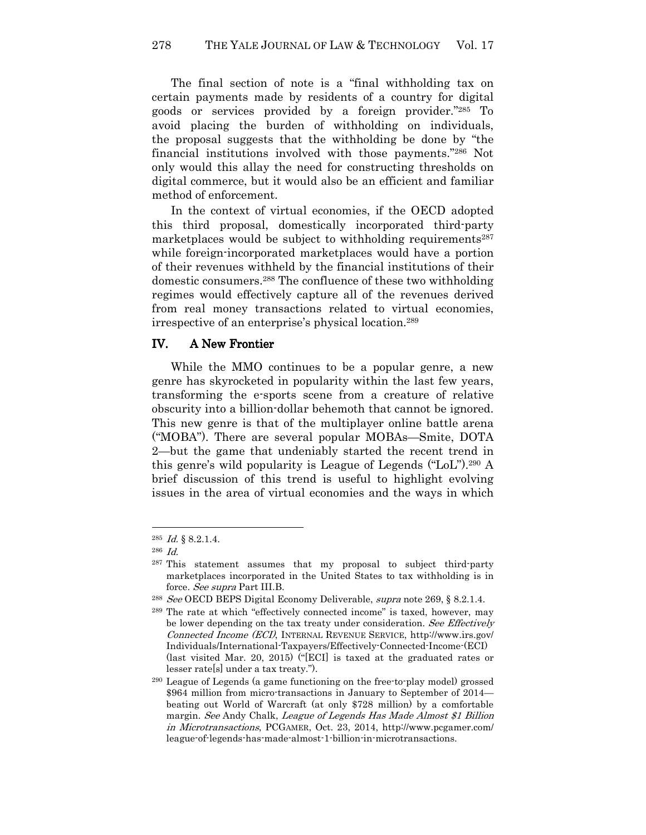278 THE YALE JOURNAL OF LAW & TECHNOLOGY Vol. 17

The final section of note is a "final withholding tax on certain payments made by residents of a country for digital goods or services provided by a foreign provider."285 To avoid placing the burden of withholding on individuals, the proposal suggests that the withholding be done by "the financial institutions involved with those payments."286 Not only would this allay the need for constructing thresholds on digital commerce, but it would also be an efficient and familiar method of enforcement.

In the context of virtual economies, if the OECD adopted this third proposal, domestically incorporated third-party marketplaces would be subject to withholding requirements<sup>287</sup> while foreign-incorporated marketplaces would have a portion of their revenues withheld by the financial institutions of their domestic consumers.288 The confluence of these two withholding regimes would effectively capture all of the revenues derived from real money transactions related to virtual economies, irrespective of an enterprise's physical location.<sup>289</sup>

## IV. A New Frontier

While the MMO continues to be a popular genre, a new genre has skyrocketed in popularity within the last few years, transforming the e-sports scene from a creature of relative obscurity into a billion-dollar behemoth that cannot be ignored. This new genre is that of the multiplayer online battle arena ("MOBA"). There are several popular MOBAs—Smite, DOTA 2—but the game that undeniably started the recent trend in this genre's wild popularity is League of Legends ("LoL").290 A brief discussion of this trend is useful to highlight evolving issues in the area of virtual economies and the ways in which

 $^{285}$  *Id.* § 8.2.1.4.

<sup>286</sup> Id.

<sup>&</sup>lt;sup>287</sup> This statement assumes that my proposal to subject third-party marketplaces incorporated in the United States to tax withholding is in force. See supra Part III.B.

<sup>&</sup>lt;sup>288</sup> See OECD BEPS Digital Economy Deliverable, supra note 269, § 8.2.1.4.

<sup>289</sup> The rate at which "effectively connected income" is taxed, however, may be lower depending on the tax treaty under consideration. See Effectively Connected Income (ECI), INTERNAL REVENUE SERVICE, http://www.irs.gov/ Individuals/International-Taxpayers/Effectively-Connected-Income-(ECI) (last visited Mar. 20, 2015) ("[ECI] is taxed at the graduated rates or lesser rate[s] under a tax treaty.").

<sup>290</sup> League of Legends (a game functioning on the free-to-play model) grossed \$964 million from micro-transactions in January to September of 2014 beating out World of Warcraft (at only \$728 million) by a comfortable margin. See Andy Chalk, League of Legends Has Made Almost \$1 Billion in Microtransactions, PCGAMER, Oct. 23, 2014, http://www.pcgamer.com/ league-of-legends-has-made-almost-1-billion-in-microtransactions.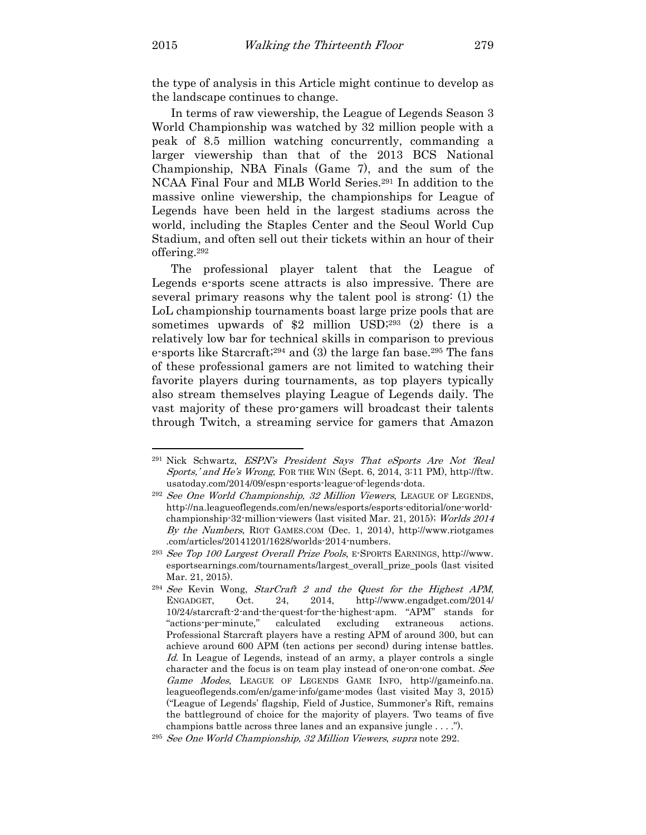the type of analysis in this Article might continue to develop as the landscape continues to change.

In terms of raw viewership, the League of Legends Season 3 World Championship was watched by 32 million people with a peak of 8.5 million watching concurrently, commanding a larger viewership than that of the 2013 BCS National Championship, NBA Finals (Game 7), and the sum of the NCAA Final Four and MLB World Series.291 In addition to the massive online viewership, the championships for League of Legends have been held in the largest stadiums across the world, including the Staples Center and the Seoul World Cup Stadium, and often sell out their tickets within an hour of their offering.<sup>292</sup>

The professional player talent that the League of Legends e-sports scene attracts is also impressive. There are several primary reasons why the talent pool is strong: (1) the LoL championship tournaments boast large prize pools that are sometimes upwards of \$2 million USD;<sup>293</sup> (2) there is a relatively low bar for technical skills in comparison to previous e-sports like Starcraft;294 and (3) the large fan base.295 The fans of these professional gamers are not limited to watching their favorite players during tournaments, as top players typically also stream themselves playing League of Legends daily. The vast majority of these pro-gamers will broadcast their talents through Twitch, a streaming service for gamers that Amazon

<sup>&</sup>lt;sup>291</sup> Nick Schwartz, ESPN's President Says That eSports Are Not 'Real Sports,' and He's Wrong, FOR THE WIN (Sept. 6, 2014, 3:11 PM), http://ftw. usatoday.com/2014/09/espn-esports-league-of-legends-dota.

<sup>&</sup>lt;sup>292</sup> See One World Championship, 32 Million Viewers, LEAGUE OF LEGENDS, http://na.leagueoflegends.com/en/news/esports/esports-editorial/one-worldchampionship-32-million-viewers (last visited Mar. 21, 2015); Worlds 2014 By the Numbers, RIOT GAMES.COM (Dec. 1, 2014), http://www.riotgames .com/articles/20141201/1628/worlds-2014-numbers.

<sup>293</sup> See Top 100 Largest Overall Prize Pools, E-SPORTS EARNINGS, http://www. esportsearnings.com/tournaments/largest\_overall\_prize\_pools (last visited Mar. 21, 2015).

 $294$  See Kevin Wong, StarCraft 2 and the Quest for the Highest APM, ENGADGET, Oct. 24, 2014, http://www.engadget.com/2014/ 10/24/starcraft-2-and-the-quest-for-the-highest-apm. "APM" stands for "actions-per-minute," calculated excluding extraneous actions. Professional Starcraft players have a resting APM of around 300, but can achieve around 600 APM (ten actions per second) during intense battles. Id. In League of Legends, instead of an army, a player controls a single character and the focus is on team play instead of one-on-one combat. See Game Modes, LEAGUE OF LEGENDS GAME INFO, http://gameinfo.na. leagueoflegends.com/en/game-info/game-modes (last visited May 3, 2015) ("League of Legends' flagship, Field of Justice, Summoner's Rift, remains the battleground of choice for the majority of players. Two teams of five champions battle across three lanes and an expansive jungle . . . .").

<sup>295</sup> See One World Championship, 32 Million Viewers, supra note 292.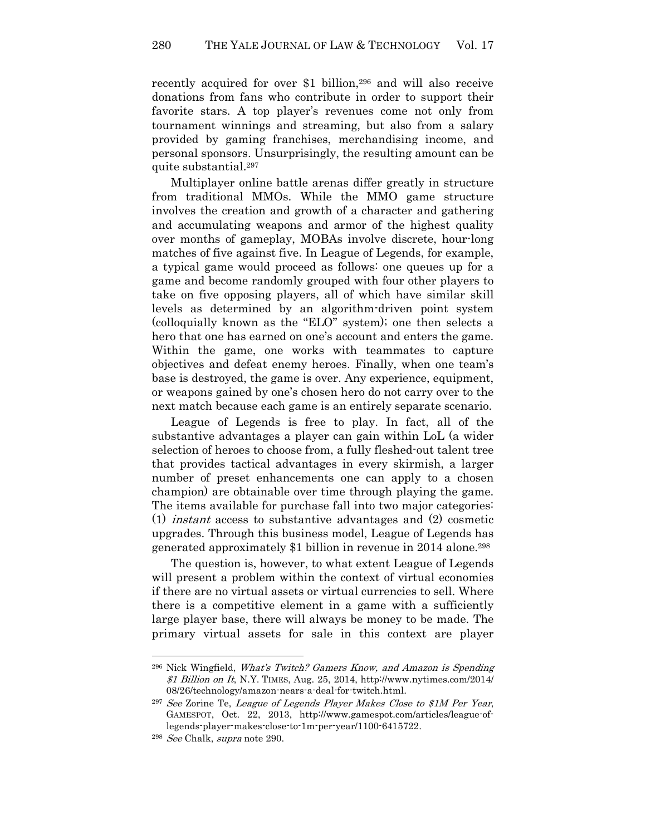recently acquired for over \$1 billion,296 and will also receive donations from fans who contribute in order to support their favorite stars. A top player's revenues come not only from tournament winnings and streaming, but also from a salary provided by gaming franchises, merchandising income, and personal sponsors. Unsurprisingly, the resulting amount can be quite substantial.<sup>297</sup>

Multiplayer online battle arenas differ greatly in structure from traditional MMOs. While the MMO game structure involves the creation and growth of a character and gathering and accumulating weapons and armor of the highest quality over months of gameplay, MOBAs involve discrete, hour-long matches of five against five. In League of Legends, for example, a typical game would proceed as follows: one queues up for a game and become randomly grouped with four other players to take on five opposing players, all of which have similar skill levels as determined by an algorithm-driven point system (colloquially known as the "ELO" system); one then selects a hero that one has earned on one's account and enters the game. Within the game, one works with teammates to capture objectives and defeat enemy heroes. Finally, when one team's base is destroyed, the game is over. Any experience, equipment, or weapons gained by one's chosen hero do not carry over to the next match because each game is an entirely separate scenario.

League of Legends is free to play. In fact, all of the substantive advantages a player can gain within LoL (a wider selection of heroes to choose from, a fully fleshed-out talent tree that provides tactical advantages in every skirmish, a larger number of preset enhancements one can apply to a chosen champion) are obtainable over time through playing the game. The items available for purchase fall into two major categories: (1) instant access to substantive advantages and (2) cosmetic upgrades. Through this business model, League of Legends has generated approximately \$1 billion in revenue in 2014 alone.<sup>298</sup>

The question is, however, to what extent League of Legends will present a problem within the context of virtual economies if there are no virtual assets or virtual currencies to sell. Where there is a competitive element in a game with a sufficiently large player base, there will always be money to be made. The primary virtual assets for sale in this context are player

<sup>296</sup> Nick Wingfield, What's Twitch? Gamers Know, and Amazon is Spending \$1 Billion on It, N.Y. TIMES, Aug. 25, 2014, http://www.nytimes.com/2014/ 08/26/technology/amazon-nears-a-deal-for-twitch.html.

<sup>&</sup>lt;sup>297</sup> See Zorine Te, League of Legends Player Makes Close to \$1M Per Year, GAMESPOT, Oct. 22, 2013, http://www.gamespot.com/articles/league-oflegends-player-makes-close-to-1m-per-year/1100-6415722.

<sup>298</sup> See Chalk, supra note 290.